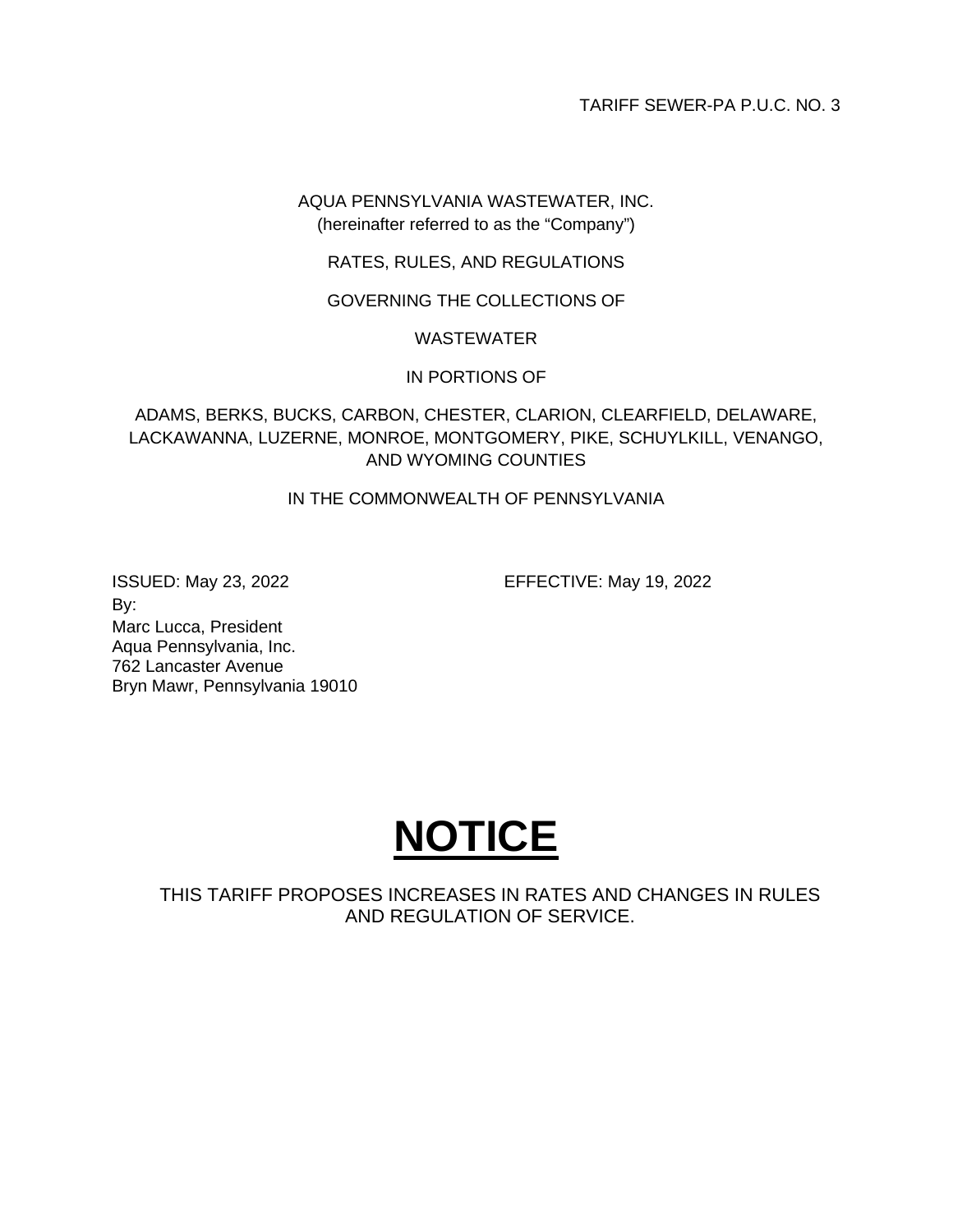TARIFF SEWER-PA P.U.C. NO. 3

AQUA PENNSYLVANIA WASTEWATER, INC. (hereinafter referred to as the "Company")

RATES, RULES, AND REGULATIONS

GOVERNING THE COLLECTIONS OF

# WASTEWATER

# IN PORTIONS OF

ADAMS, BERKS, BUCKS, CARBON, CHESTER, CLARION, CLEARFIELD, DELAWARE, LACKAWANNA, LUZERNE, MONROE, MONTGOMERY, PIKE, SCHUYLKILL, VENANGO, AND WYOMING COUNTIES

IN THE COMMONWEALTH OF PENNSYLVANIA

ISSUED: May 23, 2022 EFFECTIVE: May 19, 2022 By: Marc Lucca, President Aqua Pennsylvania, Inc. 762 Lancaster Avenue Bryn Mawr, Pennsylvania 19010



THIS TARIFF PROPOSES INCREASES IN RATES AND CHANGES IN RULES AND REGULATION OF SERVICE.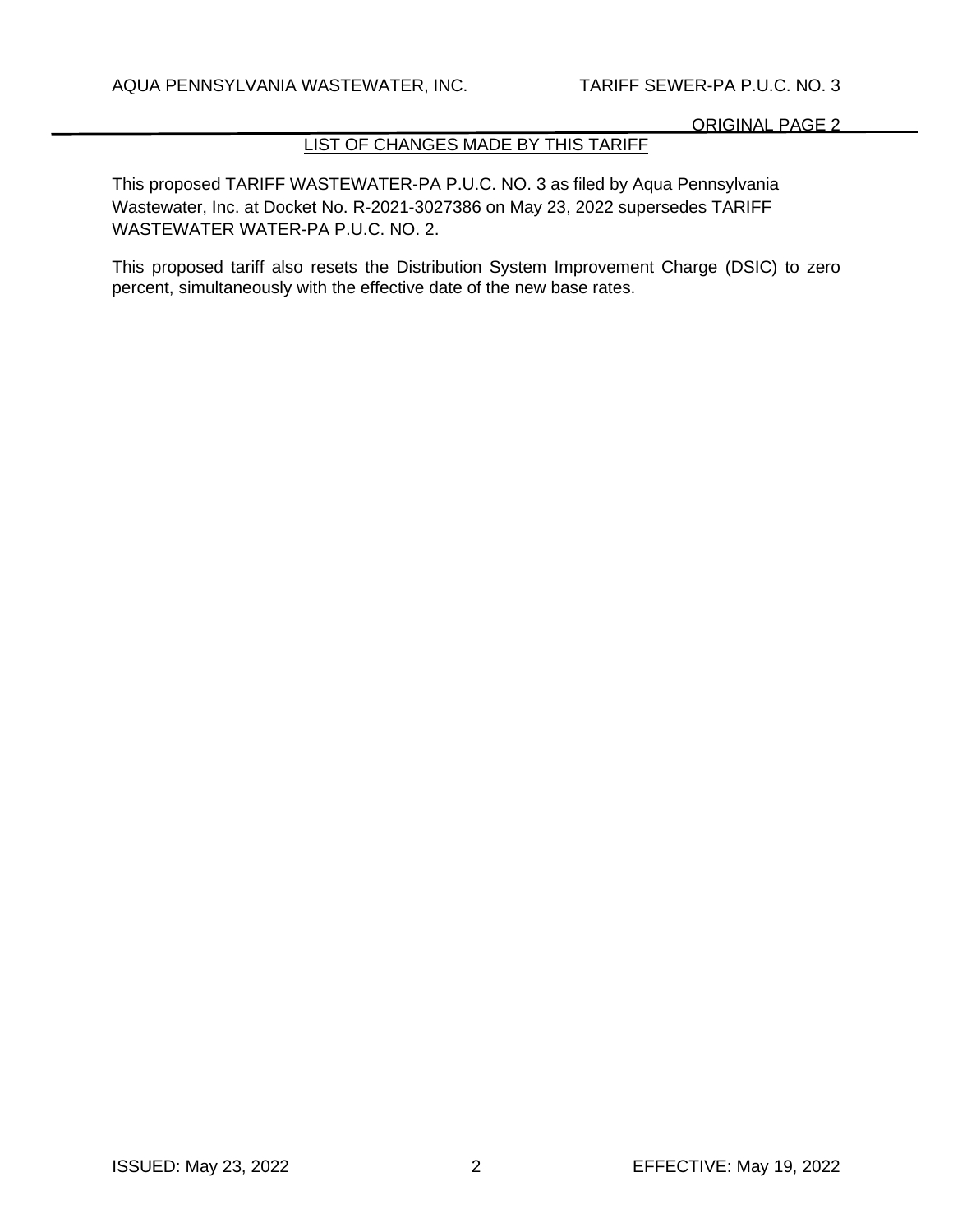# LIST OF CHANGES MADE BY THIS TARIFF

This proposed TARIFF WASTEWATER-PA P.U.C. NO. 3 as filed by Aqua Pennsylvania Wastewater, Inc. at Docket No. R-2021-3027386 on May 23, 2022 supersedes TARIFF WASTEWATER WATER-PA P.U.C. NO. 2.

This proposed tariff also resets the Distribution System Improvement Charge (DSIC) to zero percent, simultaneously with the effective date of the new base rates.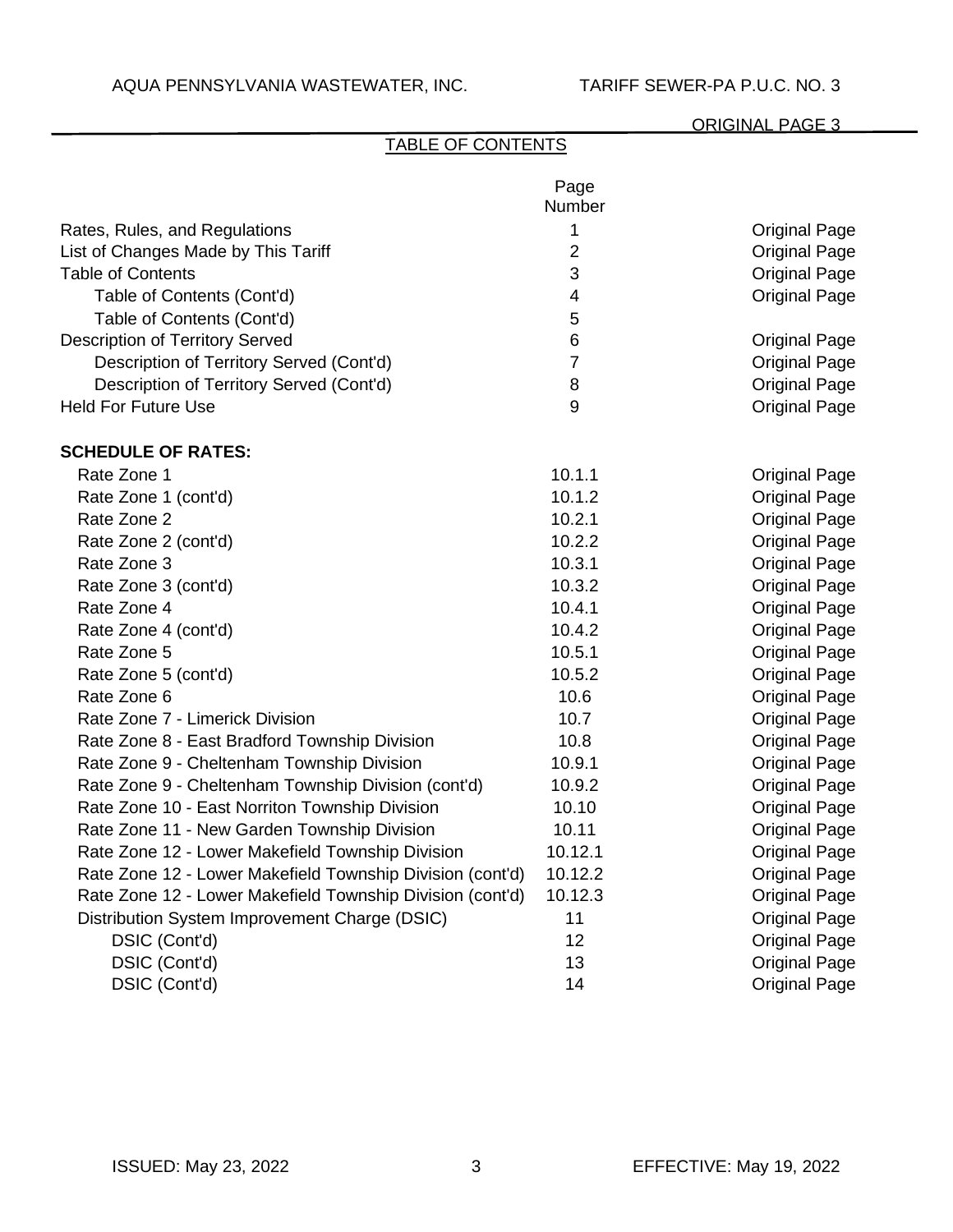| <b>TABLE OF CONTENTS</b>                                  |                          |                      |
|-----------------------------------------------------------|--------------------------|----------------------|
|                                                           | Page<br>Number           |                      |
| Rates, Rules, and Regulations                             | 1                        | <b>Original Page</b> |
| List of Changes Made by This Tariff                       | $\overline{2}$           | <b>Original Page</b> |
| <b>Table of Contents</b>                                  | 3                        | <b>Original Page</b> |
| Table of Contents (Cont'd)                                | $\overline{\mathcal{A}}$ | <b>Original Page</b> |
| Table of Contents (Cont'd)                                | 5                        |                      |
| <b>Description of Territory Served</b>                    | 6                        | <b>Original Page</b> |
| Description of Territory Served (Cont'd)                  | $\overline{7}$           | <b>Original Page</b> |
| Description of Territory Served (Cont'd)                  | 8                        | <b>Original Page</b> |
| <b>Held For Future Use</b>                                | 9                        | <b>Original Page</b> |
| <b>SCHEDULE OF RATES:</b>                                 |                          |                      |
| Rate Zone 1                                               | 10.1.1                   | <b>Original Page</b> |
| Rate Zone 1 (cont'd)                                      | 10.1.2                   | <b>Original Page</b> |
| Rate Zone 2                                               | 10.2.1                   | <b>Original Page</b> |
| Rate Zone 2 (cont'd)                                      | 10.2.2                   | <b>Original Page</b> |
| Rate Zone 3                                               | 10.3.1                   | <b>Original Page</b> |
| Rate Zone 3 (cont'd)                                      | 10.3.2                   | <b>Original Page</b> |
| Rate Zone 4                                               | 10.4.1                   | <b>Original Page</b> |
| Rate Zone 4 (cont'd)                                      | 10.4.2                   | <b>Original Page</b> |
| Rate Zone 5                                               | 10.5.1                   | <b>Original Page</b> |
| Rate Zone 5 (cont'd)                                      | 10.5.2                   | <b>Original Page</b> |
| Rate Zone 6                                               | 10.6                     | <b>Original Page</b> |
| Rate Zone 7 - Limerick Division                           | 10.7                     | <b>Original Page</b> |
| Rate Zone 8 - East Bradford Township Division             | 10.8                     | <b>Original Page</b> |
| Rate Zone 9 - Cheltenham Township Division                | 10.9.1                   | <b>Original Page</b> |
| Rate Zone 9 - Cheltenham Township Division (cont'd)       | 10.9.2                   | <b>Original Page</b> |
| Rate Zone 10 - East Norriton Township Division            | 10.10                    | <b>Original Page</b> |
| Rate Zone 11 - New Garden Township Division               | 10.11                    | <b>Original Page</b> |
| Rate Zone 12 - Lower Makefield Township Division          | 10.12.1                  | <b>Original Page</b> |
| Rate Zone 12 - Lower Makefield Township Division (cont'd) | 10.12.2                  | <b>Original Page</b> |
| Rate Zone 12 - Lower Makefield Township Division (cont'd) | 10.12.3                  | <b>Original Page</b> |
| Distribution System Improvement Charge (DSIC)             | 11                       | <b>Original Page</b> |

13 **Original Page** 

DSIC (Cont'd) 12 Original Page DSIC (Cont'd) 13 Original Page DSIC (Cont'd)

DSIC (Cont'd) 2008 14 Original Page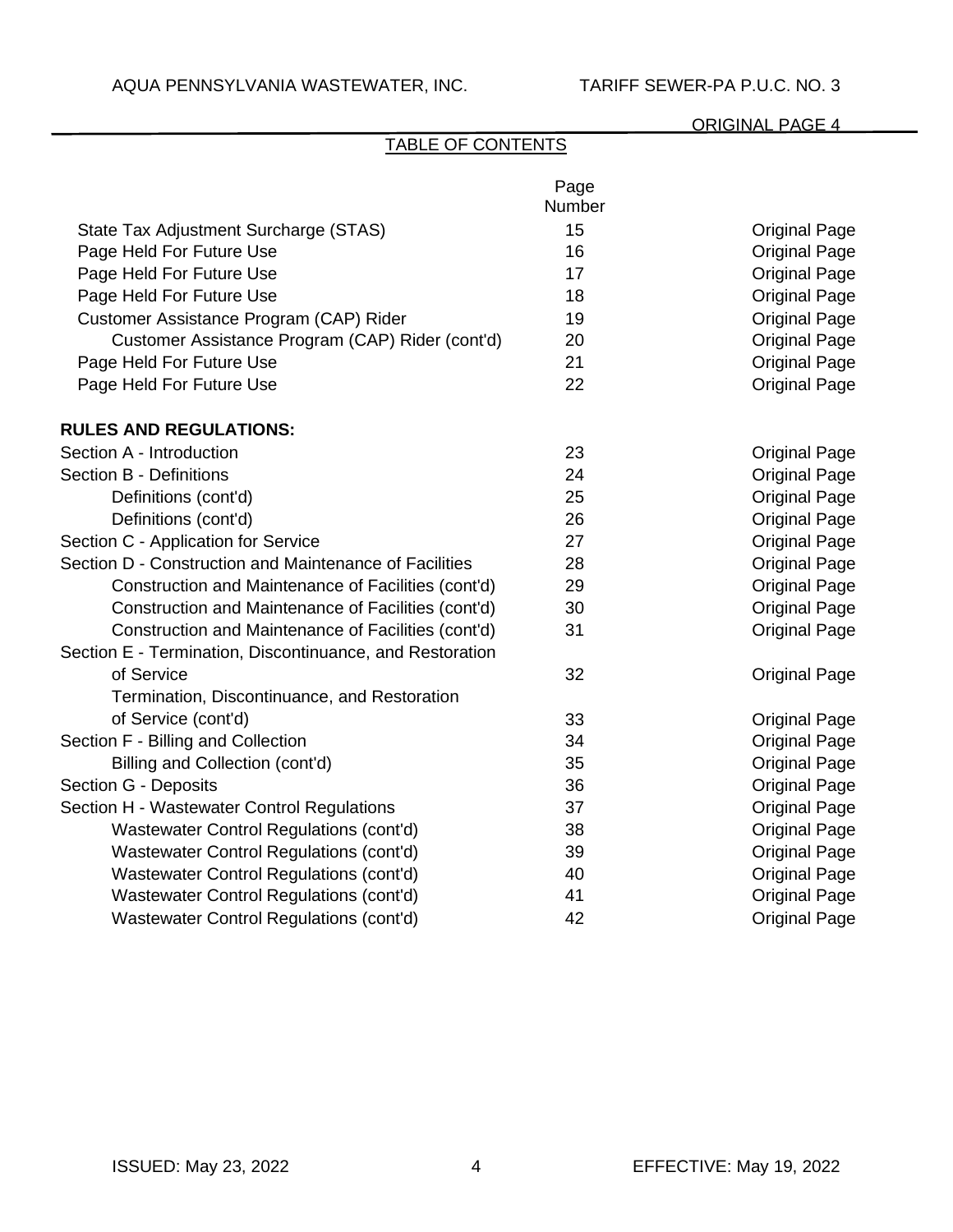# TABLE OF CONTENTS

|                                                          | Page<br>Number |                      |
|----------------------------------------------------------|----------------|----------------------|
| State Tax Adjustment Surcharge (STAS)                    | 15             | <b>Original Page</b> |
| Page Held For Future Use                                 | 16             | <b>Original Page</b> |
| Page Held For Future Use                                 | 17             | <b>Original Page</b> |
| Page Held For Future Use                                 | 18             | <b>Original Page</b> |
| Customer Assistance Program (CAP) Rider                  | 19             | <b>Original Page</b> |
| Customer Assistance Program (CAP) Rider (cont'd)         | 20             | <b>Original Page</b> |
| Page Held For Future Use                                 | 21             | <b>Original Page</b> |
| Page Held For Future Use                                 | 22             | <b>Original Page</b> |
| <b>RULES AND REGULATIONS:</b>                            |                |                      |
| Section A - Introduction                                 | 23             | <b>Original Page</b> |
| <b>Section B - Definitions</b>                           | 24             | <b>Original Page</b> |
| Definitions (cont'd)                                     | 25             | <b>Original Page</b> |
| Definitions (cont'd)                                     | 26             | <b>Original Page</b> |
| Section C - Application for Service                      | 27             | <b>Original Page</b> |
| Section D - Construction and Maintenance of Facilities   | 28             | <b>Original Page</b> |
| Construction and Maintenance of Facilities (cont'd)      | 29             | <b>Original Page</b> |
| Construction and Maintenance of Facilities (cont'd)      | 30             | <b>Original Page</b> |
| Construction and Maintenance of Facilities (cont'd)      | 31             | <b>Original Page</b> |
| Section E - Termination, Discontinuance, and Restoration |                |                      |
| of Service                                               | 32             | <b>Original Page</b> |
| Termination, Discontinuance, and Restoration             |                |                      |
| of Service (cont'd)                                      | 33             | <b>Original Page</b> |
| Section F - Billing and Collection                       | 34             | <b>Original Page</b> |
| Billing and Collection (cont'd)                          | 35             | <b>Original Page</b> |
| Section G - Deposits                                     | 36             | <b>Original Page</b> |
| Section H - Wastewater Control Regulations               | 37             | <b>Original Page</b> |
| Wastewater Control Regulations (cont'd)                  | 38             | <b>Original Page</b> |
| Wastewater Control Regulations (cont'd)                  | 39             | <b>Original Page</b> |
| Wastewater Control Regulations (cont'd)                  | 40             | <b>Original Page</b> |
| Wastewater Control Regulations (cont'd)                  | 41             | <b>Original Page</b> |
| Wastewater Control Regulations (cont'd)                  | 42             | <b>Original Page</b> |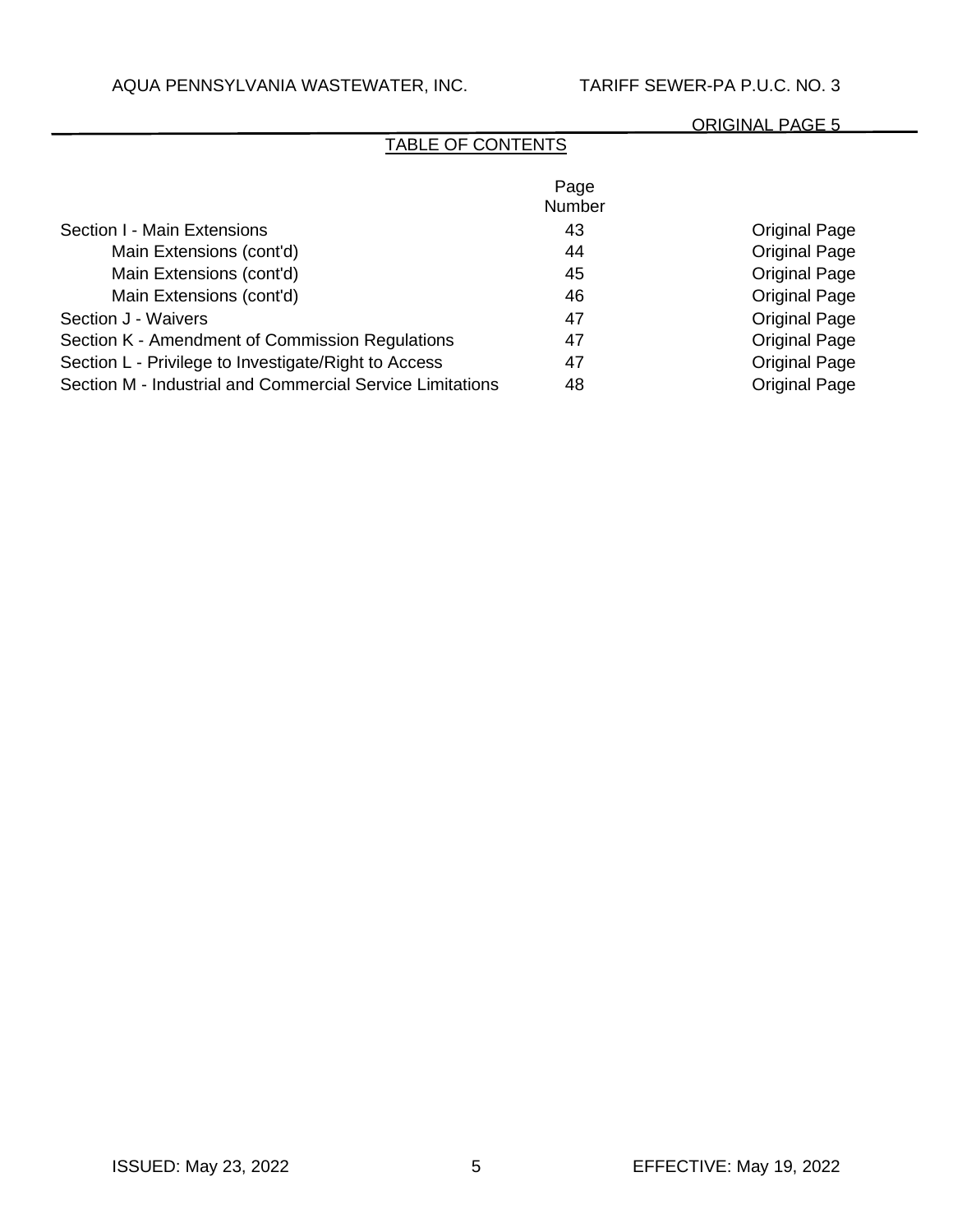# TABLE OF CONTENTS

|                                                           | Page<br><b>Number</b> |                      |
|-----------------------------------------------------------|-----------------------|----------------------|
| Section I - Main Extensions                               | 43                    | <b>Original Page</b> |
| Main Extensions (cont'd)                                  | 44                    | <b>Original Page</b> |
| Main Extensions (cont'd)                                  | 45                    | <b>Original Page</b> |
| Main Extensions (cont'd)                                  | 46                    | <b>Original Page</b> |
| Section J - Waivers                                       | 47                    | <b>Original Page</b> |
| Section K - Amendment of Commission Regulations           | 47                    | <b>Original Page</b> |
| Section L - Privilege to Investigate/Right to Access      | 47                    | <b>Original Page</b> |
| Section M - Industrial and Commercial Service Limitations | 48                    | <b>Original Page</b> |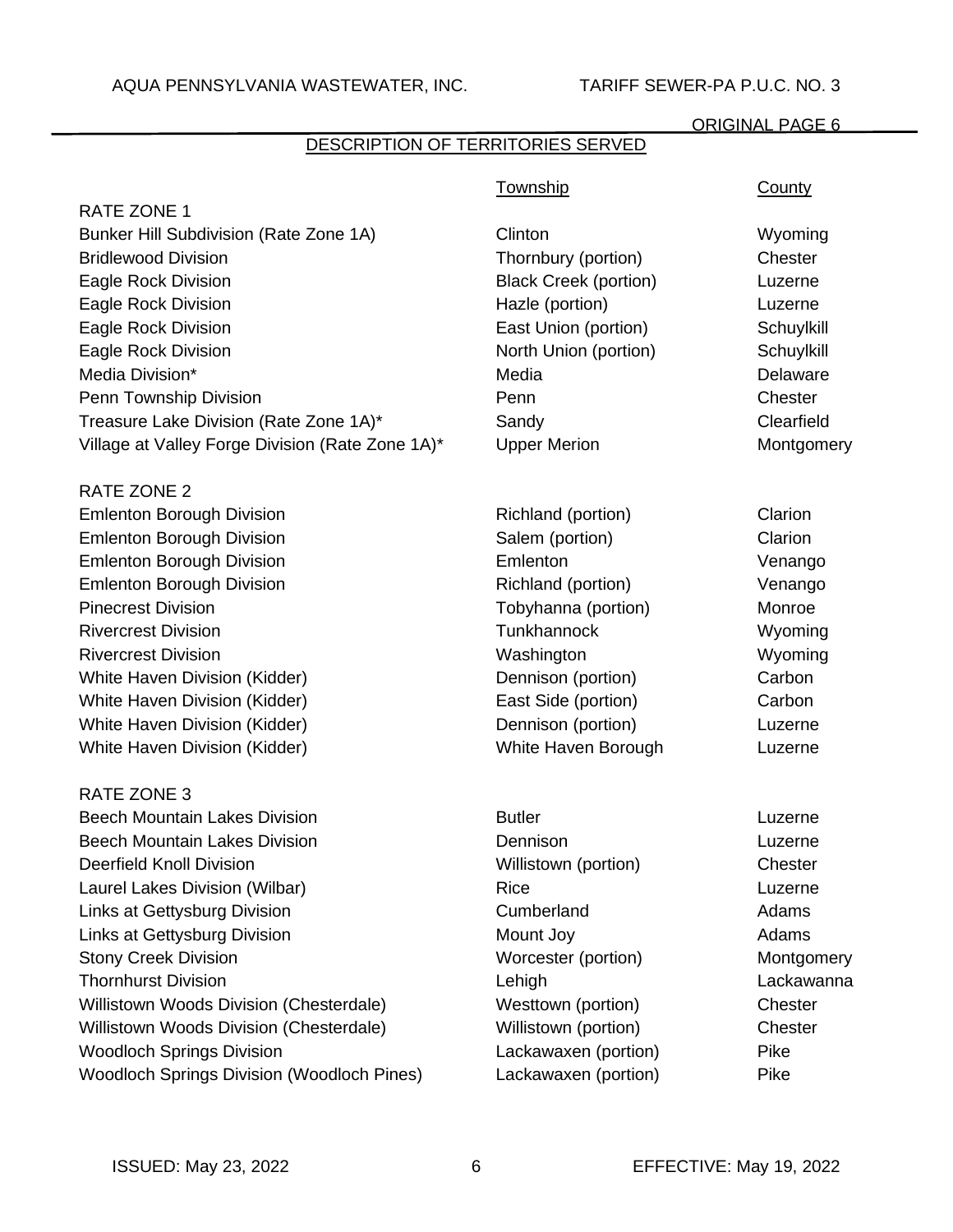# DESCRIPTION OF TERRITORIES SERVED

|                                                   | <b>Township</b>              | <b>County</b> |
|---------------------------------------------------|------------------------------|---------------|
| <b>RATE ZONE 1</b>                                |                              |               |
| Bunker Hill Subdivision (Rate Zone 1A)            | Clinton                      | Wyoming       |
| <b>Bridlewood Division</b>                        | Thornbury (portion)          | Chester       |
| Eagle Rock Division                               | <b>Black Creek (portion)</b> | Luzerne       |
| Eagle Rock Division                               | Hazle (portion)              | Luzerne       |
| Eagle Rock Division                               | East Union (portion)         | Schuylkill    |
| Eagle Rock Division                               | North Union (portion)        | Schuylkill    |
| Media Division*                                   | Media                        | Delaware      |
| Penn Township Division                            | Penn                         | Chester       |
| Treasure Lake Division (Rate Zone 1A)*            | Sandy                        | Clearfield    |
| Village at Valley Forge Division (Rate Zone 1A)*  | <b>Upper Merion</b>          | Montgomery    |
| <b>RATE ZONE 2</b>                                |                              |               |
| <b>Emlenton Borough Division</b>                  | Richland (portion)           | Clarion       |
| <b>Emlenton Borough Division</b>                  | Salem (portion)              | Clarion       |
| <b>Emlenton Borough Division</b>                  | Emlenton                     | Venango       |
| <b>Emlenton Borough Division</b>                  | Richland (portion)           | Venango       |
| <b>Pinecrest Division</b>                         | Tobyhanna (portion)          | Monroe        |
| <b>Rivercrest Division</b>                        | Tunkhannock                  | Wyoming       |
| <b>Rivercrest Division</b>                        | Washington                   | Wyoming       |
| White Haven Division (Kidder)                     | Dennison (portion)           | Carbon        |
| White Haven Division (Kidder)                     | East Side (portion)          | Carbon        |
| White Haven Division (Kidder)                     | Dennison (portion)           | Luzerne       |
| White Haven Division (Kidder)                     | White Haven Borough          | Luzerne       |
| <b>RATE ZONE 3</b>                                |                              |               |
| <b>Beech Mountain Lakes Division</b>              | <b>Butler</b>                | Luzerne       |
| <b>Beech Mountain Lakes Division</b>              | Dennison                     | Luzerne       |
| <b>Deerfield Knoll Division</b>                   | Willistown (portion)         | Chester       |
| Laurel Lakes Division (Wilbar)                    | Rice                         | Luzerne       |
| Links at Gettysburg Division                      | Cumberland                   | Adams         |
| Links at Gettysburg Division                      | Mount Joy                    | Adams         |
| <b>Stony Creek Division</b>                       | Worcester (portion)          | Montgomery    |
| <b>Thornhurst Division</b>                        | Lehigh                       | Lackawanna    |
| Willistown Woods Division (Chesterdale)           | Westtown (portion)           | Chester       |
| Willistown Woods Division (Chesterdale)           | Willistown (portion)         | Chester       |
| <b>Woodloch Springs Division</b>                  | Lackawaxen (portion)         | Pike          |
| <b>Woodloch Springs Division (Woodloch Pines)</b> | Lackawaxen (portion)         | Pike          |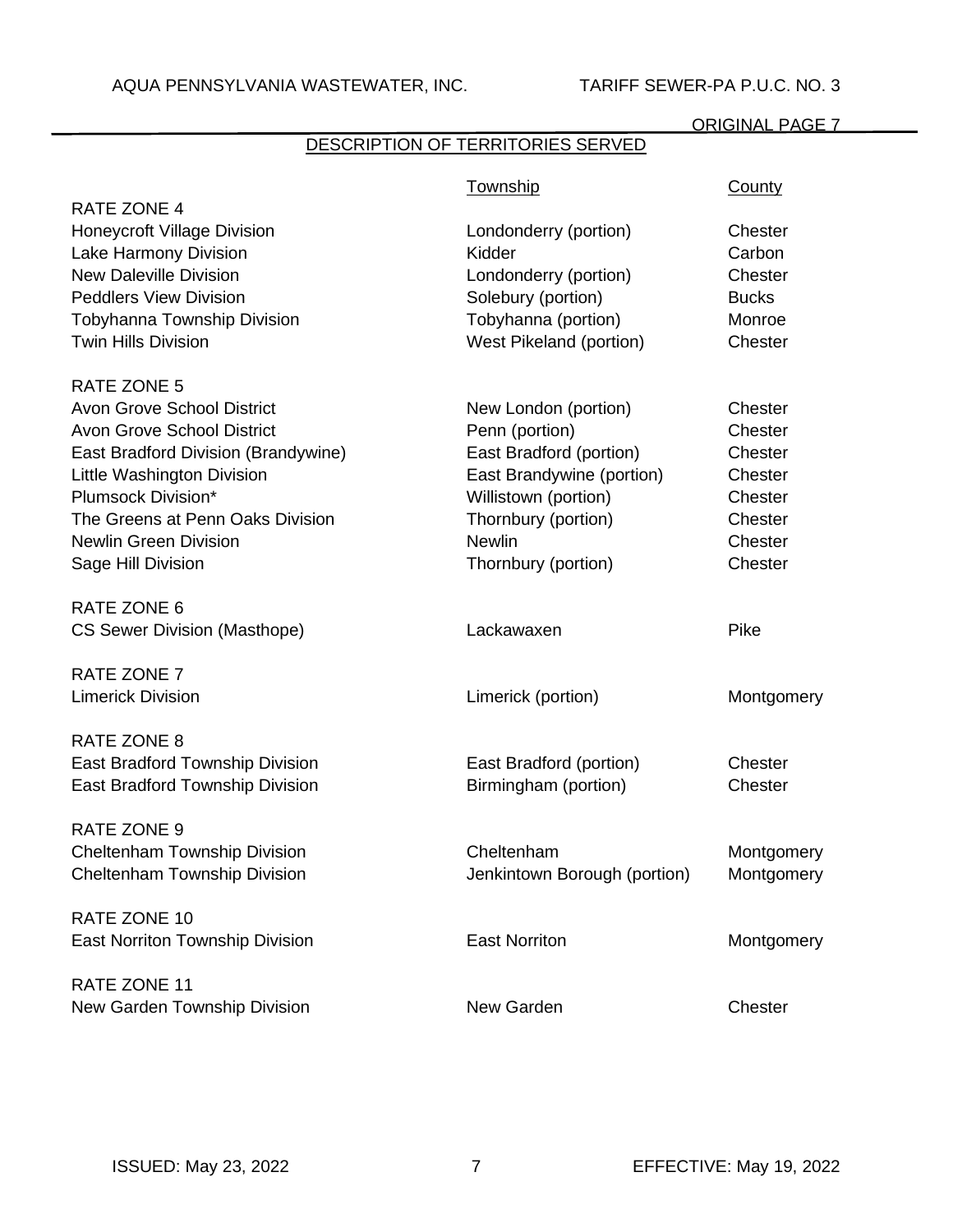# DESCRIPTION OF TERRITORIES SERVED

|                                     | Township                     | <b>County</b> |
|-------------------------------------|------------------------------|---------------|
| <b>RATE ZONE 4</b>                  |                              |               |
| <b>Honeycroft Village Division</b>  | Londonderry (portion)        | Chester       |
| Lake Harmony Division               | Kidder                       | Carbon        |
| <b>New Daleville Division</b>       | Londonderry (portion)        | Chester       |
| <b>Peddlers View Division</b>       | Solebury (portion)           | <b>Bucks</b>  |
| Tobyhanna Township Division         | Tobyhanna (portion)          | Monroe        |
| <b>Twin Hills Division</b>          | West Pikeland (portion)      | Chester       |
| <b>RATE ZONE 5</b>                  |                              |               |
| <b>Avon Grove School District</b>   | New London (portion)         | Chester       |
| <b>Avon Grove School District</b>   | Penn (portion)               | Chester       |
| East Bradford Division (Brandywine) | East Bradford (portion)      | Chester       |
| Little Washington Division          | East Brandywine (portion)    | Chester       |
| Plumsock Division*                  | Willistown (portion)         | Chester       |
| The Greens at Penn Oaks Division    | Thornbury (portion)          | Chester       |
| <b>Newlin Green Division</b>        | <b>Newlin</b>                | Chester       |
| Sage Hill Division                  | Thornbury (portion)          | Chester       |
|                                     |                              |               |
| RATE ZONE 6                         |                              |               |
| <b>CS Sewer Division (Masthope)</b> | Lackawaxen                   | Pike          |
| RATE ZONE 7                         |                              |               |
| <b>Limerick Division</b>            | Limerick (portion)           | Montgomery    |
|                                     |                              |               |
| RATE ZONE 8                         |                              |               |
| East Bradford Township Division     | East Bradford (portion)      | Chester       |
| East Bradford Township Division     | Birmingham (portion)         | Chester       |
| <b>RATE ZONE 9</b>                  |                              |               |
| Cheltenham Township Division        | Cheltenham                   | Montgomery    |
| Cheltenham Township Division        | Jenkintown Borough (portion) | Montgomery    |
| RATE ZONE 10                        |                              |               |
| East Norriton Township Division     | <b>East Norriton</b>         | Montgomery    |
|                                     |                              |               |
| RATE ZONE 11                        |                              |               |
| New Garden Township Division        | New Garden                   | Chester       |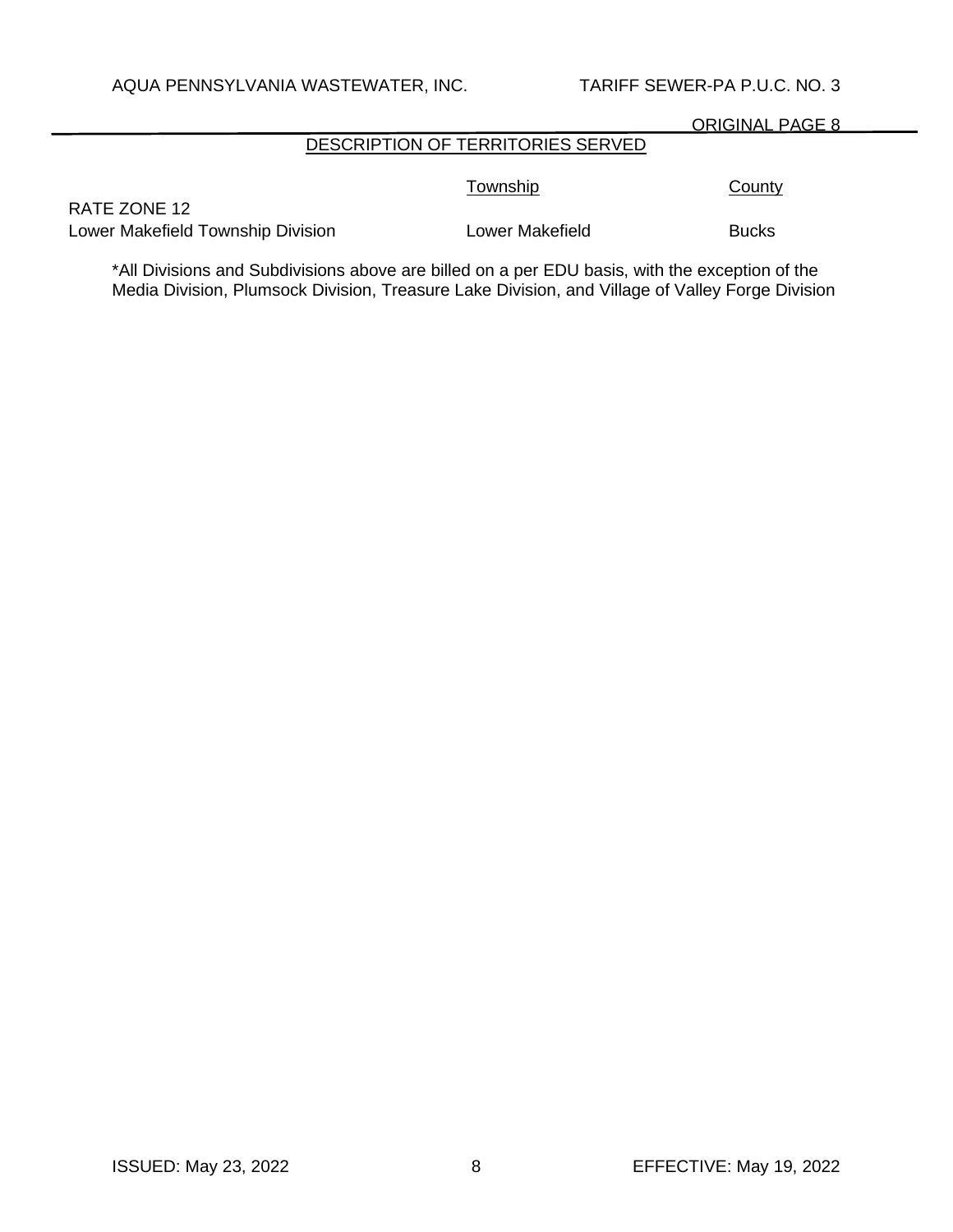# DESCRIPTION OF TERRITORIES SERVED

Township County

RATE ZONE 12 Lower Makefield Township Division **Lower Makefield** Bucks

\*All Divisions and Subdivisions above are billed on a per EDU basis, with the exception of the Media Division, Plumsock Division, Treasure Lake Division, and Village of Valley Forge Division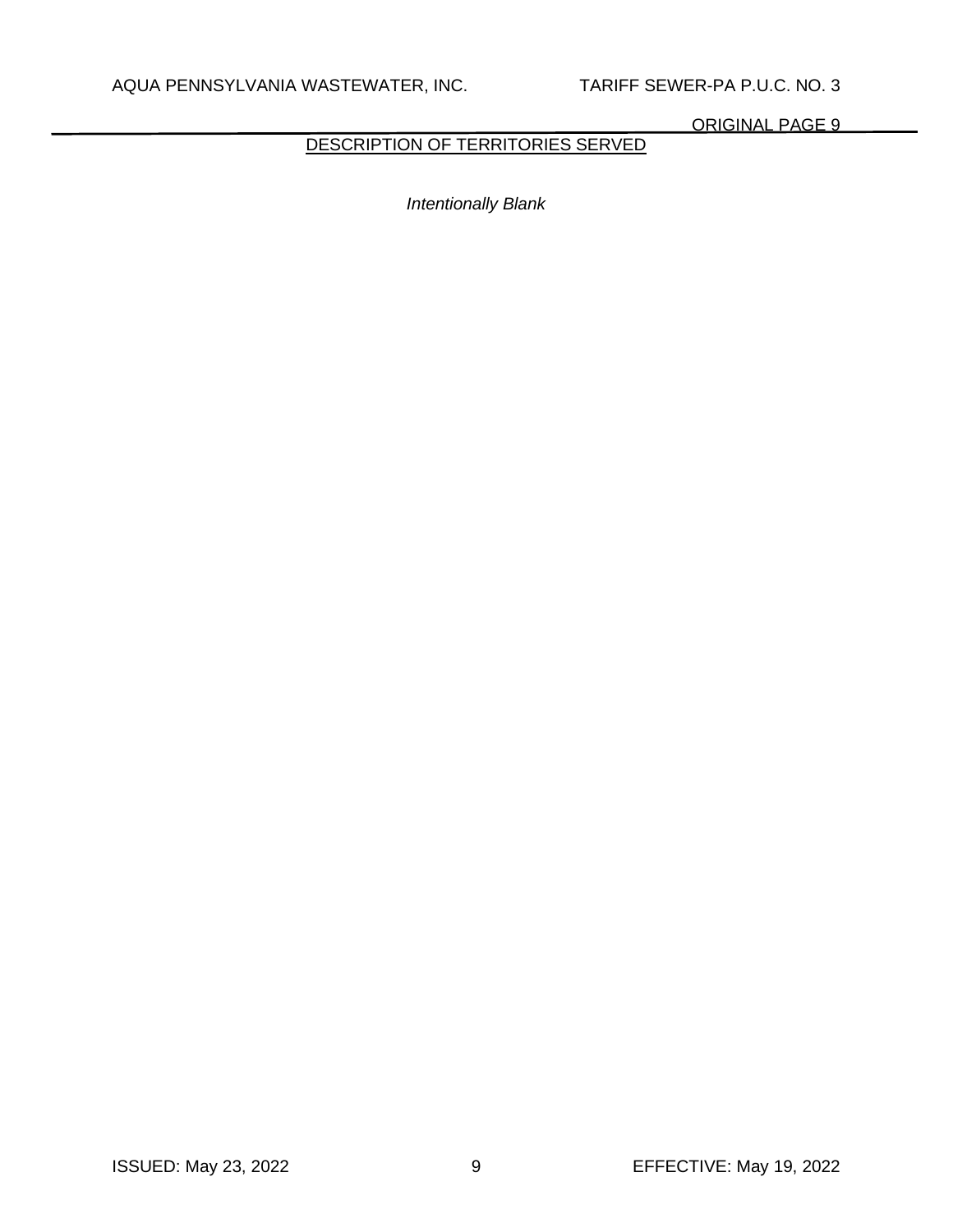DESCRIPTION OF TERRITORIES SERVED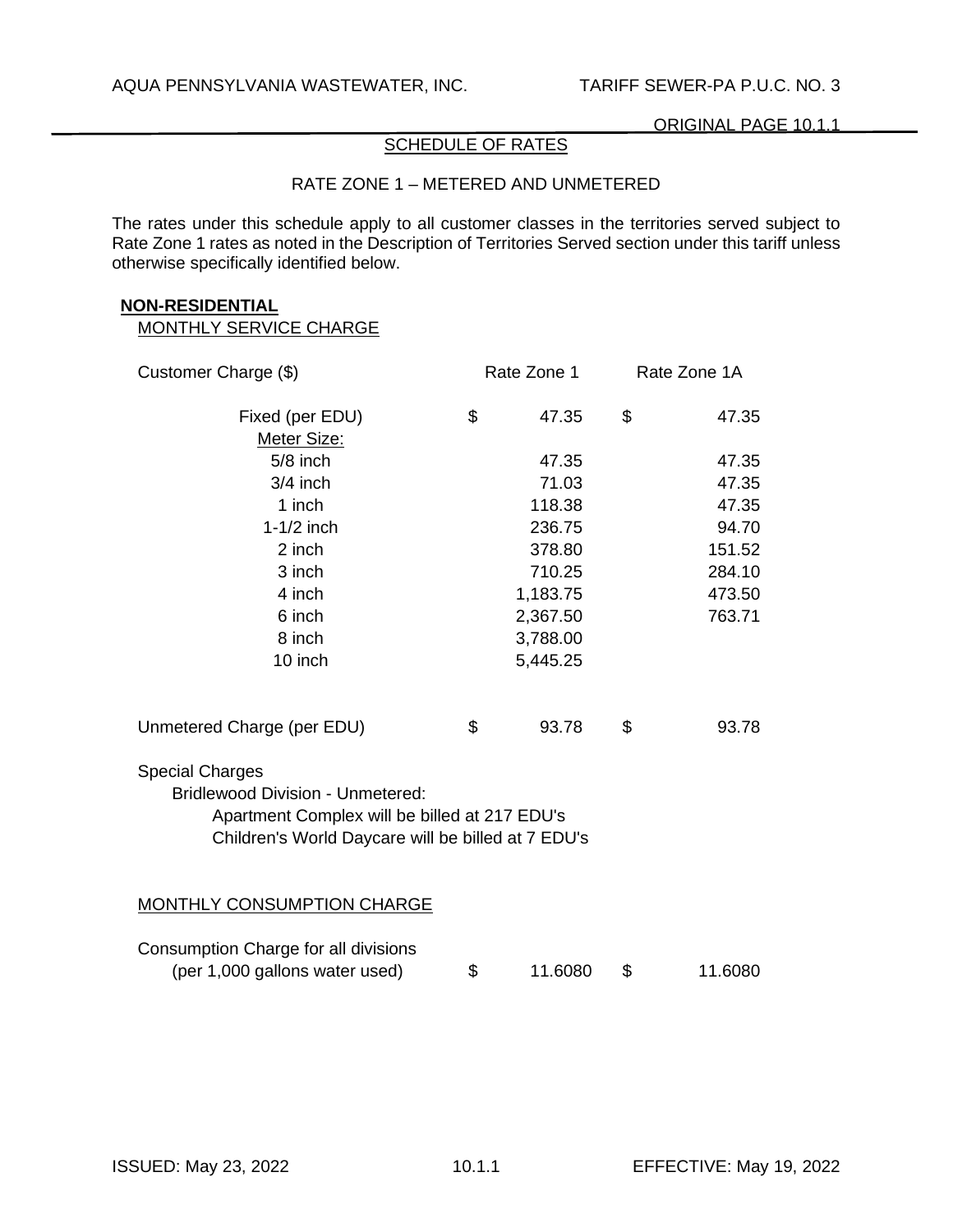# SCHEDULE OF RATES

## RATE ZONE 1 – METERED AND UNMETERED

The rates under this schedule apply to all customer classes in the territories served subject to Rate Zone 1 rates as noted in the Description of Territories Served section under this tariff unless otherwise specifically identified below.

#### **NON-RESIDENTIAL**

| Customer Charge (\$)                               |    | Rate Zone 1 |    | Rate Zone 1A |  |
|----------------------------------------------------|----|-------------|----|--------------|--|
| Fixed (per EDU)                                    | \$ | 47.35       | \$ | 47.35        |  |
| Meter Size:                                        |    |             |    |              |  |
| $5/8$ inch                                         |    | 47.35       |    | 47.35        |  |
| $3/4$ inch                                         |    | 71.03       |    | 47.35        |  |
| 1 inch                                             |    | 118.38      |    | 47.35        |  |
| $1-1/2$ inch                                       |    | 236.75      |    | 94.70        |  |
| 2 inch                                             |    | 378.80      |    | 151.52       |  |
| 3 inch                                             |    | 710.25      |    | 284.10       |  |
| 4 inch                                             |    | 1,183.75    |    | 473.50       |  |
| 6 inch                                             |    | 2,367.50    |    | 763.71       |  |
| 8 inch                                             |    | 3,788.00    |    |              |  |
| 10 inch                                            |    | 5,445.25    |    |              |  |
| Unmetered Charge (per EDU)                         | \$ | 93.78       | \$ | 93.78        |  |
| <b>Special Charges</b>                             |    |             |    |              |  |
| <b>Bridlewood Division - Unmetered:</b>            |    |             |    |              |  |
| Apartment Complex will be billed at 217 EDU's      |    |             |    |              |  |
| Children's World Daycare will be billed at 7 EDU's |    |             |    |              |  |
|                                                    |    |             |    |              |  |
| <b>MONTHLY CONSUMPTION CHARGE</b>                  |    |             |    |              |  |
| Consumption Charge for all divisions               |    |             |    |              |  |
| (per 1,000 gallons water used)                     | \$ | 11.6080     | \$ | 11.6080      |  |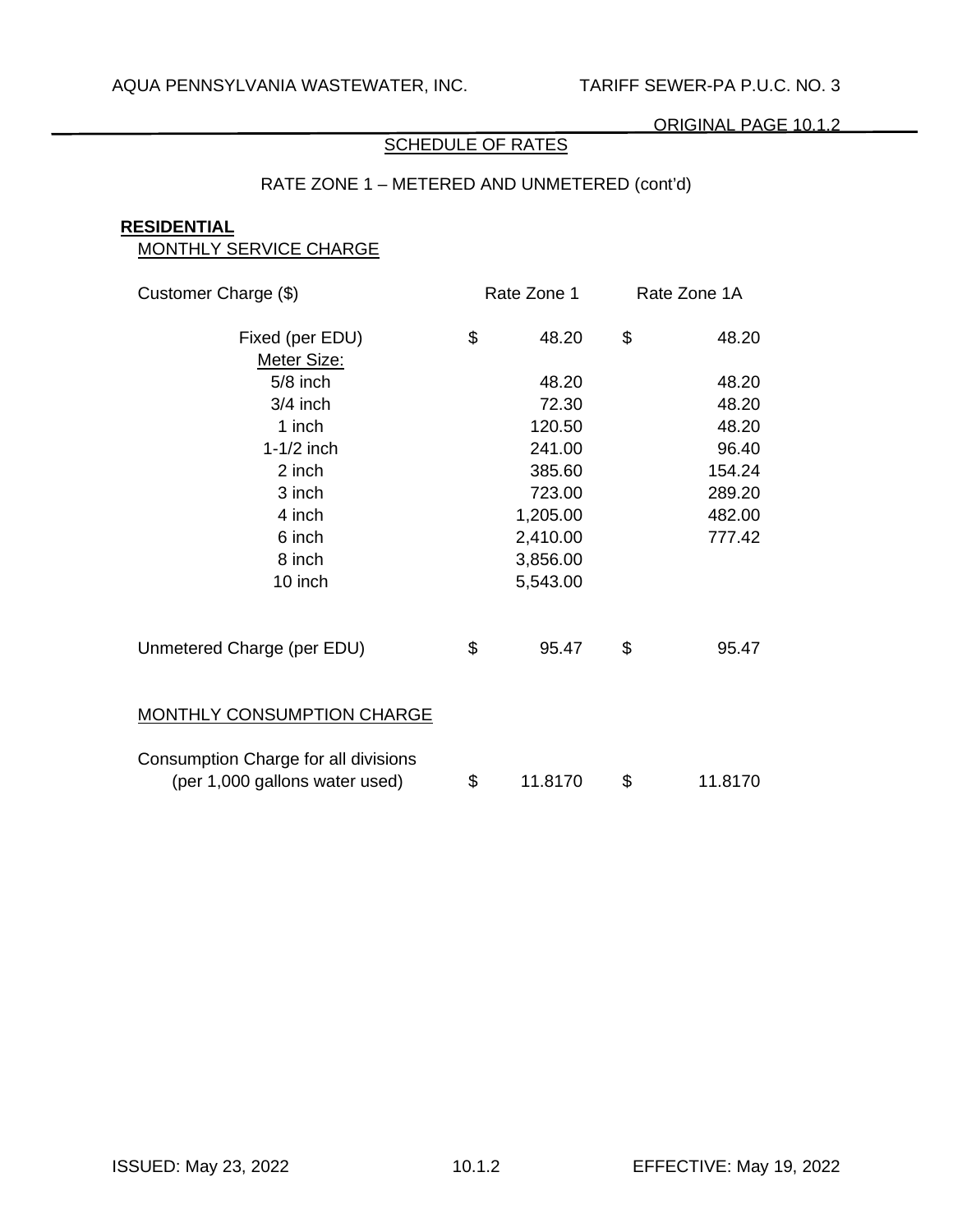# SCHEDULE OF RATES

# RATE ZONE 1 – METERED AND UNMETERED (cont'd)

#### **RESIDENTIAL**

| Customer Charge (\$)                                                   | Rate Zone 1   | Rate Zone 1A |         |
|------------------------------------------------------------------------|---------------|--------------|---------|
| Fixed (per EDU)<br>Meter Size:                                         | \$<br>48.20   | \$           | 48.20   |
| $5/8$ inch                                                             | 48.20         |              | 48.20   |
| $3/4$ inch                                                             | 72.30         |              | 48.20   |
| 1 inch                                                                 | 120.50        |              | 48.20   |
| $1-1/2$ inch                                                           | 241.00        |              | 96.40   |
| 2 inch                                                                 | 385.60        |              | 154.24  |
| 3 inch                                                                 | 723.00        |              | 289.20  |
| 4 inch                                                                 | 1,205.00      |              | 482.00  |
| 6 inch                                                                 | 2,410.00      |              | 777.42  |
| 8 inch                                                                 | 3,856.00      |              |         |
| 10 inch                                                                | 5,543.00      |              |         |
| Unmetered Charge (per EDU)                                             | \$<br>95.47   | \$           | 95.47   |
| <b>MONTHLY CONSUMPTION CHARGE</b>                                      |               |              |         |
| Consumption Charge for all divisions<br>(per 1,000 gallons water used) | \$<br>11.8170 | \$           | 11.8170 |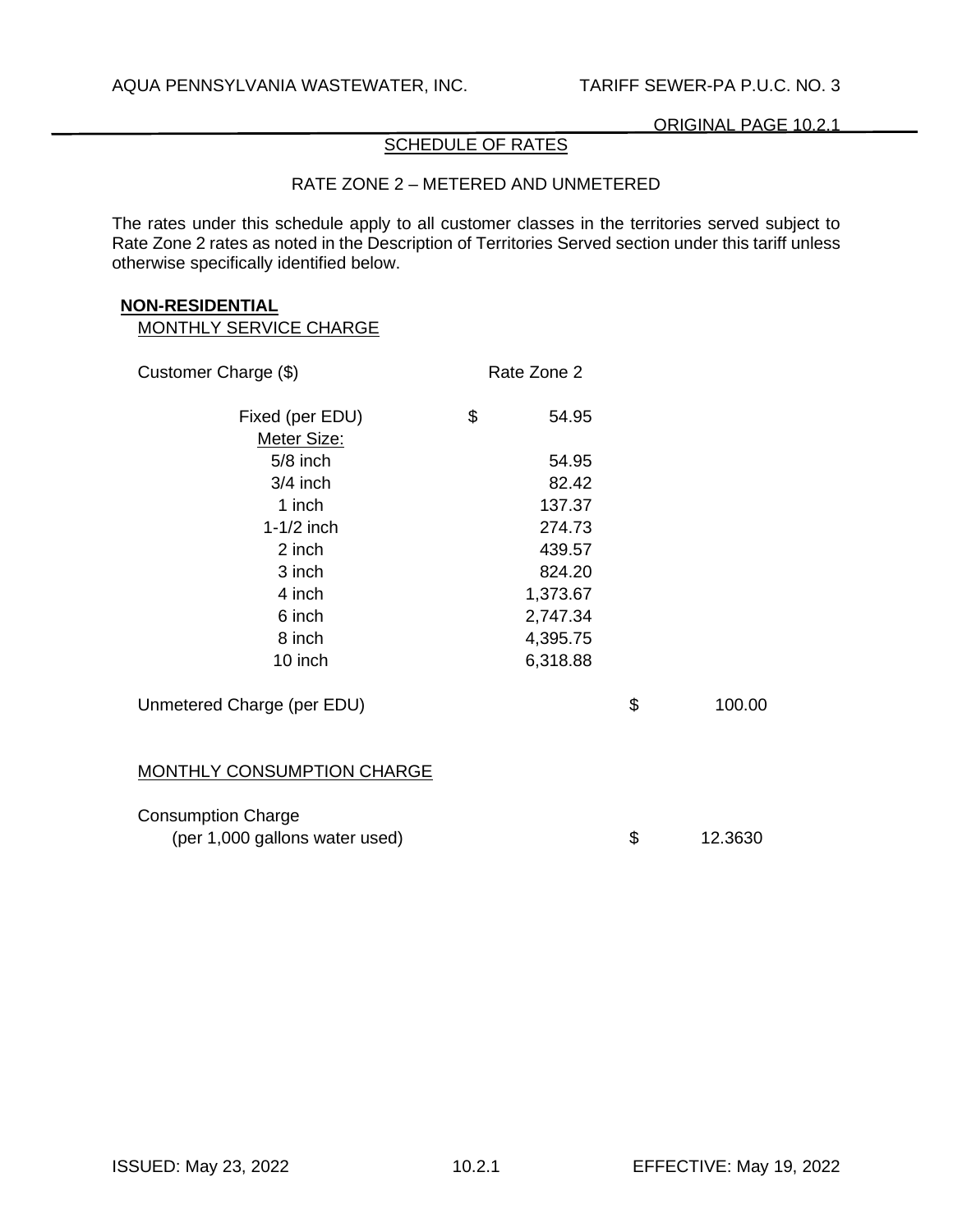# SCHEDULE OF RATES

### RATE ZONE 2 – METERED AND UNMETERED

The rates under this schedule apply to all customer classes in the territories served subject to Rate Zone 2 rates as noted in the Description of Territories Served section under this tariff unless otherwise specifically identified below.

#### **NON-RESIDENTIAL**

| Customer Charge (\$)              | Rate Zone 2 |               |
|-----------------------------------|-------------|---------------|
| Fixed (per EDU)                   | \$<br>54.95 |               |
| Meter Size:                       |             |               |
| $5/8$ inch                        | 54.95       |               |
| $3/4$ inch                        | 82.42       |               |
| 1 inch                            | 137.37      |               |
| $1-1/2$ inch                      | 274.73      |               |
| 2 inch                            | 439.57      |               |
| 3 inch                            | 824.20      |               |
| 4 inch                            | 1,373.67    |               |
| 6 inch                            | 2,747.34    |               |
| 8 inch                            | 4,395.75    |               |
| 10 inch                           | 6,318.88    |               |
| Unmetered Charge (per EDU)        |             | \$<br>100.00  |
| <b>MONTHLY CONSUMPTION CHARGE</b> |             |               |
| <b>Consumption Charge</b>         |             |               |
| (per 1,000 gallons water used)    |             | \$<br>12.3630 |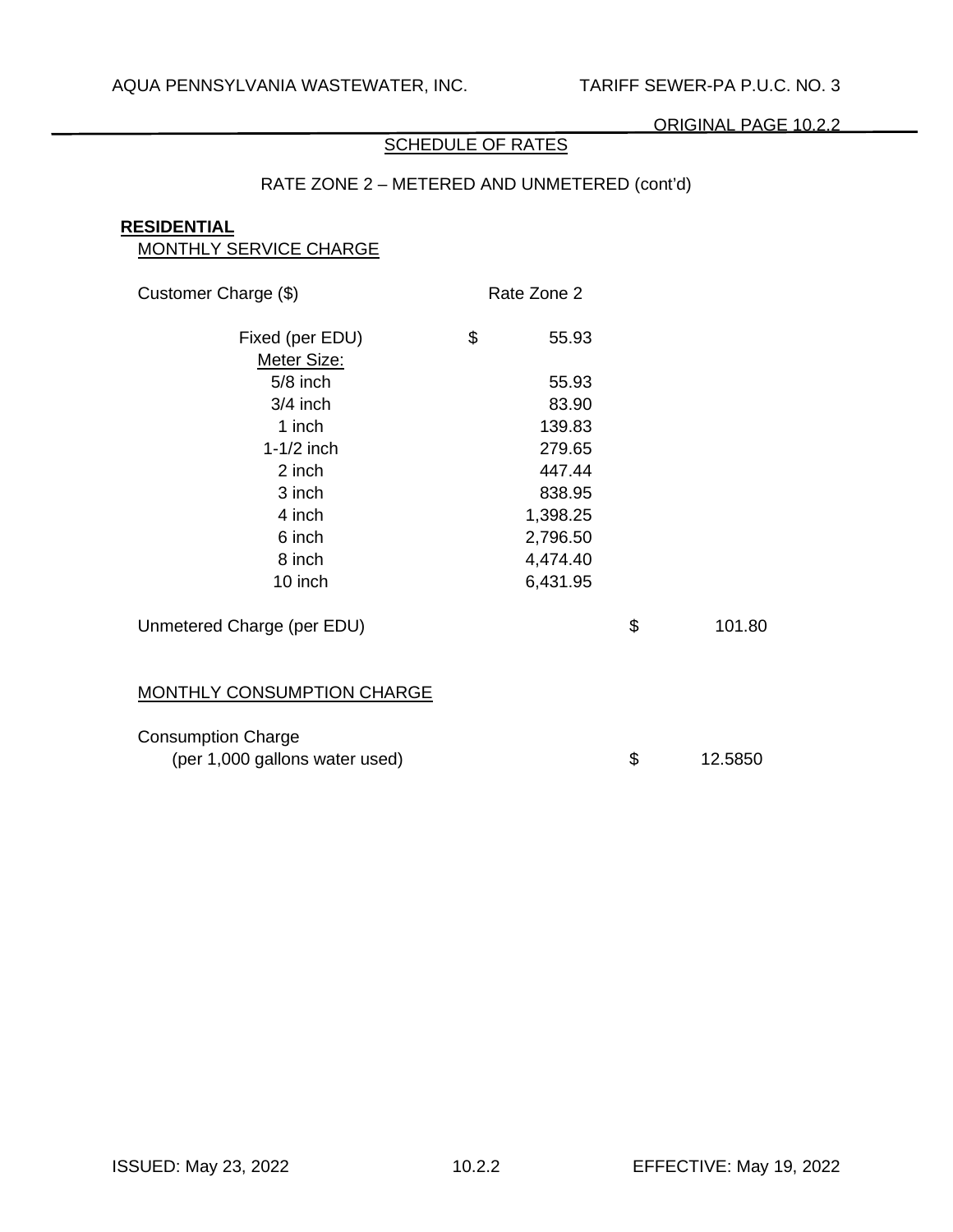# SCHEDULE OF RATES

# RATE ZONE 2 – METERED AND UNMETERED (cont'd)

#### **RESIDENTIAL**

| <b>MONTHLY SERVICE CHARGE</b>     |             |               |
|-----------------------------------|-------------|---------------|
| Customer Charge (\$)              | Rate Zone 2 |               |
| Fixed (per EDU)<br>Meter Size:    | \$<br>55.93 |               |
| $5/8$ inch                        | 55.93       |               |
| $3/4$ inch                        | 83.90       |               |
| 1 inch                            | 139.83      |               |
| $1-1/2$ inch                      | 279.65      |               |
| 2 inch                            | 447.44      |               |
| 3 inch                            | 838.95      |               |
| 4 inch                            | 1,398.25    |               |
| 6 inch                            | 2,796.50    |               |
| 8 inch                            | 4,474.40    |               |
| 10 inch                           | 6,431.95    |               |
| Unmetered Charge (per EDU)        |             | \$<br>101.80  |
| <b>MONTHLY CONSUMPTION CHARGE</b> |             |               |
| <b>Consumption Charge</b>         |             |               |
| (per 1,000 gallons water used)    |             | \$<br>12.5850 |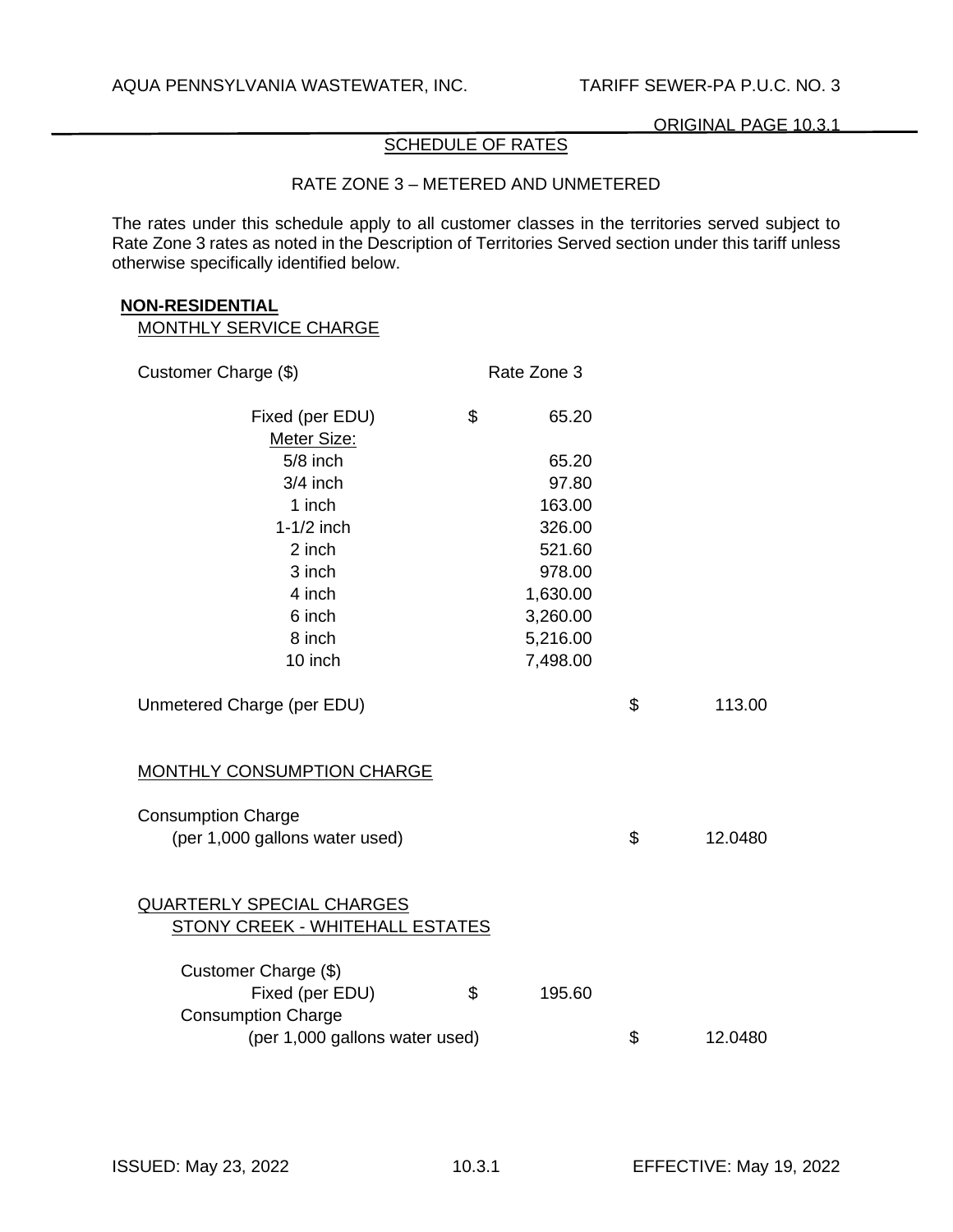# SCHEDULE OF RATES

### RATE ZONE 3 – METERED AND UNMETERED

The rates under this schedule apply to all customer classes in the territories served subject to Rate Zone 3 rates as noted in the Description of Territories Served section under this tariff unless otherwise specifically identified below.

#### **NON-RESIDENTIAL**

| Customer Charge (\$)              | Rate Zone 3  |               |
|-----------------------------------|--------------|---------------|
| Fixed (per EDU)                   | \$<br>65.20  |               |
| Meter Size:                       |              |               |
| $5/8$ inch                        | 65.20        |               |
| $3/4$ inch                        | 97.80        |               |
| 1 inch                            | 163.00       |               |
| $1-1/2$ inch                      | 326.00       |               |
| 2 inch                            | 521.60       |               |
| 3 inch                            | 978.00       |               |
| 4 inch                            | 1,630.00     |               |
| 6 inch                            | 3,260.00     |               |
| 8 inch                            | 5,216.00     |               |
| 10 inch                           | 7,498.00     |               |
| Unmetered Charge (per EDU)        |              | \$<br>113.00  |
| <b>MONTHLY CONSUMPTION CHARGE</b> |              |               |
| <b>Consumption Charge</b>         |              |               |
| (per 1,000 gallons water used)    |              | \$<br>12.0480 |
| <b>QUARTERLY SPECIAL CHARGES</b>  |              |               |
| STONY CREEK - WHITEHALL ESTATES   |              |               |
| Customer Charge (\$)              |              |               |
| Fixed (per EDU)                   | \$<br>195.60 |               |
| <b>Consumption Charge</b>         |              |               |
| (per 1,000 gallons water used)    |              | \$<br>12.0480 |
|                                   |              |               |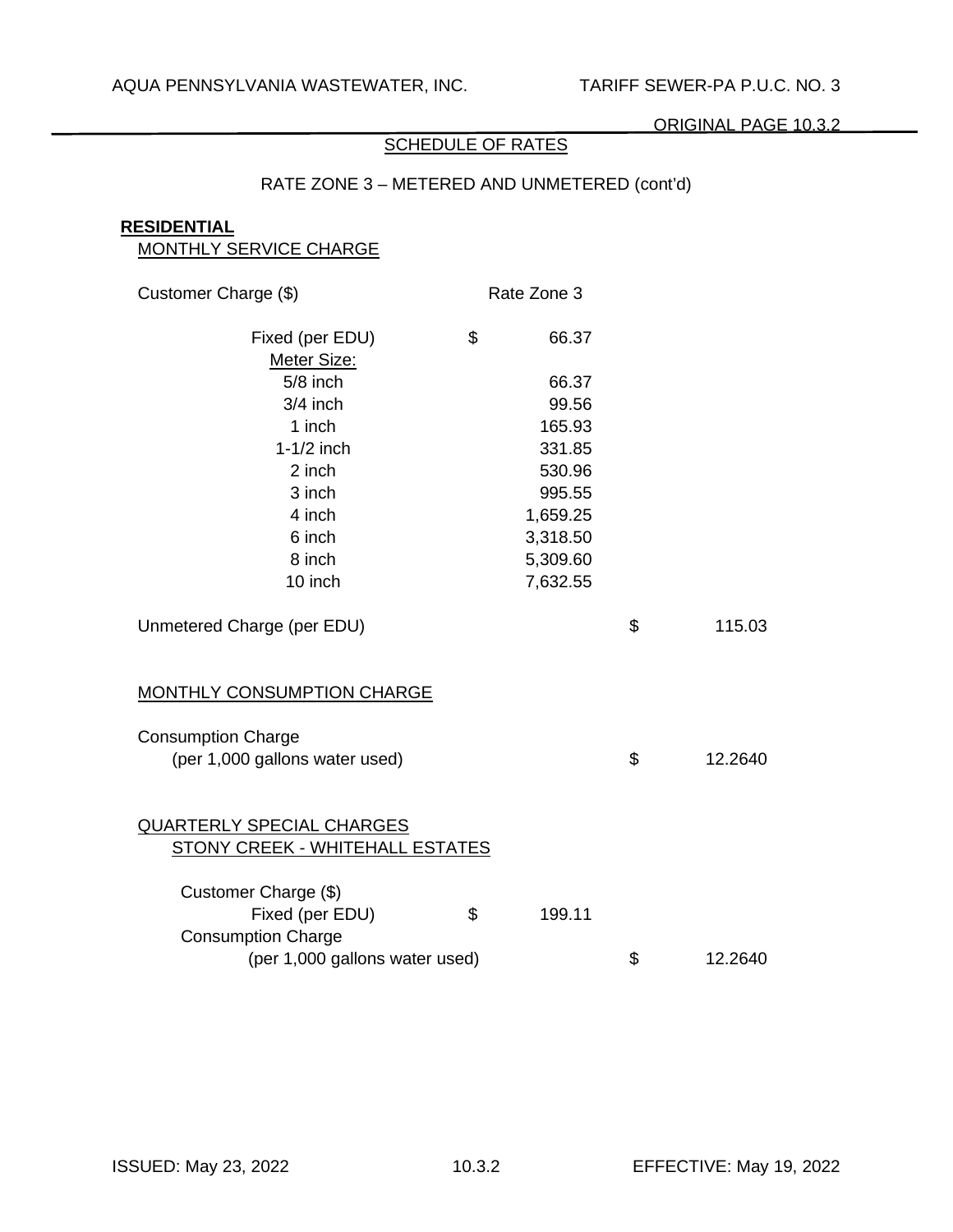# **SCHEDULE OF RATES**

# RATE ZONE 3 – METERED AND UNMETERED (cont'd)

## **RESIDENTIAL**

| <b>MONTHLY SERVICE CHARGE</b>          |              |               |
|----------------------------------------|--------------|---------------|
| Customer Charge (\$)                   | Rate Zone 3  |               |
| Fixed (per EDU)                        | \$<br>66.37  |               |
| Meter Size:                            |              |               |
| $5/8$ inch                             | 66.37        |               |
| $3/4$ inch                             | 99.56        |               |
| 1 inch                                 | 165.93       |               |
| $1-1/2$ inch                           | 331.85       |               |
| 2 inch                                 | 530.96       |               |
| 3 inch                                 | 995.55       |               |
| 4 inch                                 | 1,659.25     |               |
| 6 inch                                 | 3,318.50     |               |
| 8 inch                                 | 5,309.60     |               |
| 10 inch                                | 7,632.55     |               |
| Unmetered Charge (per EDU)             |              | \$<br>115.03  |
| <b>MONTHLY CONSUMPTION CHARGE</b>      |              |               |
| <b>Consumption Charge</b>              |              |               |
| (per 1,000 gallons water used)         |              | \$<br>12.2640 |
| <b>QUARTERLY SPECIAL CHARGES</b>       |              |               |
| <b>STONY CREEK - WHITEHALL ESTATES</b> |              |               |
| Customer Charge (\$)                   |              |               |
| Fixed (per EDU)                        | \$<br>199.11 |               |
| <b>Consumption Charge</b>              |              |               |
| (per 1,000 gallons water used)         |              | \$<br>12.2640 |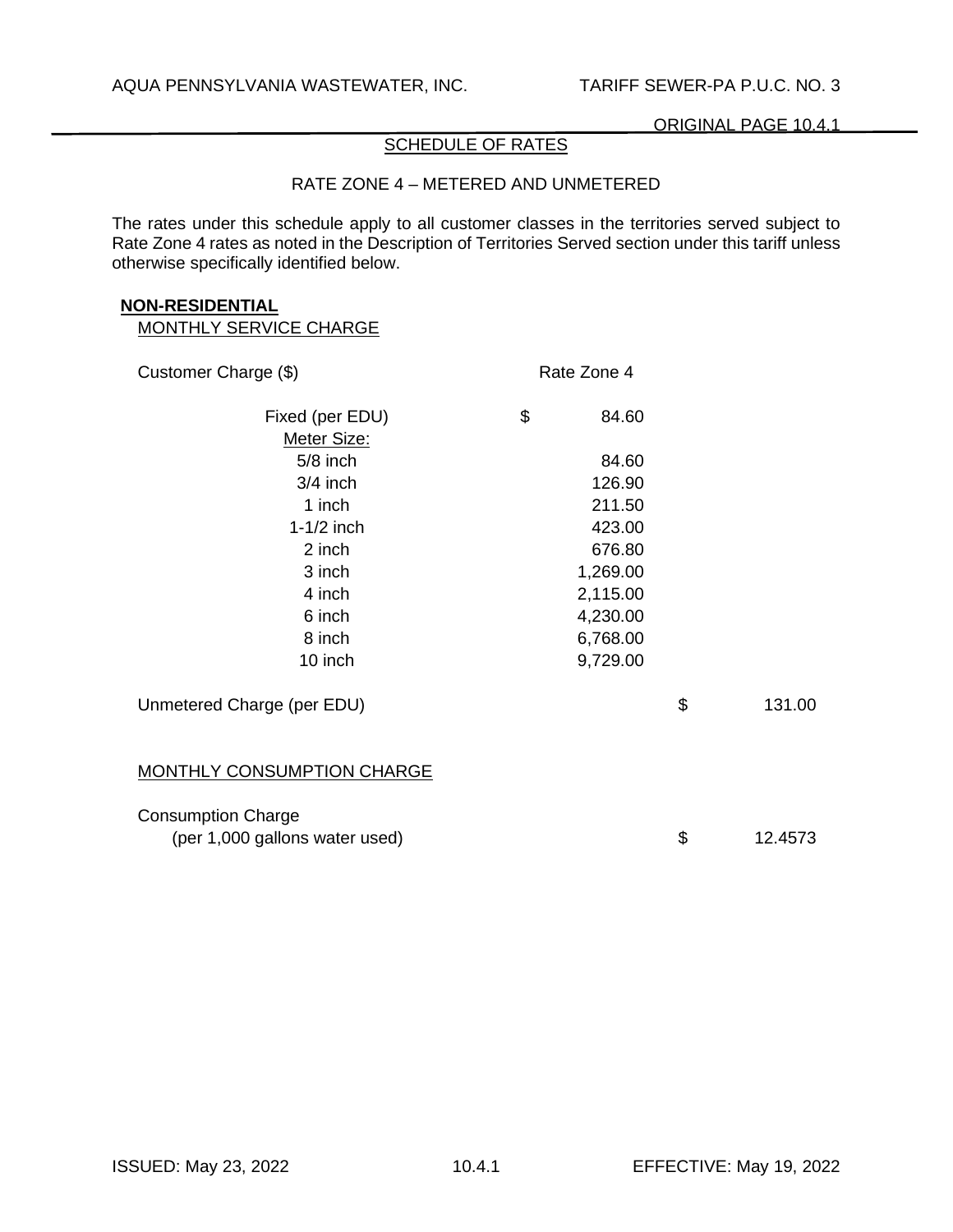# SCHEDULE OF RATES

## RATE ZONE 4 – METERED AND UNMETERED

The rates under this schedule apply to all customer classes in the territories served subject to Rate Zone 4 rates as noted in the Description of Territories Served section under this tariff unless otherwise specifically identified below.

#### **NON-RESIDENTIAL**

| Customer Charge (\$)                                        | Rate Zone 4 |               |
|-------------------------------------------------------------|-------------|---------------|
| Fixed (per EDU)<br>Meter Size:                              | \$<br>84.60 |               |
| $5/8$ inch                                                  | 84.60       |               |
| $3/4$ inch                                                  | 126.90      |               |
| 1 inch                                                      | 211.50      |               |
| $1-1/2$ inch                                                | 423.00      |               |
| 2 inch                                                      | 676.80      |               |
| 3 inch                                                      | 1,269.00    |               |
| 4 inch                                                      | 2,115.00    |               |
| 6 inch                                                      | 4,230.00    |               |
| 8 inch                                                      | 6,768.00    |               |
| 10 inch                                                     | 9,729.00    |               |
| Unmetered Charge (per EDU)                                  |             | \$<br>131.00  |
| MONTHLY CONSUMPTION CHARGE                                  |             |               |
| <b>Consumption Charge</b><br>(per 1,000 gallons water used) |             | \$<br>12.4573 |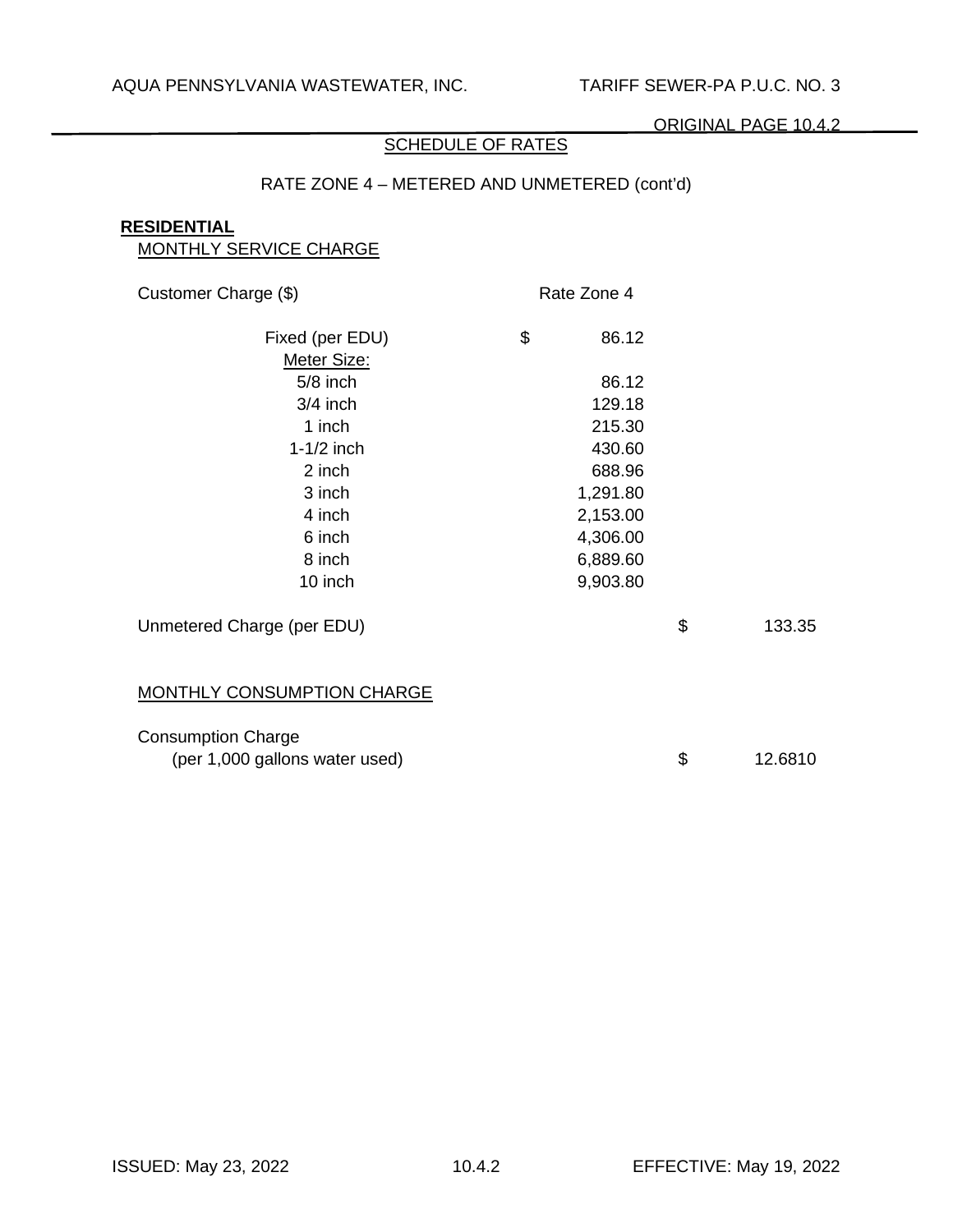# **SCHEDULE OF RATES**

# RATE ZONE 4 – METERED AND UNMETERED (cont'd)

## **RESIDENTIAL**

| MONTHLY SERVICE CHARGE         |             |               |
|--------------------------------|-------------|---------------|
| Customer Charge (\$)           | Rate Zone 4 |               |
| Fixed (per EDU)<br>Meter Size: | \$<br>86.12 |               |
| $5/8$ inch                     | 86.12       |               |
| $3/4$ inch                     | 129.18      |               |
| 1 inch                         | 215.30      |               |
| $1-1/2$ inch                   | 430.60      |               |
| 2 inch                         | 688.96      |               |
| 3 inch                         | 1,291.80    |               |
| 4 inch                         | 2,153.00    |               |
| 6 inch                         | 4,306.00    |               |
| 8 inch                         | 6,889.60    |               |
| 10 inch                        | 9,903.80    |               |
| Unmetered Charge (per EDU)     |             | \$<br>133.35  |
| MONTHLY CONSUMPTION CHARGE     |             |               |
| <b>Consumption Charge</b>      |             |               |
| (per 1,000 gallons water used) |             | \$<br>12.6810 |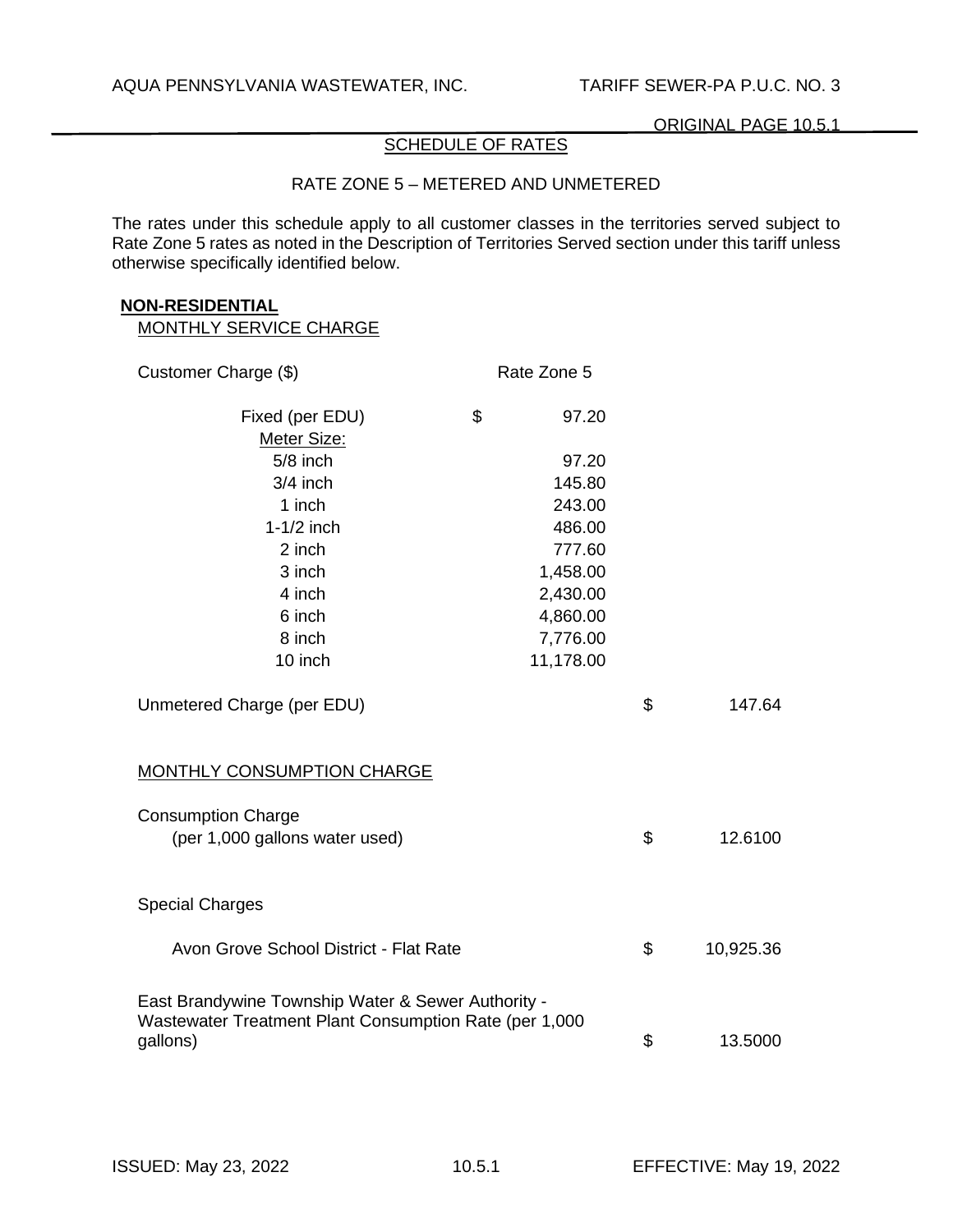# SCHEDULE OF RATES

## RATE ZONE 5 – METERED AND UNMETERED

The rates under this schedule apply to all customer classes in the territories served subject to Rate Zone 5 rates as noted in the Description of Territories Served section under this tariff unless otherwise specifically identified below.

#### **NON-RESIDENTIAL**

| Customer Charge (\$)                                   | Rate Zone 5 |                 |
|--------------------------------------------------------|-------------|-----------------|
| Fixed (per EDU)                                        | \$<br>97.20 |                 |
| Meter Size:                                            |             |                 |
| $5/8$ inch                                             | 97.20       |                 |
| $3/4$ inch                                             | 145.80      |                 |
| 1 inch                                                 | 243.00      |                 |
| $1-1/2$ inch                                           | 486.00      |                 |
| 2 inch                                                 | 777.60      |                 |
| 3 inch                                                 | 1,458.00    |                 |
| 4 inch                                                 | 2,430.00    |                 |
| 6 inch                                                 | 4,860.00    |                 |
| 8 inch                                                 | 7,776.00    |                 |
| 10 inch                                                | 11,178.00   |                 |
| Unmetered Charge (per EDU)                             |             | \$<br>147.64    |
| MONTHLY CONSUMPTION CHARGE                             |             |                 |
| <b>Consumption Charge</b>                              |             |                 |
| (per 1,000 gallons water used)                         |             | \$<br>12.6100   |
|                                                        |             |                 |
| <b>Special Charges</b>                                 |             |                 |
| Avon Grove School District - Flat Rate                 |             | \$<br>10,925.36 |
| East Brandywine Township Water & Sewer Authority -     |             |                 |
| Wastewater Treatment Plant Consumption Rate (per 1,000 |             |                 |
| gallons)                                               |             | \$<br>13.5000   |
|                                                        |             |                 |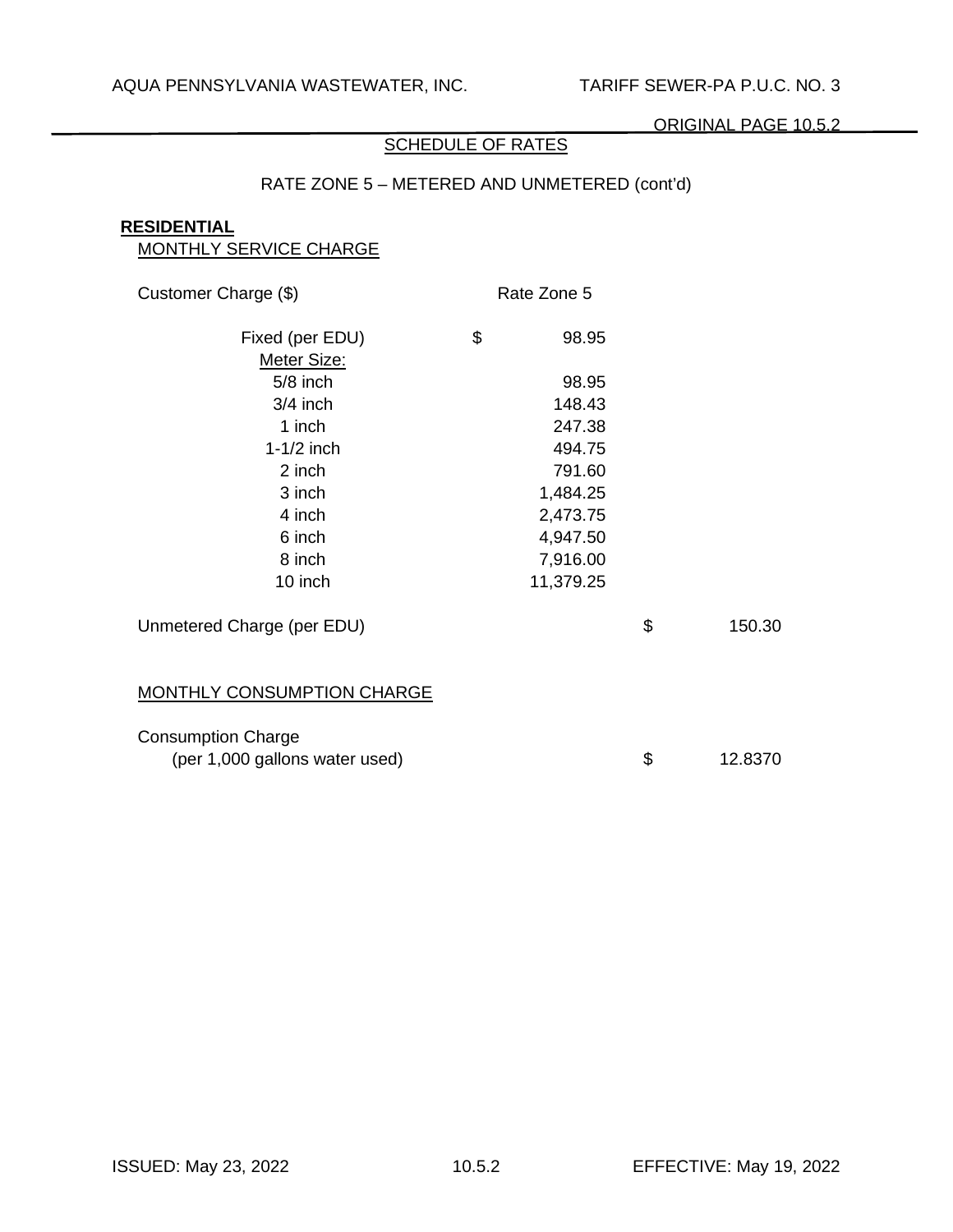# SCHEDULE OF RATES

# RATE ZONE 5 – METERED AND UNMETERED (cont'd)

# **RESIDENTIAL**

| <b>MONTHLY SERVICE CHARGE</b>  |             |               |
|--------------------------------|-------------|---------------|
| Customer Charge (\$)           | Rate Zone 5 |               |
| Fixed (per EDU)                | \$<br>98.95 |               |
| Meter Size:                    |             |               |
| $5/8$ inch                     | 98.95       |               |
| $3/4$ inch                     | 148.43      |               |
| 1 inch                         | 247.38      |               |
| $1-1/2$ inch                   | 494.75      |               |
| 2 inch                         | 791.60      |               |
| 3 inch                         | 1,484.25    |               |
| 4 inch                         | 2,473.75    |               |
| 6 inch                         | 4,947.50    |               |
| 8 inch                         | 7,916.00    |               |
| 10 inch                        | 11,379.25   |               |
| Unmetered Charge (per EDU)     |             | \$<br>150.30  |
| MONTHLY CONSUMPTION CHARGE     |             |               |
| <b>Consumption Charge</b>      |             |               |
| (per 1,000 gallons water used) |             | \$<br>12.8370 |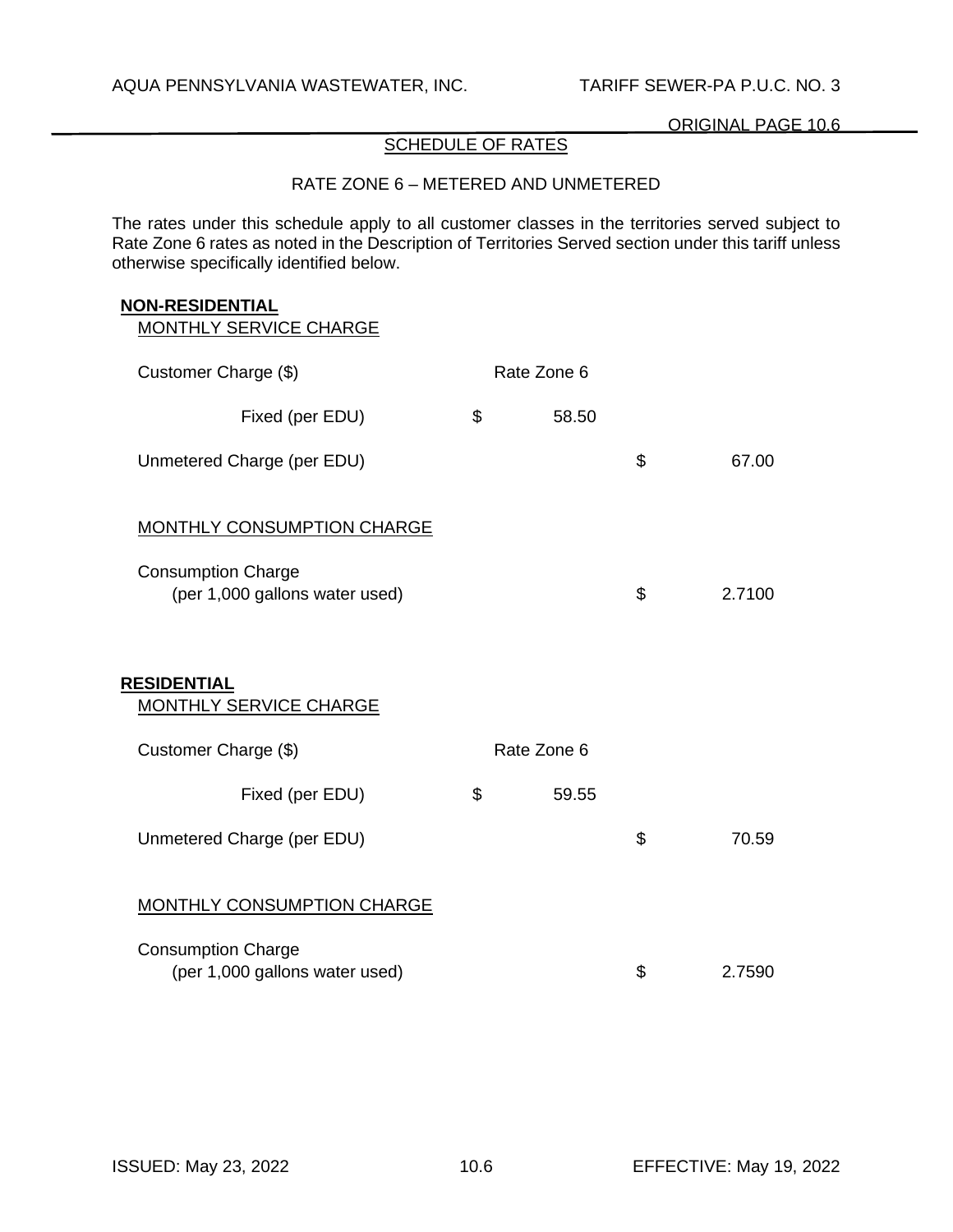# SCHEDULE OF RATES

# RATE ZONE 6 – METERED AND UNMETERED

The rates under this schedule apply to all customer classes in the territories served subject to Rate Zone 6 rates as noted in the Description of Territories Served section under this tariff unless otherwise specifically identified below.

#### **NON-RESIDENTIAL**

| Customer Charge (\$)                                        | Rate Zone 6 |              |
|-------------------------------------------------------------|-------------|--------------|
| Fixed (per EDU)                                             | \$<br>58.50 |              |
| Unmetered Charge (per EDU)                                  |             | \$<br>67.00  |
| <b>MONTHLY CONSUMPTION CHARGE</b>                           |             |              |
| <b>Consumption Charge</b><br>(per 1,000 gallons water used) |             | \$<br>2.7100 |
| <b>RESIDENTIAL</b><br><b>MONTHLY SERVICE CHARGE</b>         |             |              |
| Customer Charge (\$)                                        | Rate Zone 6 |              |
| Fixed (per EDU)                                             | \$<br>59.55 |              |
| Unmetered Charge (per EDU)                                  |             | \$<br>70.59  |
| <b>MONTHLY CONSUMPTION CHARGE</b>                           |             |              |
| <b>Consumption Charge</b><br>(per 1,000 gallons water used) |             | \$<br>2.7590 |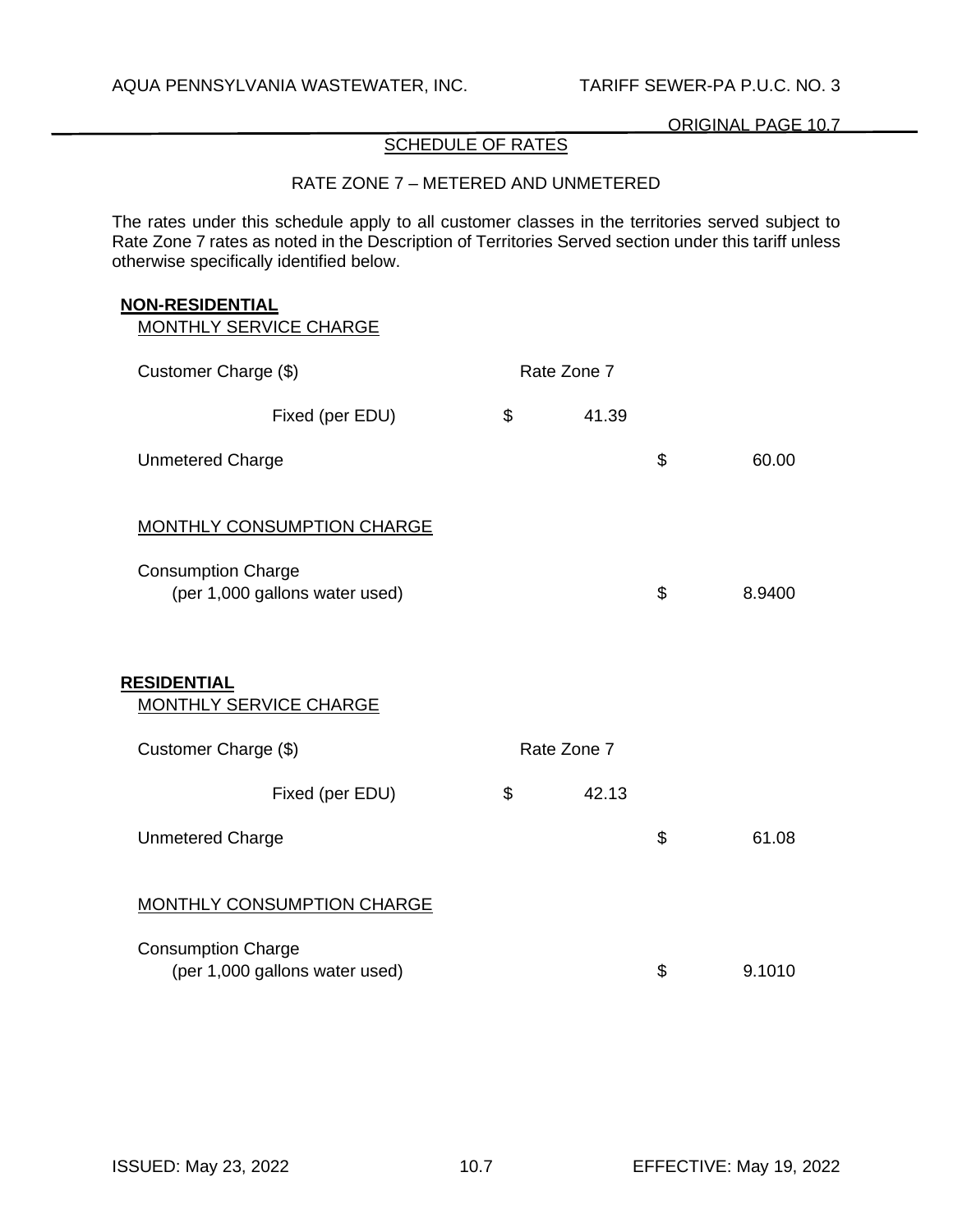# SCHEDULE OF RATES

## RATE ZONE 7 – METERED AND UNMETERED

The rates under this schedule apply to all customer classes in the territories served subject to Rate Zone 7 rates as noted in the Description of Territories Served section under this tariff unless otherwise specifically identified below.

#### **NON-RESIDENTIAL**

| Customer Charge (\$)                                        | Rate Zone 7 |              |
|-------------------------------------------------------------|-------------|--------------|
| Fixed (per EDU)                                             | \$<br>41.39 |              |
| <b>Unmetered Charge</b>                                     |             | \$<br>60.00  |
| <b>MONTHLY CONSUMPTION CHARGE</b>                           |             |              |
| <b>Consumption Charge</b><br>(per 1,000 gallons water used) |             | \$<br>8.9400 |
| <b>RESIDENTIAL</b><br><b>MONTHLY SERVICE CHARGE</b>         |             |              |
| Customer Charge (\$)                                        | Rate Zone 7 |              |
| Fixed (per EDU)                                             | \$<br>42.13 |              |
| <b>Unmetered Charge</b>                                     |             | \$<br>61.08  |
| <b>MONTHLY CONSUMPTION CHARGE</b>                           |             |              |
| <b>Consumption Charge</b><br>(per 1,000 gallons water used) |             | \$<br>9.1010 |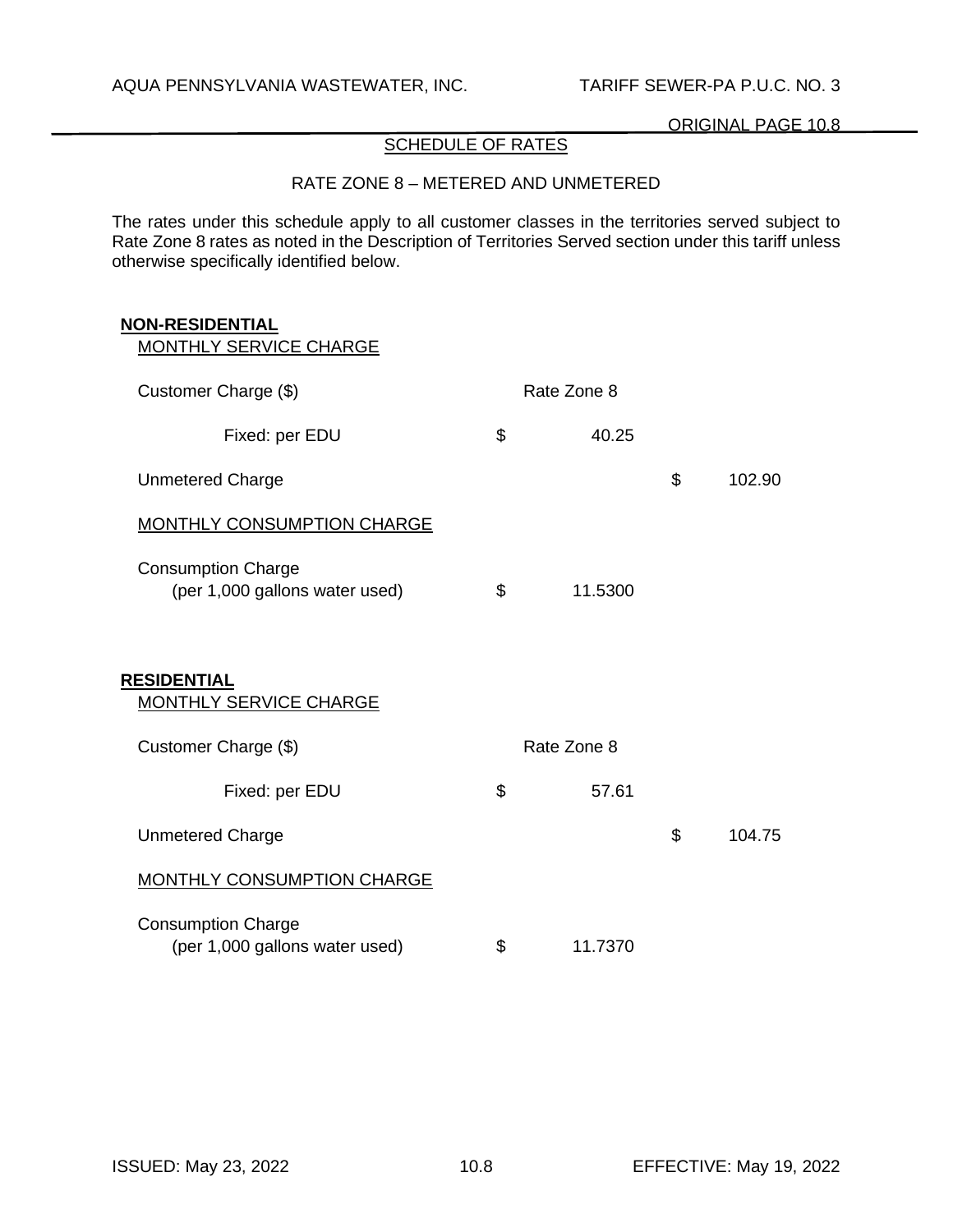# SCHEDULE OF RATES

# RATE ZONE 8 – METERED AND UNMETERED

The rates under this schedule apply to all customer classes in the territories served subject to Rate Zone 8 rates as noted in the Description of Territories Served section under this tariff unless otherwise specifically identified below.

| <b>NON-RESIDENTIAL</b><br>MONTHLY SERVICE CHARGE            |               |              |
|-------------------------------------------------------------|---------------|--------------|
|                                                             | Rate Zone 8   |              |
| Customer Charge (\$)                                        |               |              |
| Fixed: per EDU                                              | \$<br>40.25   |              |
| <b>Unmetered Charge</b>                                     |               | \$<br>102.90 |
| <b>MONTHLY CONSUMPTION CHARGE</b>                           |               |              |
| <b>Consumption Charge</b><br>(per 1,000 gallons water used) | \$<br>11.5300 |              |
| <b>RESIDENTIAL</b><br><b>MONTHLY SERVICE CHARGE</b>         |               |              |
| Customer Charge (\$)                                        | Rate Zone 8   |              |
| Fixed: per EDU                                              | \$<br>57.61   |              |
| <b>Unmetered Charge</b>                                     |               | \$<br>104.75 |
| MONTHLY CONSUMPTION CHARGE                                  |               |              |
| <b>Consumption Charge</b><br>(per 1,000 gallons water used) | \$<br>11.7370 |              |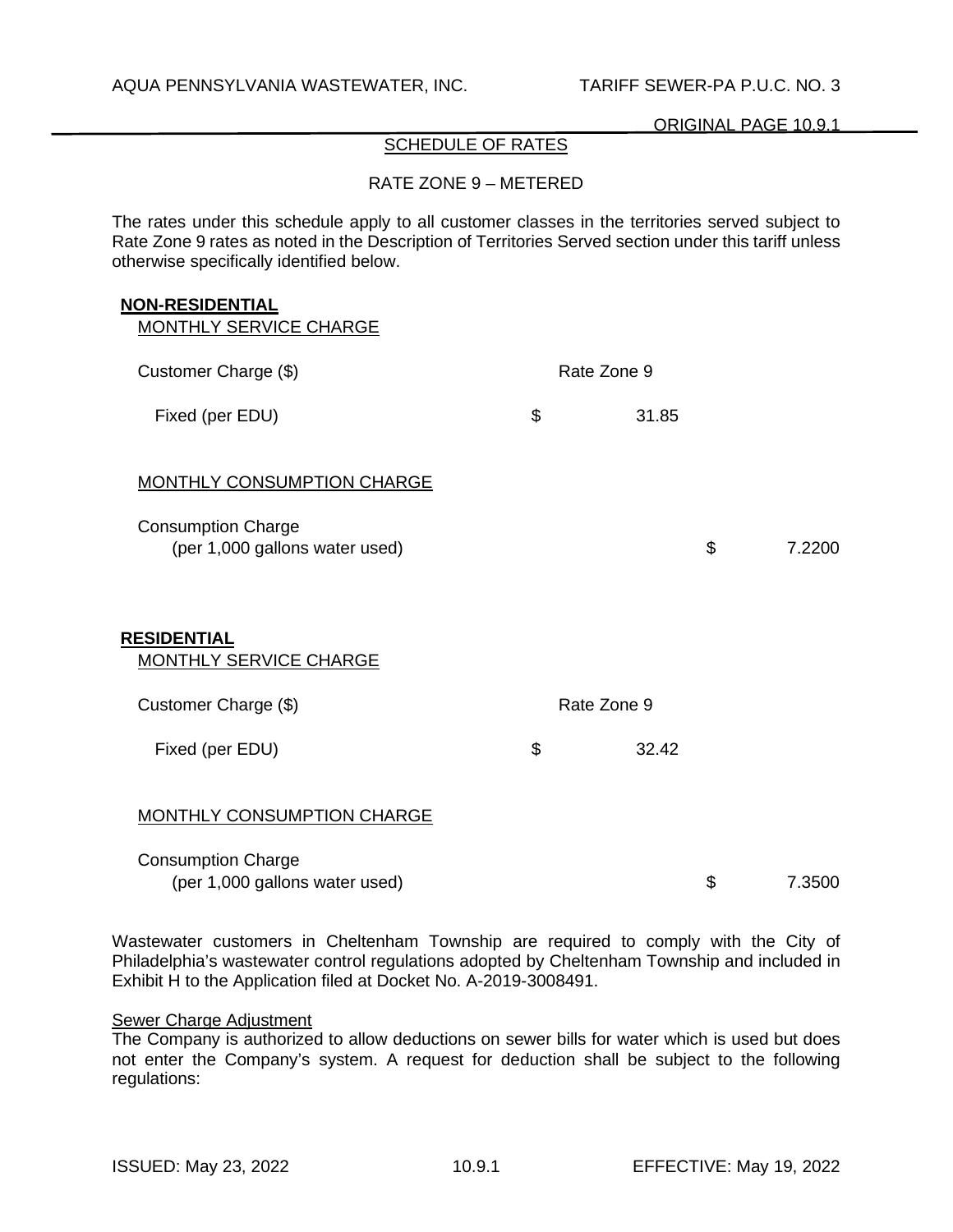# SCHEDULE OF RATES

## RATE ZONE 9 – METERED

The rates under this schedule apply to all customer classes in the territories served subject to Rate Zone 9 rates as noted in the Description of Territories Served section under this tariff unless otherwise specifically identified below.

#### **NON-RESIDENTIAL**

| <b>MONTHLY SERVICE CHARGE</b>                               |             |              |
|-------------------------------------------------------------|-------------|--------------|
| Customer Charge (\$)                                        | Rate Zone 9 |              |
| Fixed (per EDU)                                             | \$<br>31.85 |              |
| <b>MONTHLY CONSUMPTION CHARGE</b>                           |             |              |
| <b>Consumption Charge</b><br>(per 1,000 gallons water used) |             | \$<br>7.2200 |
| <b>RESIDENTIAL</b><br><b>MONTHLY SERVICE CHARGE</b>         |             |              |
| Customer Charge (\$)                                        | Rate Zone 9 |              |
| Fixed (per EDU)                                             | \$<br>32.42 |              |
| MONTHLY CONSUMPTION CHARGE                                  |             |              |
| <b>Consumption Charge</b><br>(per 1,000 gallons water used) |             | \$<br>7.3500 |

Wastewater customers in Cheltenham Township are required to comply with the City of Philadelphia's wastewater control regulations adopted by Cheltenham Township and included in Exhibit H to the Application filed at Docket No. A-2019-3008491.

#### Sewer Charge Adjustment

The Company is authorized to allow deductions on sewer bills for water which is used but does not enter the Company's system. A request for deduction shall be subject to the following regulations: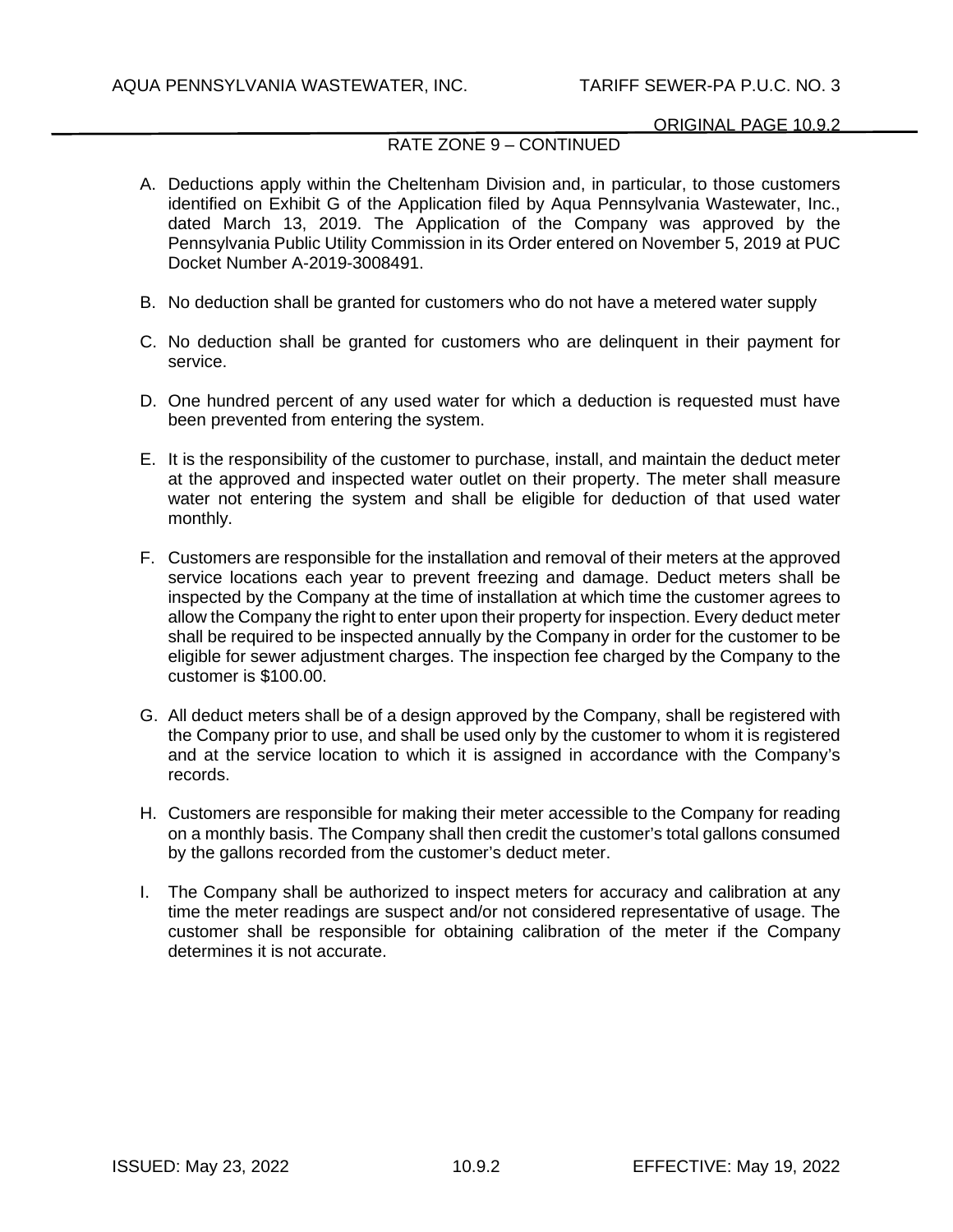# RATE ZONE 9 – CONTINUED

- A. Deductions apply within the Cheltenham Division and, in particular, to those customers identified on Exhibit G of the Application filed by Aqua Pennsylvania Wastewater, Inc., dated March 13, 2019. The Application of the Company was approved by the Pennsylvania Public Utility Commission in its Order entered on November 5, 2019 at PUC Docket Number A-2019-3008491.
- B. No deduction shall be granted for customers who do not have a metered water supply
- C. No deduction shall be granted for customers who are delinquent in their payment for service.
- D. One hundred percent of any used water for which a deduction is requested must have been prevented from entering the system.
- E. It is the responsibility of the customer to purchase, install, and maintain the deduct meter at the approved and inspected water outlet on their property. The meter shall measure water not entering the system and shall be eligible for deduction of that used water monthly.
- F. Customers are responsible for the installation and removal of their meters at the approved service locations each year to prevent freezing and damage. Deduct meters shall be inspected by the Company at the time of installation at which time the customer agrees to allow the Company the right to enter upon their property for inspection. Every deduct meter shall be required to be inspected annually by the Company in order for the customer to be eligible for sewer adjustment charges. The inspection fee charged by the Company to the customer is \$100.00.
- G. All deduct meters shall be of a design approved by the Company, shall be registered with the Company prior to use, and shall be used only by the customer to whom it is registered and at the service location to which it is assigned in accordance with the Company's records.
- H. Customers are responsible for making their meter accessible to the Company for reading on a monthly basis. The Company shall then credit the customer's total gallons consumed by the gallons recorded from the customer's deduct meter.
- I. The Company shall be authorized to inspect meters for accuracy and calibration at any time the meter readings are suspect and/or not considered representative of usage. The customer shall be responsible for obtaining calibration of the meter if the Company determines it is not accurate.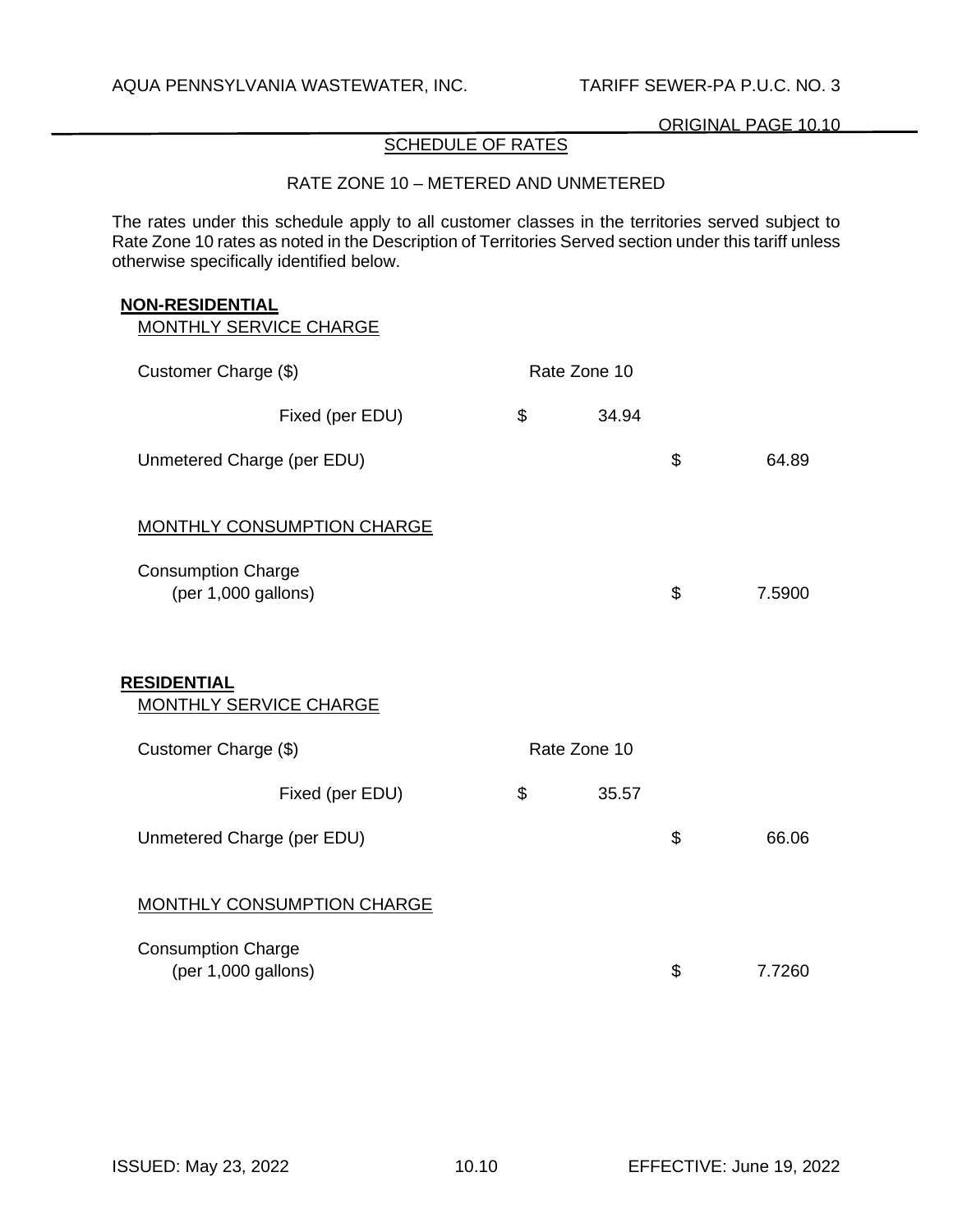# SCHEDULE OF RATES

## RATE ZONE 10 – METERED AND UNMETERED

The rates under this schedule apply to all customer classes in the territories served subject to Rate Zone 10 rates as noted in the Description of Territories Served section under this tariff unless otherwise specifically identified below.

#### **NON-RESIDENTIAL**

| Customer Charge (\$)                             | Rate Zone 10 |              |
|--------------------------------------------------|--------------|--------------|
| Fixed (per EDU)                                  | \$<br>34.94  |              |
| Unmetered Charge (per EDU)                       |              | \$<br>64.89  |
| <b>MONTHLY CONSUMPTION CHARGE</b>                |              |              |
| <b>Consumption Charge</b><br>(per 1,000 gallons) |              | \$<br>7.5900 |
| <b>RESIDENTIAL</b><br>MONTHLY SERVICE CHARGE     |              |              |
| Customer Charge (\$)                             | Rate Zone 10 |              |
| Fixed (per EDU)                                  | \$<br>35.57  |              |
| Unmetered Charge (per EDU)                       |              | \$<br>66.06  |
| <b>MONTHLY CONSUMPTION CHARGE</b>                |              |              |
| <b>Consumption Charge</b><br>(per 1,000 gallons) |              | \$<br>7.7260 |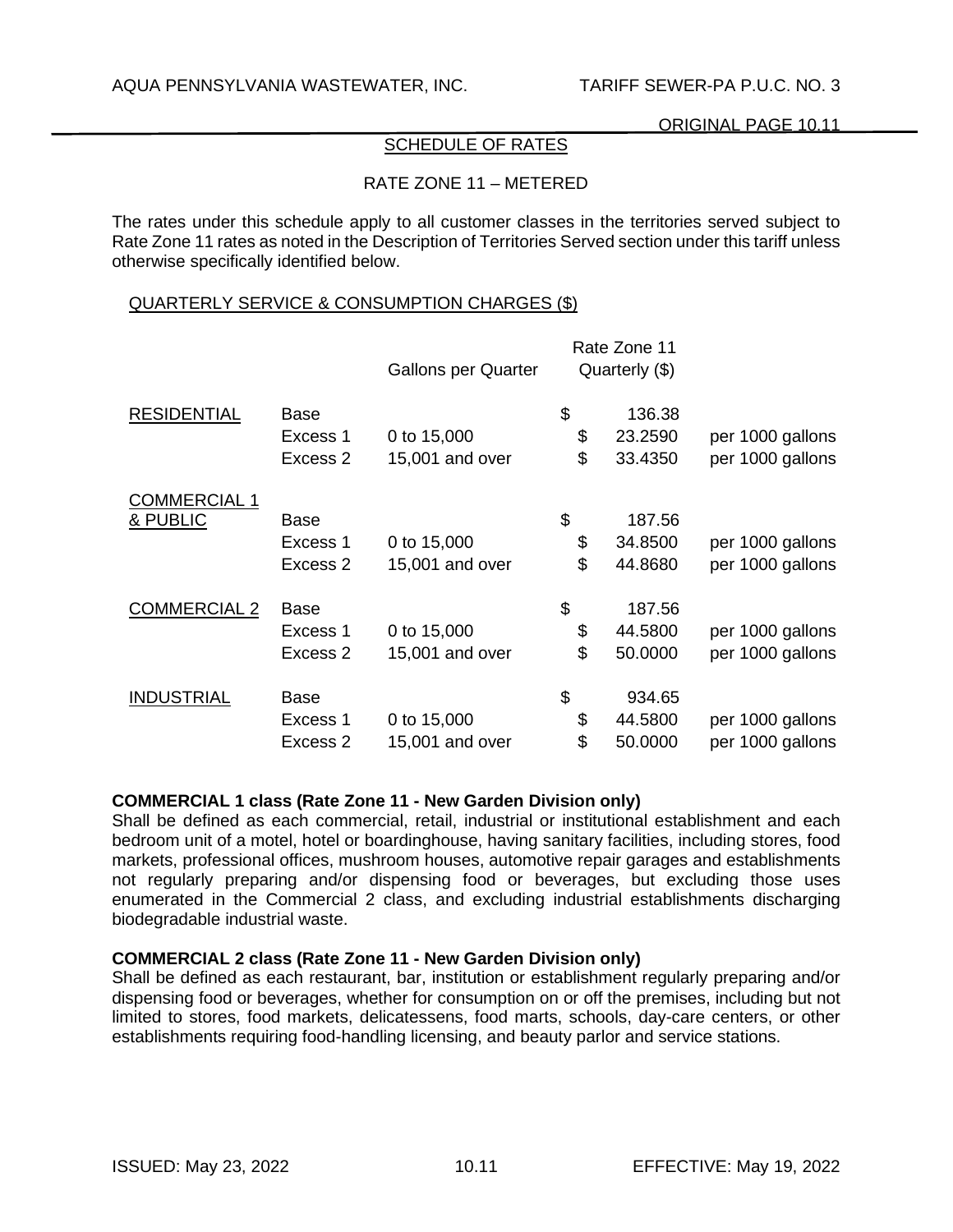# SCHEDULE OF RATES

# RATE ZONE 11 – METERED

The rates under this schedule apply to all customer classes in the territories served subject to Rate Zone 11 rates as noted in the Description of Territories Served section under this tariff unless otherwise specifically identified below.

#### QUARTERLY SERVICE & CONSUMPTION CHARGES (\$)

|                     |             | <b>Gallons per Quarter</b> | Rate Zone 11<br>Quarterly (\$) |                  |
|---------------------|-------------|----------------------------|--------------------------------|------------------|
| <b>RESIDENTIAL</b>  | Base        |                            | \$<br>136.38                   |                  |
|                     | Excess 1    | 0 to 15,000                | \$<br>23.2590                  | per 1000 gallons |
|                     | Excess 2    | 15,001 and over            | \$<br>33.4350                  | per 1000 gallons |
| <b>COMMERCIAL 1</b> |             |                            |                                |                  |
| & PUBLIC            | Base        |                            | \$<br>187.56                   |                  |
|                     | Excess 1    | 0 to 15,000                | \$<br>34.8500                  | per 1000 gallons |
|                     | Excess 2    | 15,001 and over            | \$<br>44.8680                  | per 1000 gallons |
| <b>COMMERCIAL 2</b> | Base        |                            | \$<br>187.56                   |                  |
|                     | Excess 1    | 0 to 15,000                | \$<br>44.5800                  | per 1000 gallons |
|                     | Excess 2    | 15,001 and over            | \$<br>50.0000                  | per 1000 gallons |
| <b>INDUSTRIAL</b>   | <b>Base</b> |                            | \$<br>934.65                   |                  |
|                     | Excess 1    | 0 to 15,000                | \$<br>44.5800                  | per 1000 gallons |
|                     | Excess 2    | 15,001 and over            | \$<br>50.0000                  | per 1000 gallons |

### **COMMERCIAL 1 class (Rate Zone 11 - New Garden Division only)**

Shall be defined as each commercial, retail, industrial or institutional establishment and each bedroom unit of a motel, hotel or boardinghouse, having sanitary facilities, including stores, food markets, professional offices, mushroom houses, automotive repair garages and establishments not regularly preparing and/or dispensing food or beverages, but excluding those uses enumerated in the Commercial 2 class, and excluding industrial establishments discharging biodegradable industrial waste.

# **COMMERCIAL 2 class (Rate Zone 11 - New Garden Division only)**

Shall be defined as each restaurant, bar, institution or establishment regularly preparing and/or dispensing food or beverages, whether for consumption on or off the premises, including but not limited to stores, food markets, delicatessens, food marts, schools, day-care centers, or other establishments requiring food-handling licensing, and beauty parlor and service stations.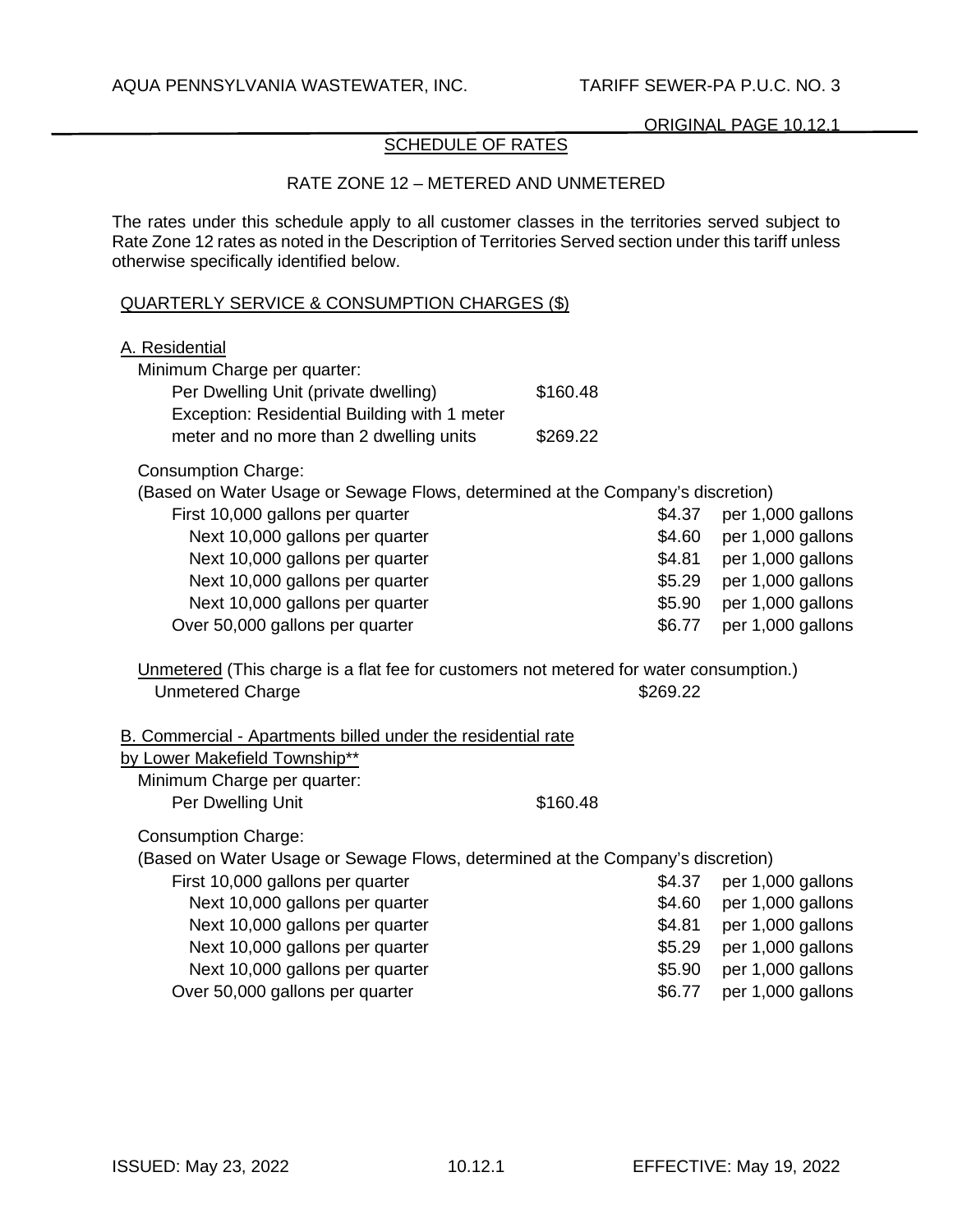# SCHEDULE OF RATES

## RATE ZONE 12 – METERED AND UNMETERED

The rates under this schedule apply to all customer classes in the territories served subject to Rate Zone 12 rates as noted in the Description of Territories Served section under this tariff unless otherwise specifically identified below.

## QUARTERLY SERVICE & CONSUMPTION CHARGES (\$)

| A. Residential<br>Minimum Charge per quarter:<br>Per Dwelling Unit (private dwelling)<br>Exception: Residential Building with 1 meter<br>meter and no more than 2 dwelling units | \$160.48<br>\$269.22 |          |                   |
|----------------------------------------------------------------------------------------------------------------------------------------------------------------------------------|----------------------|----------|-------------------|
| <b>Consumption Charge:</b>                                                                                                                                                       |                      |          |                   |
| (Based on Water Usage or Sewage Flows, determined at the Company's discretion)                                                                                                   |                      |          |                   |
| First 10,000 gallons per quarter                                                                                                                                                 |                      | \$4.37   | per 1,000 gallons |
| Next 10,000 gallons per quarter                                                                                                                                                  |                      | \$4.60   | per 1,000 gallons |
| Next 10,000 gallons per quarter                                                                                                                                                  |                      | \$4.81   | per 1,000 gallons |
| Next 10,000 gallons per quarter                                                                                                                                                  |                      | \$5.29   | per 1,000 gallons |
| Next 10,000 gallons per quarter                                                                                                                                                  |                      | \$5.90   | per 1,000 gallons |
| Over 50,000 gallons per quarter                                                                                                                                                  |                      | \$6.77   | per 1,000 gallons |
| Unmetered (This charge is a flat fee for customers not metered for water consumption.)<br><b>Unmetered Charge</b>                                                                |                      | \$269.22 |                   |
| B. Commercial - Apartments billed under the residential rate                                                                                                                     |                      |          |                   |
| by Lower Makefield Township**                                                                                                                                                    |                      |          |                   |
| Minimum Charge per quarter:                                                                                                                                                      |                      |          |                   |
| Per Dwelling Unit                                                                                                                                                                | \$160.48             |          |                   |
| <b>Consumption Charge:</b>                                                                                                                                                       |                      |          |                   |
| (Based on Water Usage or Sewage Flows, determined at the Company's discretion)                                                                                                   |                      |          |                   |
| First 10,000 gallons per quarter                                                                                                                                                 |                      | \$4.37   | per 1,000 gallons |
| Next 10,000 gallons per quarter                                                                                                                                                  |                      | \$4.60   | per 1,000 gallons |
| Next 10,000 gallons per quarter                                                                                                                                                  |                      | \$4.81   | per 1,000 gallons |
| Next 10,000 gallons per quarter                                                                                                                                                  |                      | \$5.29   | per 1,000 gallons |
| Next 10,000 gallons per quarter                                                                                                                                                  |                      | \$5.90   | per 1,000 gallons |
| Over 50,000 gallons per quarter                                                                                                                                                  |                      | \$6.77   | per 1,000 gallons |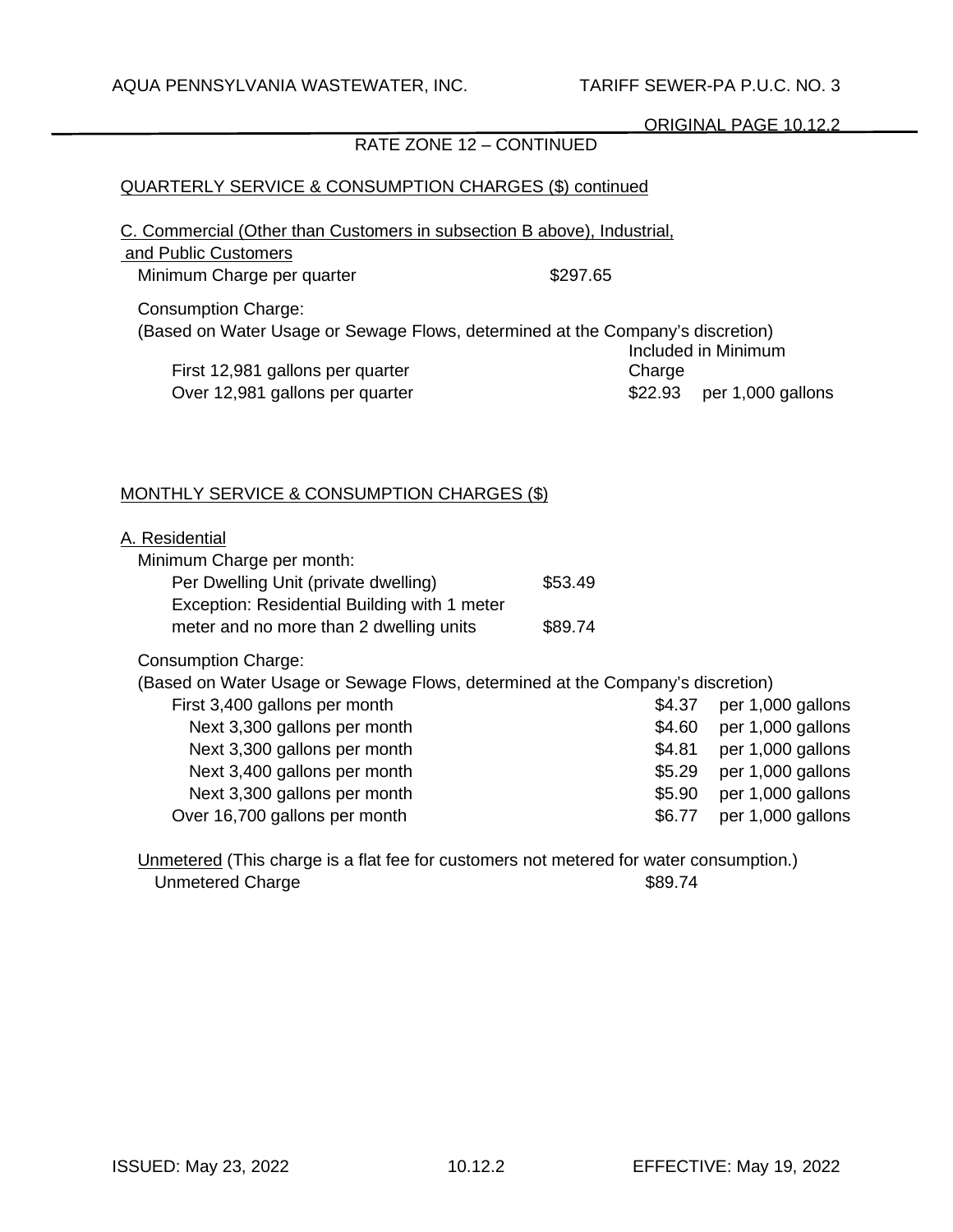# RATE ZONE 12 – CONTINUED

# QUARTERLY SERVICE & CONSUMPTION CHARGES (\$) continued

C. Commercial (Other than Customers in subsection B above), Industrial,

| and Public Customers                                                                                         |          |         |                     |
|--------------------------------------------------------------------------------------------------------------|----------|---------|---------------------|
| Minimum Charge per quarter                                                                                   | \$297.65 |         |                     |
| <b>Consumption Charge:</b><br>(Based on Water Usage or Sewage Flows, determined at the Company's discretion) |          |         |                     |
|                                                                                                              |          |         | Included in Minimum |
| First 12,981 gallons per quarter                                                                             |          | Charge  |                     |
| Over 12,981 gallons per quarter                                                                              |          | \$22.93 | per 1,000 gallons   |
|                                                                                                              |          |         |                     |

# MONTHLY SERVICE & CONSUMPTION CHARGES (\$)

| A. Residential                                                                       |         |        |                   |
|--------------------------------------------------------------------------------------|---------|--------|-------------------|
| Minimum Charge per month:                                                            |         |        |                   |
| Per Dwelling Unit (private dwelling)<br>Exception: Residential Building with 1 meter | \$53.49 |        |                   |
| meter and no more than 2 dwelling units                                              | \$89.74 |        |                   |
| <b>Consumption Charge:</b>                                                           |         |        |                   |
| (Based on Water Usage or Sewage Flows, determined at the Company's discretion)       |         |        |                   |
| First 3,400 gallons per month                                                        |         | \$4.37 | per 1,000 gallons |
| Next 3,300 gallons per month                                                         |         | \$4.60 | per 1,000 gallons |
| Next 3,300 gallons per month                                                         |         | \$4.81 | per 1,000 gallons |
| Next 3,400 gallons per month                                                         |         | \$5.29 | per 1,000 gallons |
| Next 3,300 gallons per month                                                         |         | \$5.90 | per 1,000 gallons |
| Over 16,700 gallons per month                                                        |         | \$6.77 | per 1,000 gallons |
|                                                                                      |         |        |                   |

Unmetered (This charge is a flat fee for customers not metered for water consumption.) Unmetered Charge  $$89.74$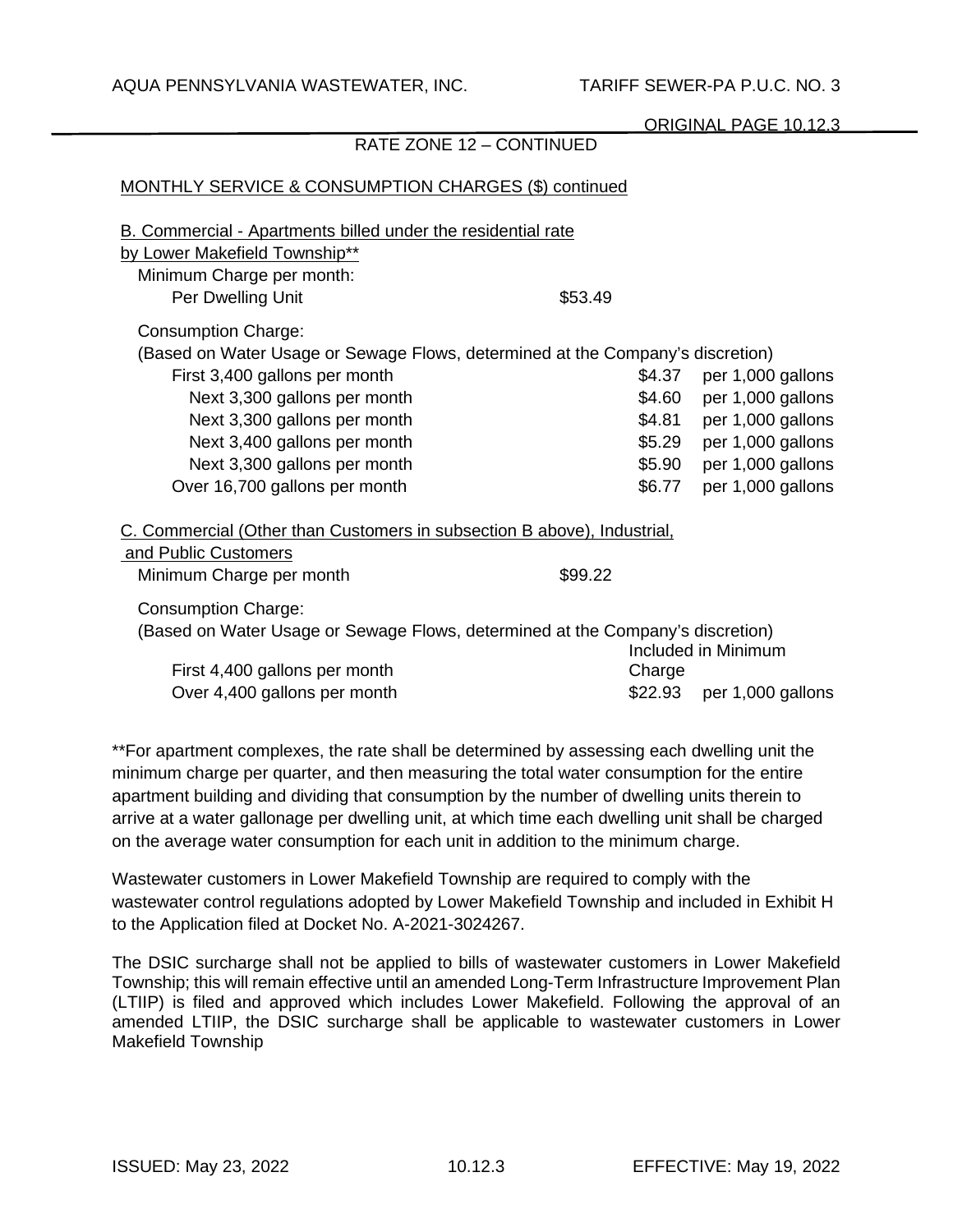| MONTHLY SERVICE & CONSUMPTION CHARGES (\$) continued                                                                                            |         |        |                           |  |
|-------------------------------------------------------------------------------------------------------------------------------------------------|---------|--------|---------------------------|--|
| B. Commercial - Apartments billed under the residential rate<br>by Lower Makefield Township**<br>Minimum Charge per month:<br>Per Dwelling Unit | \$53.49 |        |                           |  |
| <b>Consumption Charge:</b>                                                                                                                      |         |        |                           |  |
| (Based on Water Usage or Sewage Flows, determined at the Company's discretion)                                                                  |         |        |                           |  |
| First 3,400 gallons per month                                                                                                                   |         | \$4.37 | per 1,000 gallons         |  |
| Next 3,300 gallons per month                                                                                                                    |         | \$4.60 | per 1,000 gallons         |  |
| Next 3,300 gallons per month                                                                                                                    |         | \$4.81 | per 1,000 gallons         |  |
| Next 3,400 gallons per month                                                                                                                    |         | \$5.29 | per 1,000 gallons         |  |
| Next 3,300 gallons per month                                                                                                                    |         | \$5.90 | per 1,000 gallons         |  |
| Over 16,700 gallons per month                                                                                                                   |         | \$6.77 | per 1,000 gallons         |  |
| C. Commercial (Other than Customers in subsection B above), Industrial,<br>and Public Customers                                                 |         |        |                           |  |
| Minimum Charge per month                                                                                                                        | \$99.22 |        |                           |  |
| <b>Consumption Charge:</b><br>(Based on Water Usage or Sewage Flows, determined at the Company's discretion)<br>Included in Minimum             |         |        |                           |  |
| First 4,400 gallons per month<br>Over 4,400 gallons per month                                                                                   |         | Charge | \$22.93 per 1,000 gallons |  |
|                                                                                                                                                 |         |        |                           |  |

RATE ZONE 12 – CONTINUED

\*\*For apartment complexes, the rate shall be determined by assessing each dwelling unit the minimum charge per quarter, and then measuring the total water consumption for the entire apartment building and dividing that consumption by the number of dwelling units therein to arrive at a water gallonage per dwelling unit, at which time each dwelling unit shall be charged on the average water consumption for each unit in addition to the minimum charge.

Wastewater customers in Lower Makefield Township are required to comply with the wastewater control regulations adopted by Lower Makefield Township and included in Exhibit H to the Application filed at Docket No. A-2021-3024267.

The DSIC surcharge shall not be applied to bills of wastewater customers in Lower Makefield Township; this will remain effective until an amended Long-Term Infrastructure Improvement Plan (LTIIP) is filed and approved which includes Lower Makefield. Following the approval of an amended LTIIP, the DSIC surcharge shall be applicable to wastewater customers in Lower Makefield Township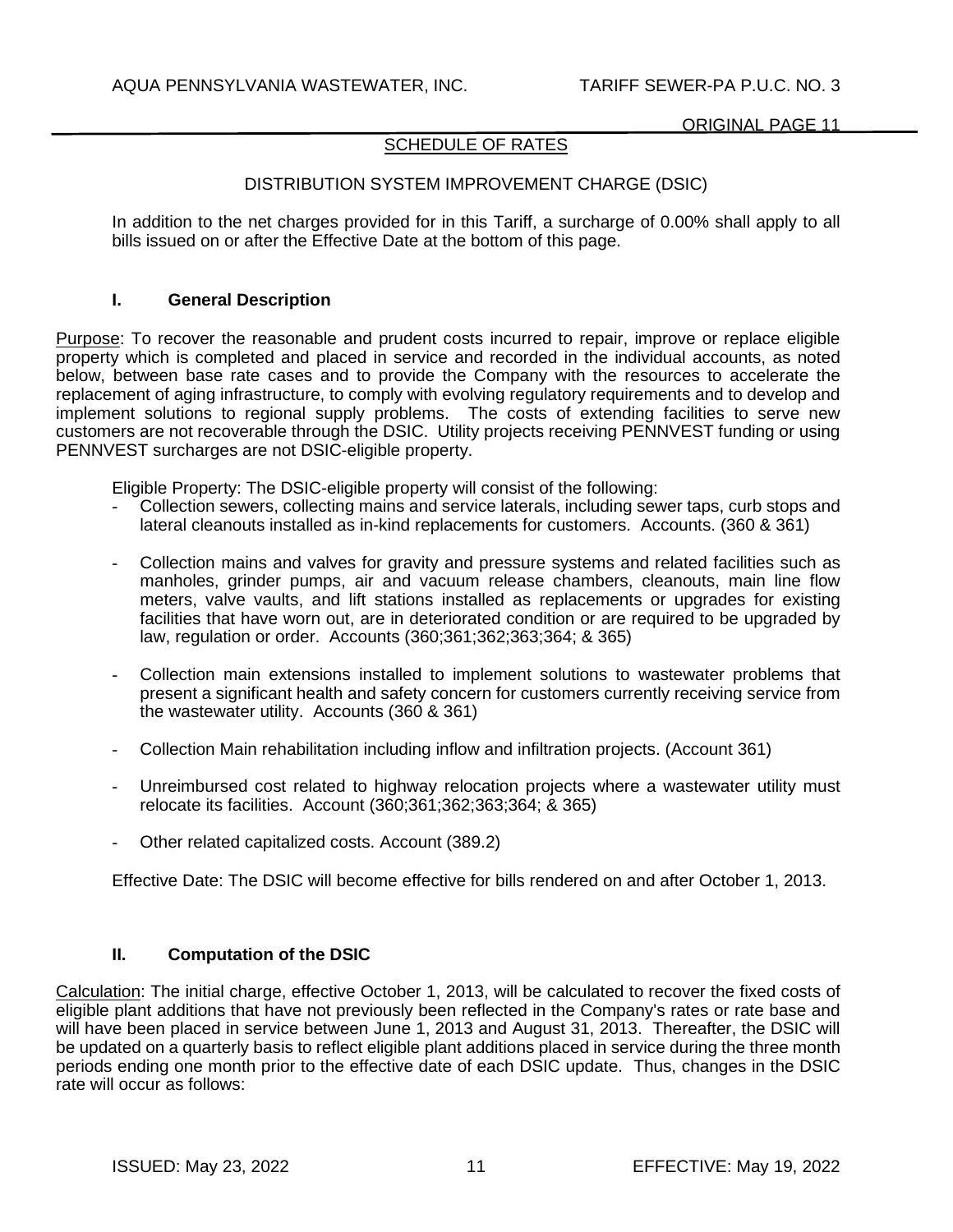# SCHEDULE OF RATES

# DISTRIBUTION SYSTEM IMPROVEMENT CHARGE (DSIC)

In addition to the net charges provided for in this Tariff, a surcharge of 0.00% shall apply to all bills issued on or after the Effective Date at the bottom of this page.

## **I. General Description**

Purpose: To recover the reasonable and prudent costs incurred to repair, improve or replace eligible property which is completed and placed in service and recorded in the individual accounts, as noted below, between base rate cases and to provide the Company with the resources to accelerate the replacement of aging infrastructure, to comply with evolving regulatory requirements and to develop and implement solutions to regional supply problems. The costs of extending facilities to serve new customers are not recoverable through the DSIC. Utility projects receiving PENNVEST funding or using PENNVEST surcharges are not DSIC-eligible property.

Eligible Property: The DSIC-eligible property will consist of the following:

- Collection sewers, collecting mains and service laterals, including sewer taps, curb stops and lateral cleanouts installed as in-kind replacements for customers. Accounts. (360 & 361)
- Collection mains and valves for gravity and pressure systems and related facilities such as manholes, grinder pumps, air and vacuum release chambers, cleanouts, main line flow meters, valve vaults, and lift stations installed as replacements or upgrades for existing facilities that have worn out, are in deteriorated condition or are required to be upgraded by law, regulation or order. Accounts (360;361;362;363;364; & 365)
- Collection main extensions installed to implement solutions to wastewater problems that present a significant health and safety concern for customers currently receiving service from the wastewater utility. Accounts (360 & 361)
- Collection Main rehabilitation including inflow and infiltration projects. (Account 361)
- Unreimbursed cost related to highway relocation projects where a wastewater utility must relocate its facilities. Account (360;361;362;363;364; & 365)
- Other related capitalized costs. Account (389.2)

Effective Date: The DSIC will become effective for bills rendered on and after October 1, 2013.

### **II. Computation of the DSIC**

Calculation: The initial charge, effective October 1, 2013, will be calculated to recover the fixed costs of eligible plant additions that have not previously been reflected in the Company's rates or rate base and will have been placed in service between June 1, 2013 and August 31, 2013. Thereafter, the DSIC will be updated on a quarterly basis to reflect eligible plant additions placed in service during the three month periods ending one month prior to the effective date of each DSIC update. Thus, changes in the DSIC rate will occur as follows: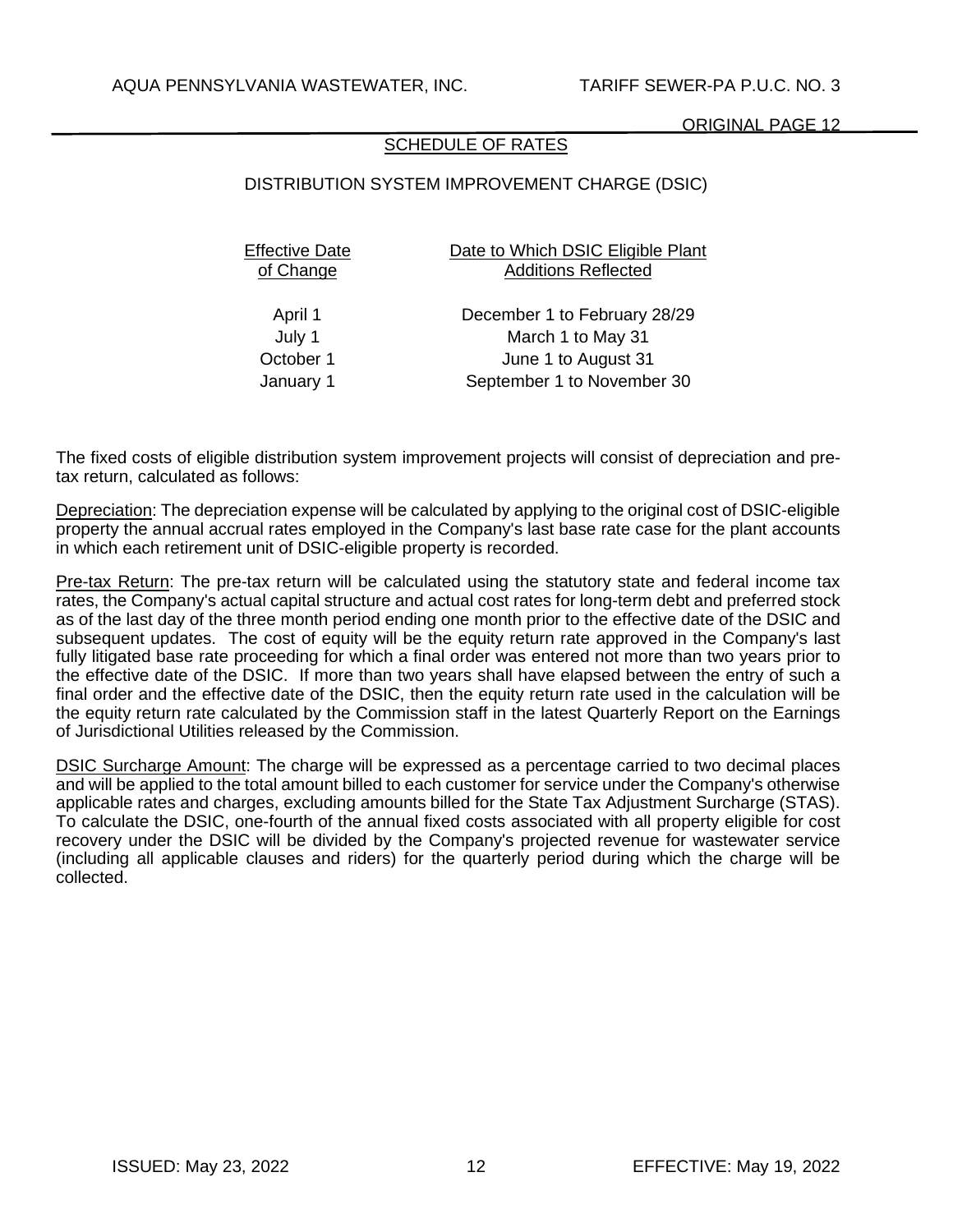# SCHEDULE OF RATES

# DISTRIBUTION SYSTEM IMPROVEMENT CHARGE (DSIC)

| Effective Date | Date to Which DSIC Eligible Plant |
|----------------|-----------------------------------|
| of Change      | <b>Additions Reflected</b>        |
|                |                                   |

April 1 December 1 to February 28/29 July 1 March 1 to May 31 October 1 June 1 to August 31 January 1 September 1 to November 30

The fixed costs of eligible distribution system improvement projects will consist of depreciation and pretax return, calculated as follows:

Depreciation: The depreciation expense will be calculated by applying to the original cost of DSIC-eligible property the annual accrual rates employed in the Company's last base rate case for the plant accounts in which each retirement unit of DSIC-eligible property is recorded.

Pre-tax Return: The pre-tax return will be calculated using the statutory state and federal income tax rates, the Company's actual capital structure and actual cost rates for long-term debt and preferred stock as of the last day of the three month period ending one month prior to the effective date of the DSIC and subsequent updates. The cost of equity will be the equity return rate approved in the Company's last fully litigated base rate proceeding for which a final order was entered not more than two years prior to the effective date of the DSIC. If more than two years shall have elapsed between the entry of such a final order and the effective date of the DSIC, then the equity return rate used in the calculation will be the equity return rate calculated by the Commission staff in the latest Quarterly Report on the Earnings of Jurisdictional Utilities released by the Commission.

DSIC Surcharge Amount: The charge will be expressed as a percentage carried to two decimal places and will be applied to the total amount billed to each customer for service under the Company's otherwise applicable rates and charges, excluding amounts billed for the State Tax Adjustment Surcharge (STAS). To calculate the DSIC, one-fourth of the annual fixed costs associated with all property eligible for cost recovery under the DSIC will be divided by the Company's projected revenue for wastewater service (including all applicable clauses and riders) for the quarterly period during which the charge will be collected.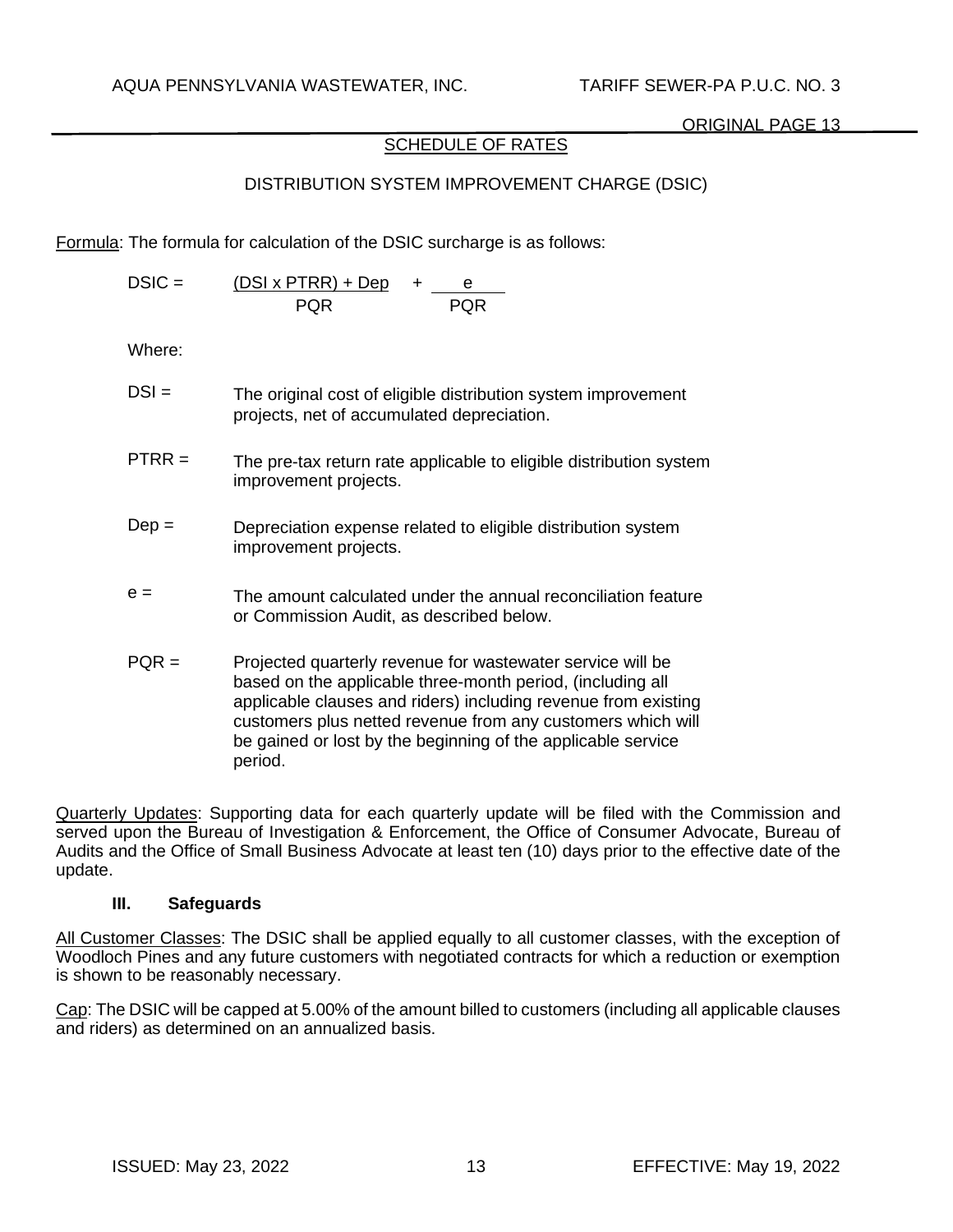# SCHEDULE OF RATES

# DISTRIBUTION SYSTEM IMPROVEMENT CHARGE (DSIC)

Formula: The formula for calculation of the DSIC surcharge is as follows:

| $DSIC =$ | $(DSI \times PTRR) + Dep$ |            |  |
|----------|---------------------------|------------|--|
|          | <b>POR</b>                | <b>PQR</b> |  |

Where:

| $DSI =$        | The original cost of eligible distribution system improvement<br>projects, net of accumulated depreciation.                                                                                                                                               |
|----------------|-----------------------------------------------------------------------------------------------------------------------------------------------------------------------------------------------------------------------------------------------------------|
| ${\sf PTRR} =$ | The pre-tax return rate applicable to eligible distribution system<br>improvement projects.                                                                                                                                                               |
| $Dep =$        | Depreciation expense related to eligible distribution system<br>improvement projects.                                                                                                                                                                     |
| $e =$          | The amount calculated under the annual reconciliation feature<br>or Commission Audit, as described below.                                                                                                                                                 |
| $PQR =$        | Projected quarterly revenue for wastewater service will be<br>based on the applicable three-month period, (including all<br>applicable clauses and riders) including revenue from existing<br>customers plus netted revenue from any customers which will |

Quarterly Updates: Supporting data for each quarterly update will be filed with the Commission and served upon the Bureau of Investigation & Enforcement, the Office of Consumer Advocate, Bureau of Audits and the Office of Small Business Advocate at least ten (10) days prior to the effective date of the update.

be gained or lost by the beginning of the applicable service

### **III. Safeguards**

period.

All Customer Classes: The DSIC shall be applied equally to all customer classes, with the exception of Woodloch Pines and any future customers with negotiated contracts for which a reduction or exemption is shown to be reasonably necessary.

Cap: The DSIC will be capped at 5.00% of the amount billed to customers (including all applicable clauses and riders) as determined on an annualized basis.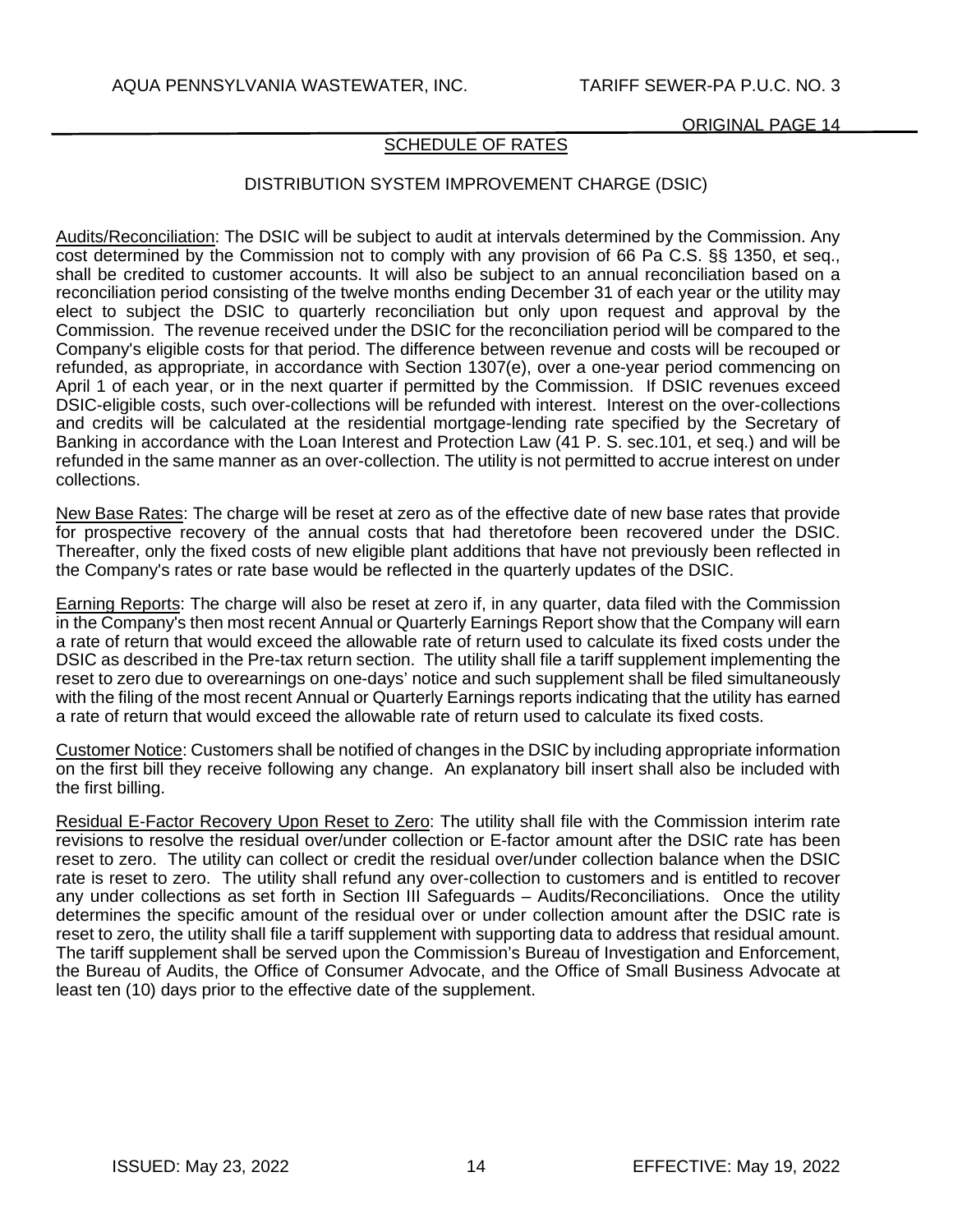# SCHEDULE OF RATES

# DISTRIBUTION SYSTEM IMPROVEMENT CHARGE (DSIC)

Audits/Reconciliation: The DSIC will be subject to audit at intervals determined by the Commission. Any cost determined by the Commission not to comply with any provision of 66 Pa C.S. §§ 1350, et seq., shall be credited to customer accounts. It will also be subject to an annual reconciliation based on a reconciliation period consisting of the twelve months ending December 31 of each year or the utility may elect to subject the DSIC to quarterly reconciliation but only upon request and approval by the Commission. The revenue received under the DSIC for the reconciliation period will be compared to the Company's eligible costs for that period. The difference between revenue and costs will be recouped or refunded, as appropriate, in accordance with Section 1307(e), over a one-year period commencing on April 1 of each year, or in the next quarter if permitted by the Commission. If DSIC revenues exceed DSIC-eligible costs, such over-collections will be refunded with interest. Interest on the over-collections and credits will be calculated at the residential mortgage-lending rate specified by the Secretary of Banking in accordance with the Loan Interest and Protection Law (41 P. S. sec.101, et seq.) and will be refunded in the same manner as an over-collection. The utility is not permitted to accrue interest on under collections.

New Base Rates: The charge will be reset at zero as of the effective date of new base rates that provide for prospective recovery of the annual costs that had theretofore been recovered under the DSIC. Thereafter, only the fixed costs of new eligible plant additions that have not previously been reflected in the Company's rates or rate base would be reflected in the quarterly updates of the DSIC.

Earning Reports: The charge will also be reset at zero if, in any quarter, data filed with the Commission in the Company's then most recent Annual or Quarterly Earnings Report show that the Company will earn a rate of return that would exceed the allowable rate of return used to calculate its fixed costs under the DSIC as described in the Pre-tax return section. The utility shall file a tariff supplement implementing the reset to zero due to overearnings on one-days' notice and such supplement shall be filed simultaneously with the filing of the most recent Annual or Quarterly Earnings reports indicating that the utility has earned a rate of return that would exceed the allowable rate of return used to calculate its fixed costs.

Customer Notice: Customers shall be notified of changes in the DSIC by including appropriate information on the first bill they receive following any change. An explanatory bill insert shall also be included with the first billing.

Residual E-Factor Recovery Upon Reset to Zero: The utility shall file with the Commission interim rate revisions to resolve the residual over/under collection or E-factor amount after the DSIC rate has been reset to zero. The utility can collect or credit the residual over/under collection balance when the DSIC rate is reset to zero. The utility shall refund any over-collection to customers and is entitled to recover any under collections as set forth in Section III Safeguards – Audits/Reconciliations. Once the utility determines the specific amount of the residual over or under collection amount after the DSIC rate is reset to zero, the utility shall file a tariff supplement with supporting data to address that residual amount. The tariff supplement shall be served upon the Commission's Bureau of Investigation and Enforcement, the Bureau of Audits, the Office of Consumer Advocate, and the Office of Small Business Advocate at least ten (10) days prior to the effective date of the supplement.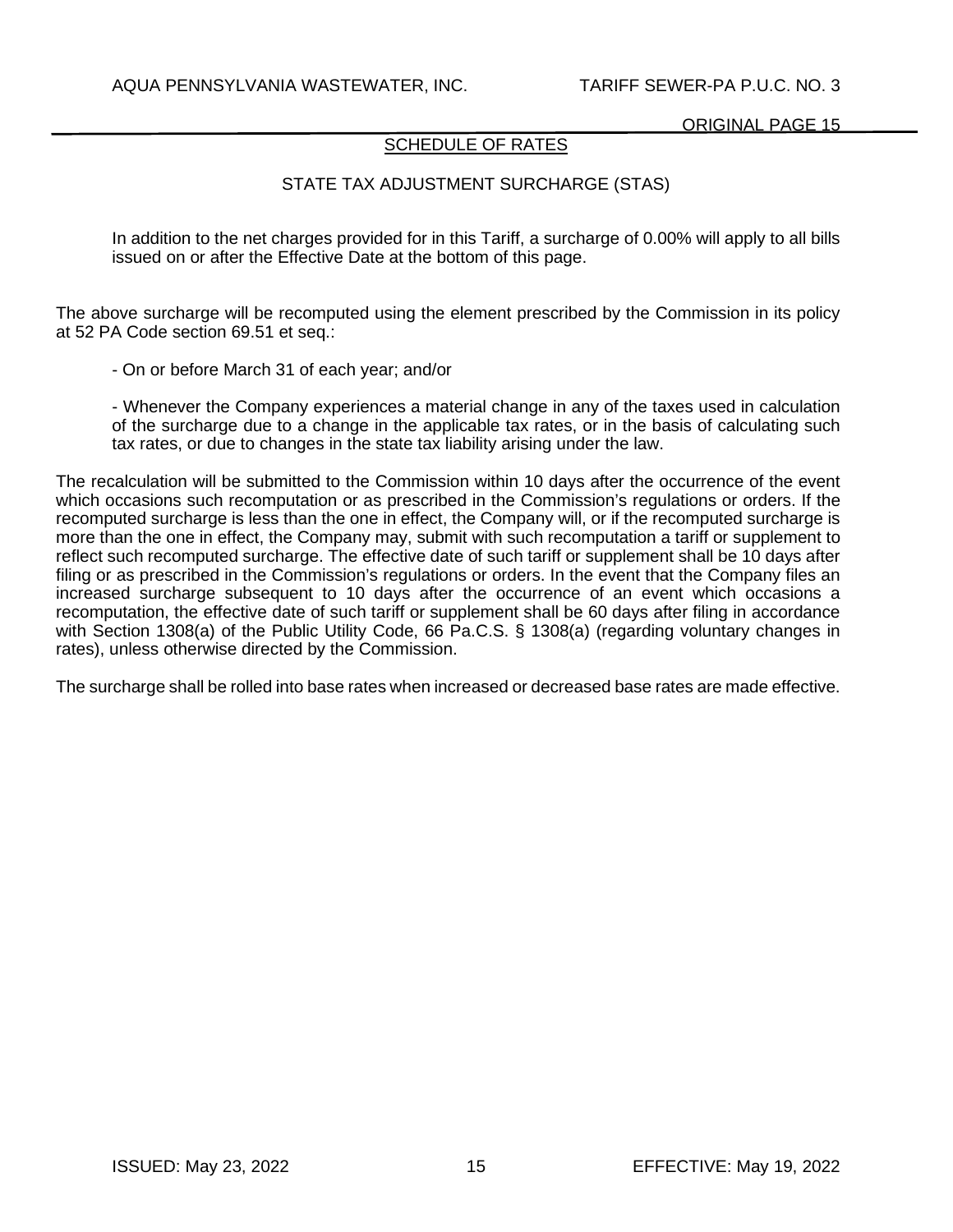# SCHEDULE OF RATES

# STATE TAX ADJUSTMENT SURCHARGE (STAS)

In addition to the net charges provided for in this Tariff, a surcharge of 0.00% will apply to all bills issued on or after the Effective Date at the bottom of this page.

The above surcharge will be recomputed using the element prescribed by the Commission in its policy at 52 PA Code section 69.51 et seq.:

- On or before March 31 of each year; and/or

- Whenever the Company experiences a material change in any of the taxes used in calculation of the surcharge due to a change in the applicable tax rates, or in the basis of calculating such tax rates, or due to changes in the state tax liability arising under the law.

The recalculation will be submitted to the Commission within 10 days after the occurrence of the event which occasions such recomputation or as prescribed in the Commission's regulations or orders. If the recomputed surcharge is less than the one in effect, the Company will, or if the recomputed surcharge is more than the one in effect, the Company may, submit with such recomputation a tariff or supplement to reflect such recomputed surcharge. The effective date of such tariff or supplement shall be 10 days after filing or as prescribed in the Commission's regulations or orders. In the event that the Company files an increased surcharge subsequent to 10 days after the occurrence of an event which occasions a recomputation, the effective date of such tariff or supplement shall be 60 days after filing in accordance with Section 1308(a) of the Public Utility Code, 66 Pa.C.S. § 1308(a) (regarding voluntary changes in rates), unless otherwise directed by the Commission.

The surcharge shall be rolled into base rates when increased or decreased base rates are made effective.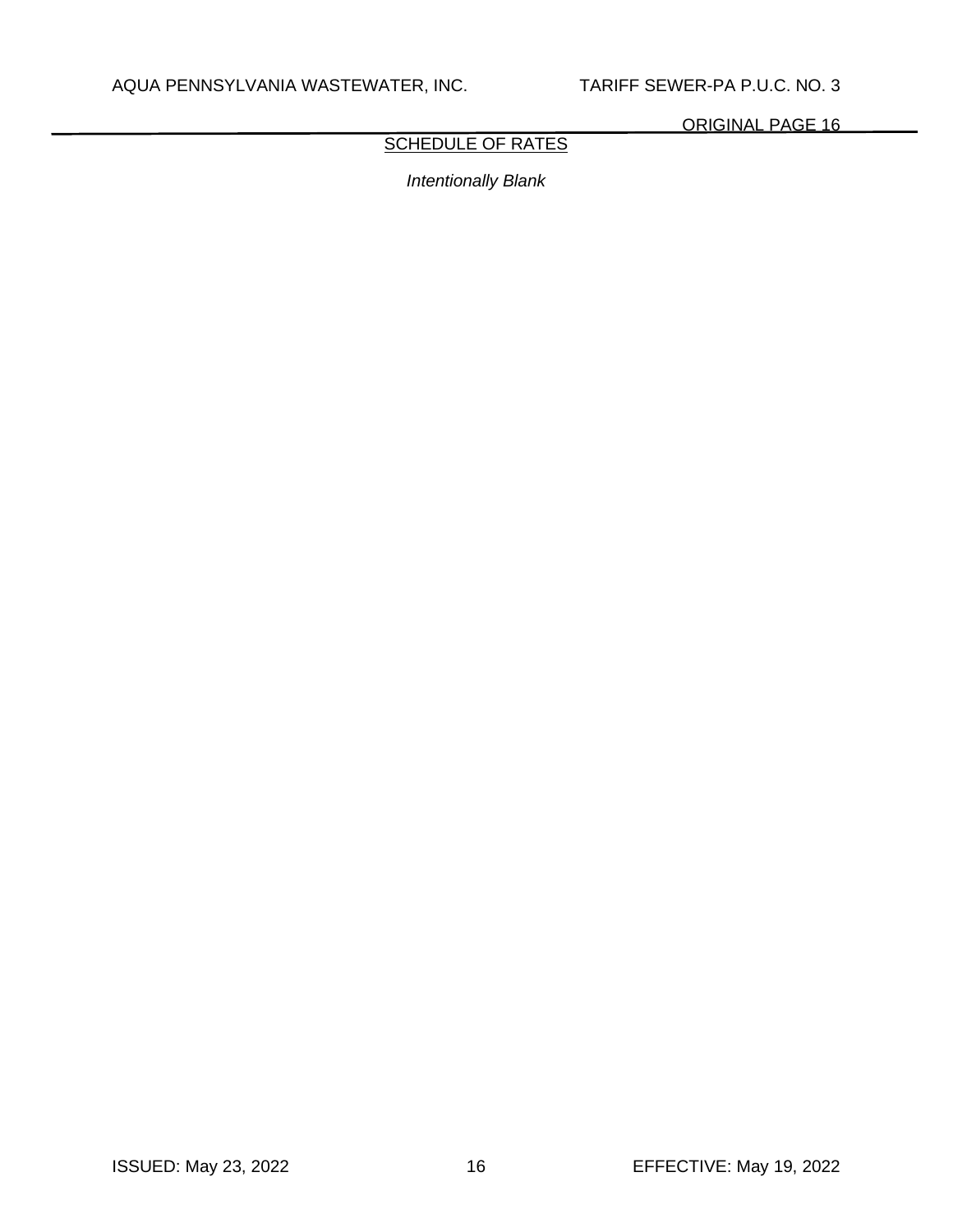# **SCHEDULE OF RATES**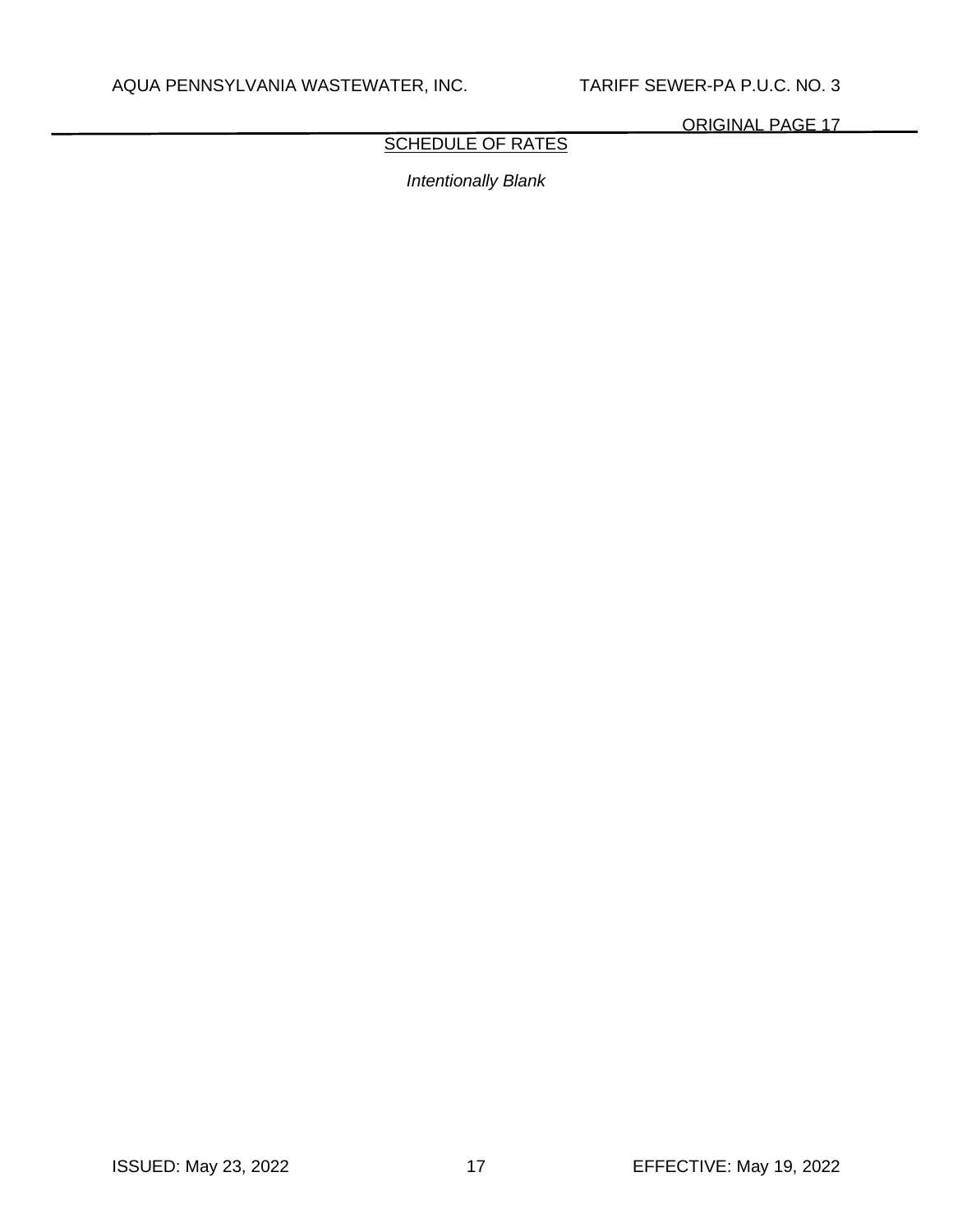# **SCHEDULE OF RATES**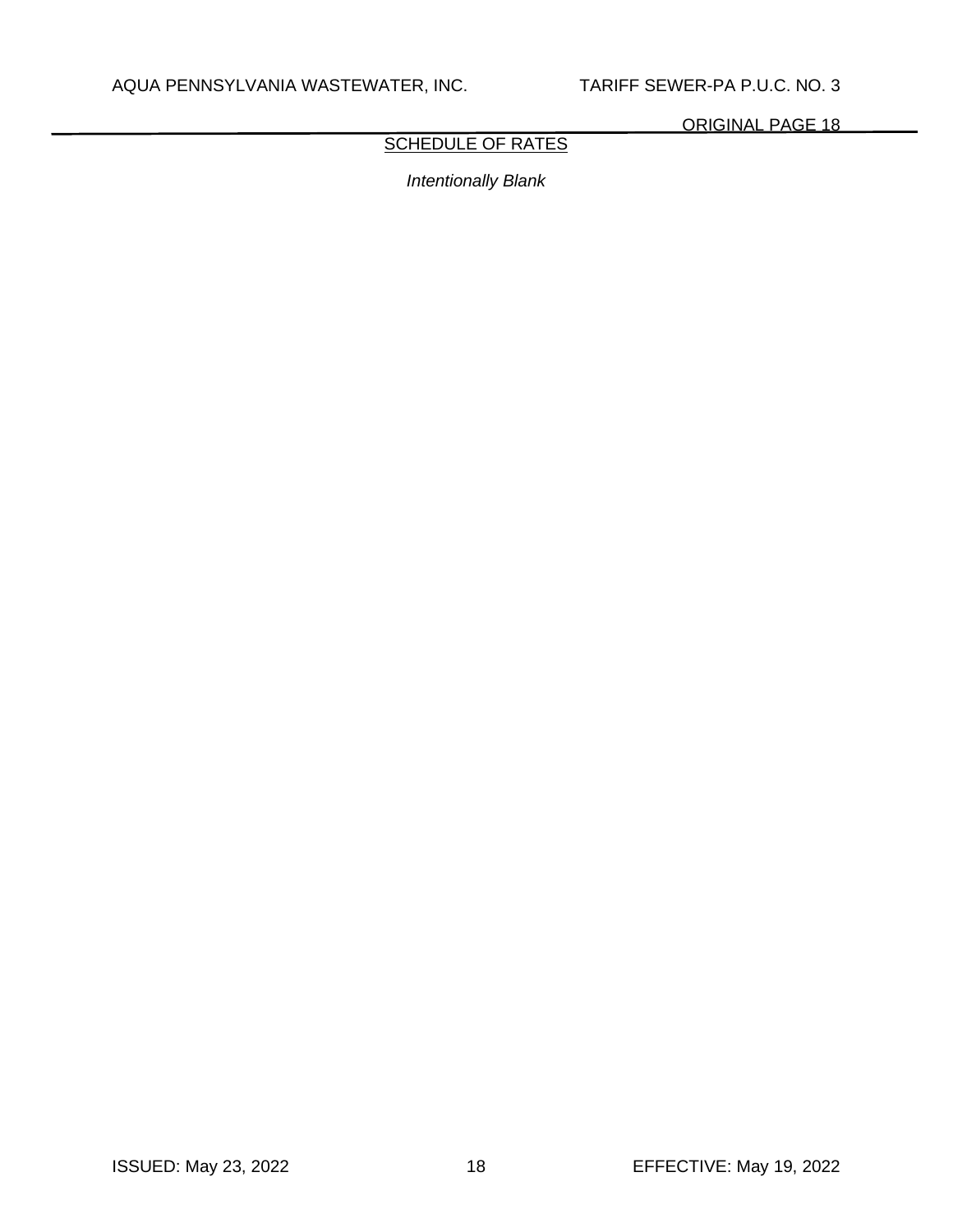# **SCHEDULE OF RATES**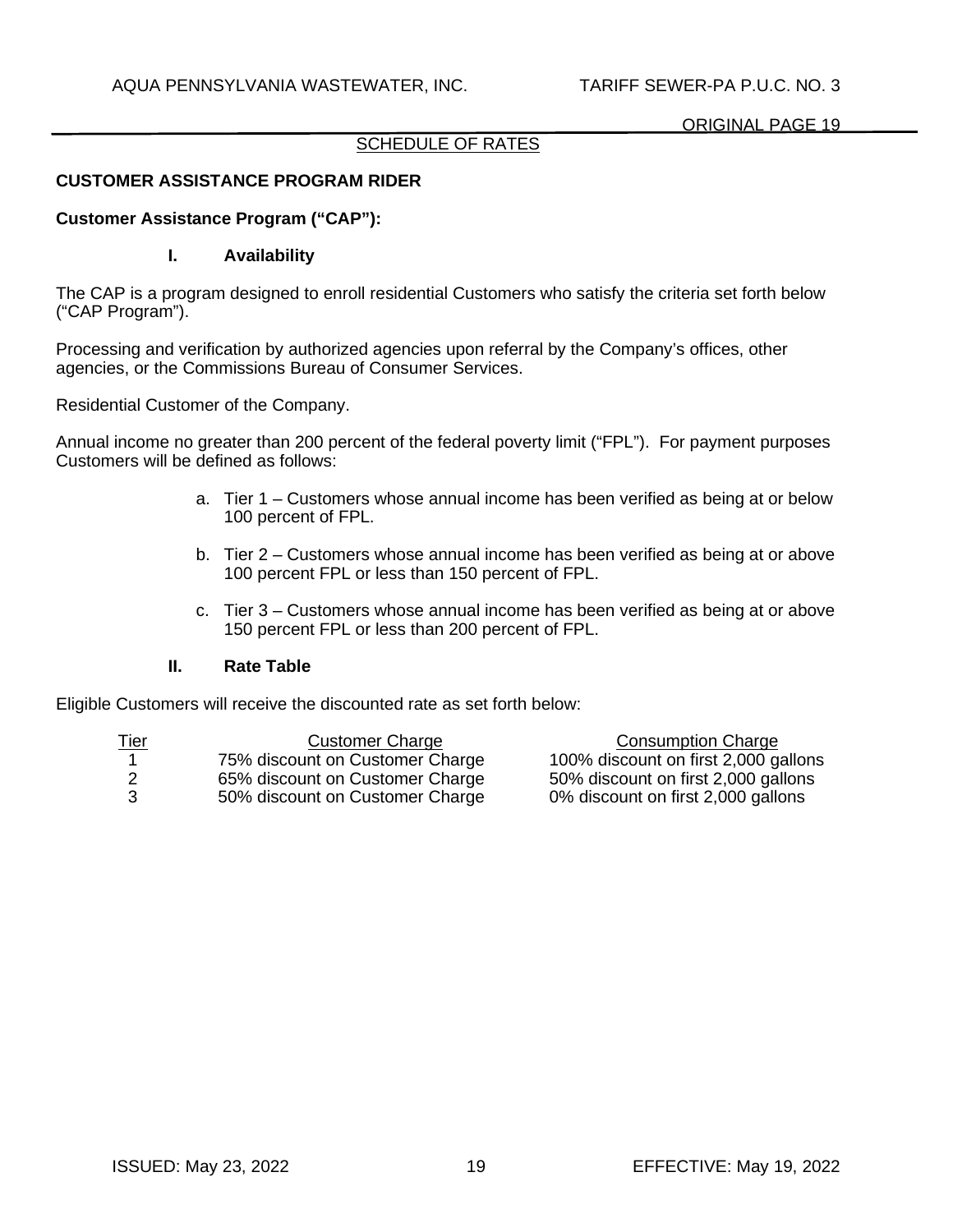# SCHEDULE OF RATES

# **CUSTOMER ASSISTANCE PROGRAM RIDER**

## **Customer Assistance Program ("CAP"):**

## **I. Availability**

The CAP is a program designed to enroll residential Customers who satisfy the criteria set forth below ("CAP Program").

Processing and verification by authorized agencies upon referral by the Company's offices, other agencies, or the Commissions Bureau of Consumer Services.

Residential Customer of the Company.

Annual income no greater than 200 percent of the federal poverty limit ("FPL"). For payment purposes Customers will be defined as follows:

- a. Tier 1 Customers whose annual income has been verified as being at or below 100 percent of FPL.
- b. Tier 2 Customers whose annual income has been verified as being at or above 100 percent FPL or less than 150 percent of FPL.
- c. Tier 3 Customers whose annual income has been verified as being at or above 150 percent FPL or less than 200 percent of FPL.

### **II. Rate Table**

Eligible Customers will receive the discounted rate as set forth below:

| <u>Tier</u> | <b>Customer Charge</b>          | <b>Consumption Charge</b>            |
|-------------|---------------------------------|--------------------------------------|
|             | 75% discount on Customer Charge | 100% discount on first 2,000 gallons |
|             | 65% discount on Customer Charge | 50% discount on first 2,000 gallons  |
| - 3         | 50% discount on Customer Charge | 0% discount on first 2,000 gallons   |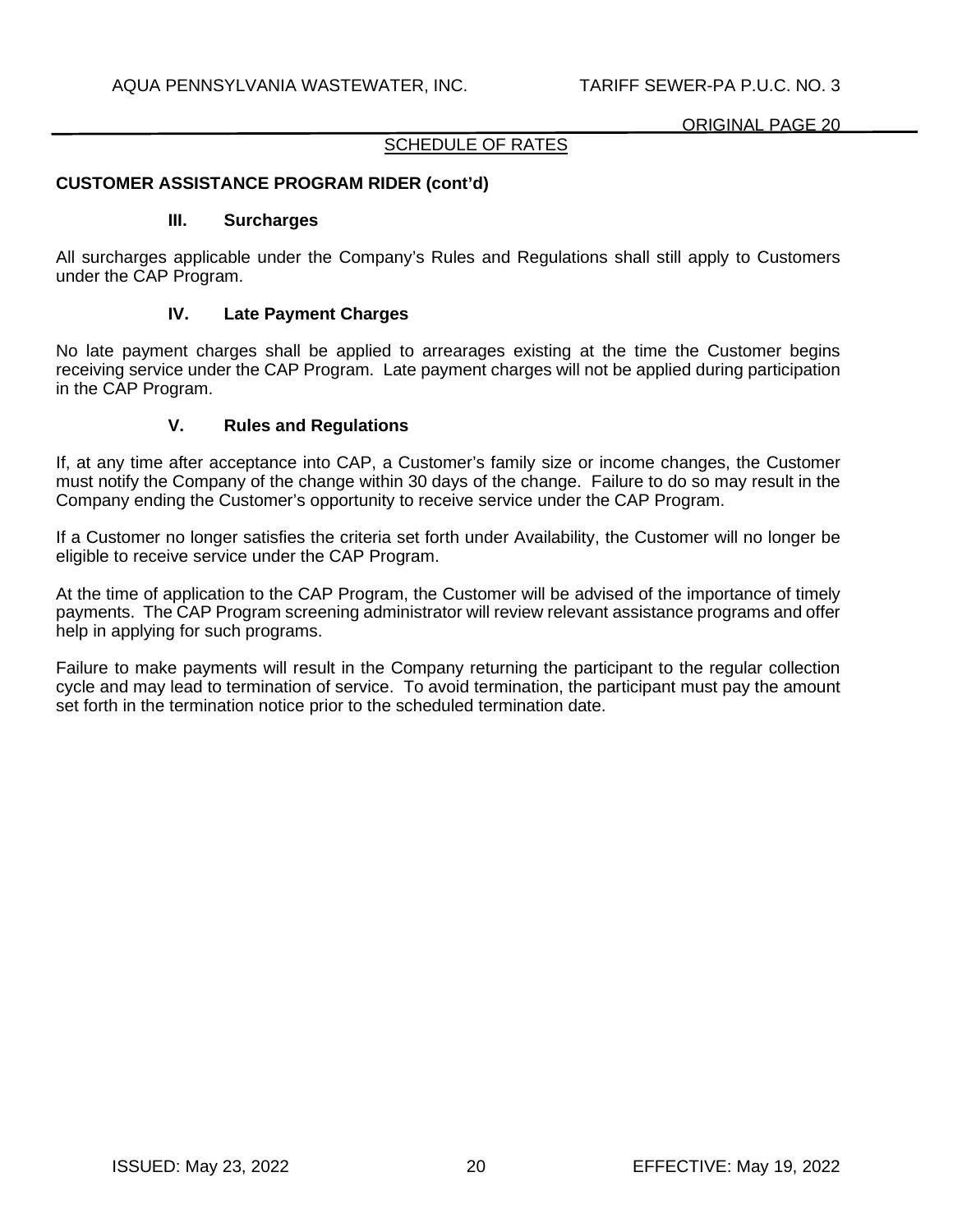## SCHEDULE OF RATES

# **CUSTOMER ASSISTANCE PROGRAM RIDER (cont'd)**

#### **III. Surcharges**

All surcharges applicable under the Company's Rules and Regulations shall still apply to Customers under the CAP Program.

### **IV. Late Payment Charges**

No late payment charges shall be applied to arrearages existing at the time the Customer begins receiving service under the CAP Program. Late payment charges will not be applied during participation in the CAP Program.

## **V. Rules and Regulations**

If, at any time after acceptance into CAP, a Customer's family size or income changes, the Customer must notify the Company of the change within 30 days of the change. Failure to do so may result in the Company ending the Customer's opportunity to receive service under the CAP Program.

If a Customer no longer satisfies the criteria set forth under Availability, the Customer will no longer be eligible to receive service under the CAP Program.

At the time of application to the CAP Program, the Customer will be advised of the importance of timely payments. The CAP Program screening administrator will review relevant assistance programs and offer help in applying for such programs.

Failure to make payments will result in the Company returning the participant to the regular collection cycle and may lead to termination of service. To avoid termination, the participant must pay the amount set forth in the termination notice prior to the scheduled termination date.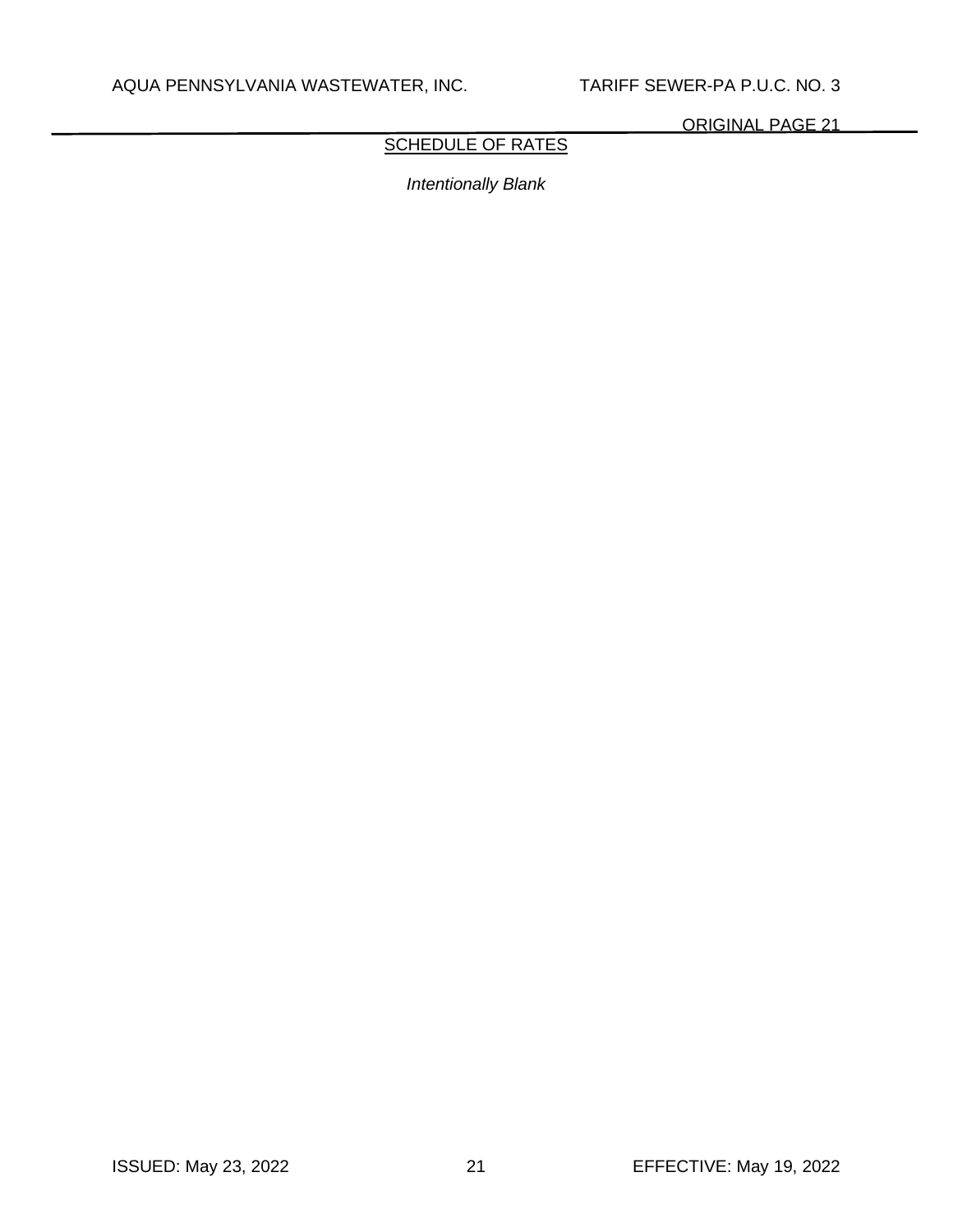# SCHEDULE OF RATES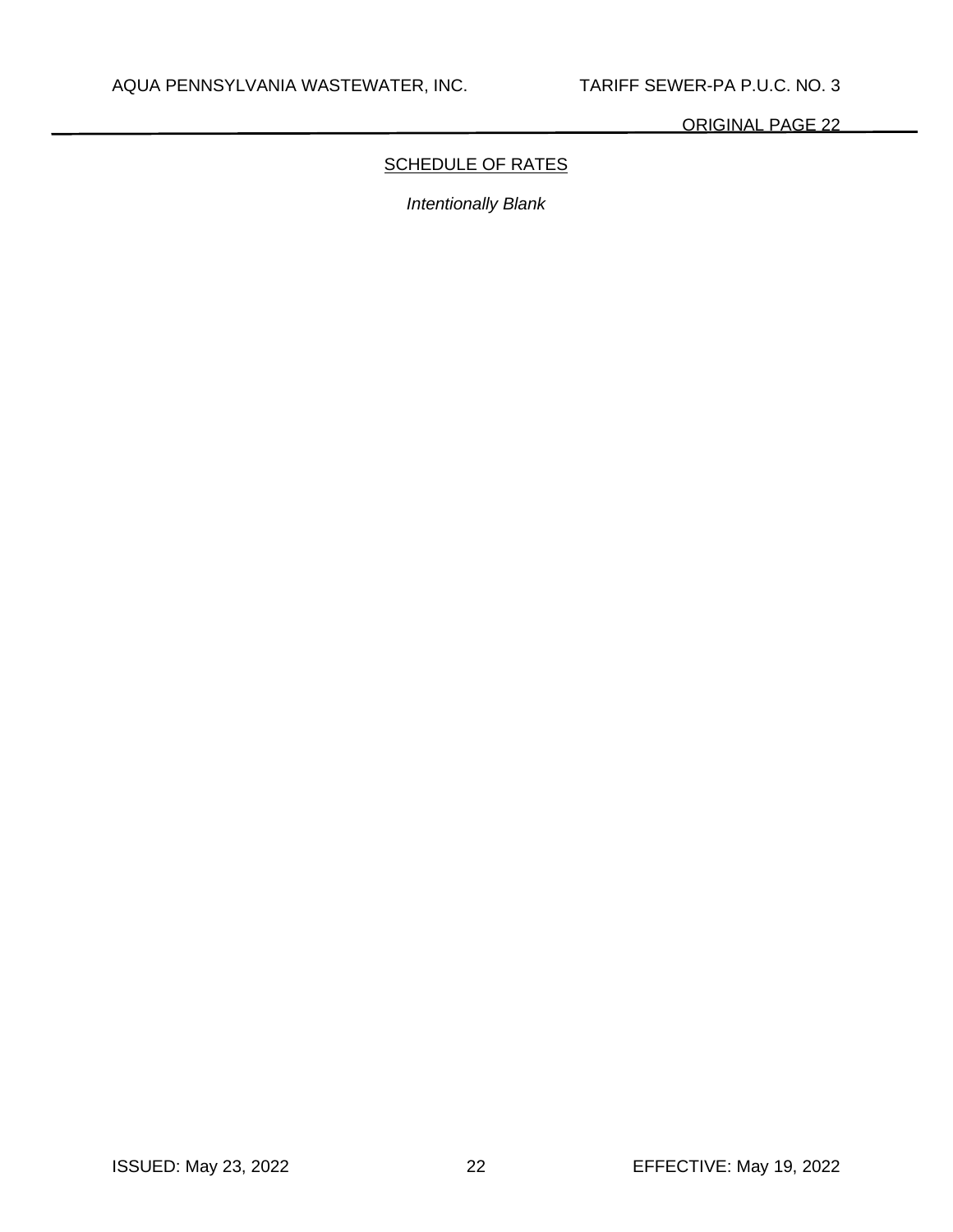# **SCHEDULE OF RATES**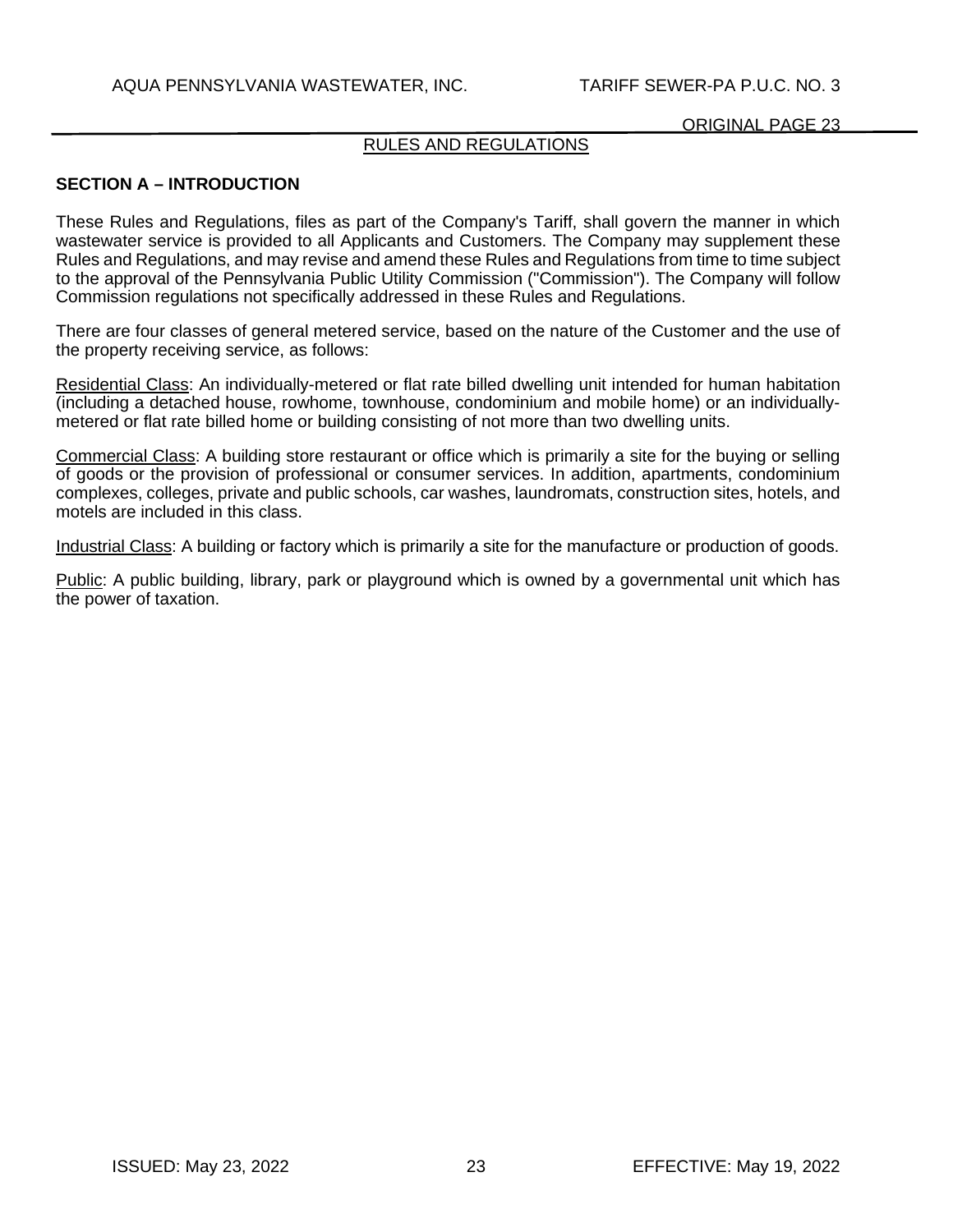### RULES AND REGULATIONS

### **SECTION A – INTRODUCTION**

These Rules and Regulations, files as part of the Company's Tariff, shall govern the manner in which wastewater service is provided to all Applicants and Customers. The Company may supplement these Rules and Regulations, and may revise and amend these Rules and Regulations from time to time subject to the approval of the Pennsylvania Public Utility Commission ("Commission"). The Company will follow Commission regulations not specifically addressed in these Rules and Regulations.

There are four classes of general metered service, based on the nature of the Customer and the use of the property receiving service, as follows:

Residential Class: An individually-metered or flat rate billed dwelling unit intended for human habitation (including a detached house, rowhome, townhouse, condominium and mobile home) or an individuallymetered or flat rate billed home or building consisting of not more than two dwelling units.

Commercial Class: A building store restaurant or office which is primarily a site for the buying or selling of goods or the provision of professional or consumer services. In addition, apartments, condominium complexes, colleges, private and public schools, car washes, laundromats, construction sites, hotels, and motels are included in this class.

Industrial Class: A building or factory which is primarily a site for the manufacture or production of goods.

Public: A public building, library, park or playground which is owned by a governmental unit which has the power of taxation.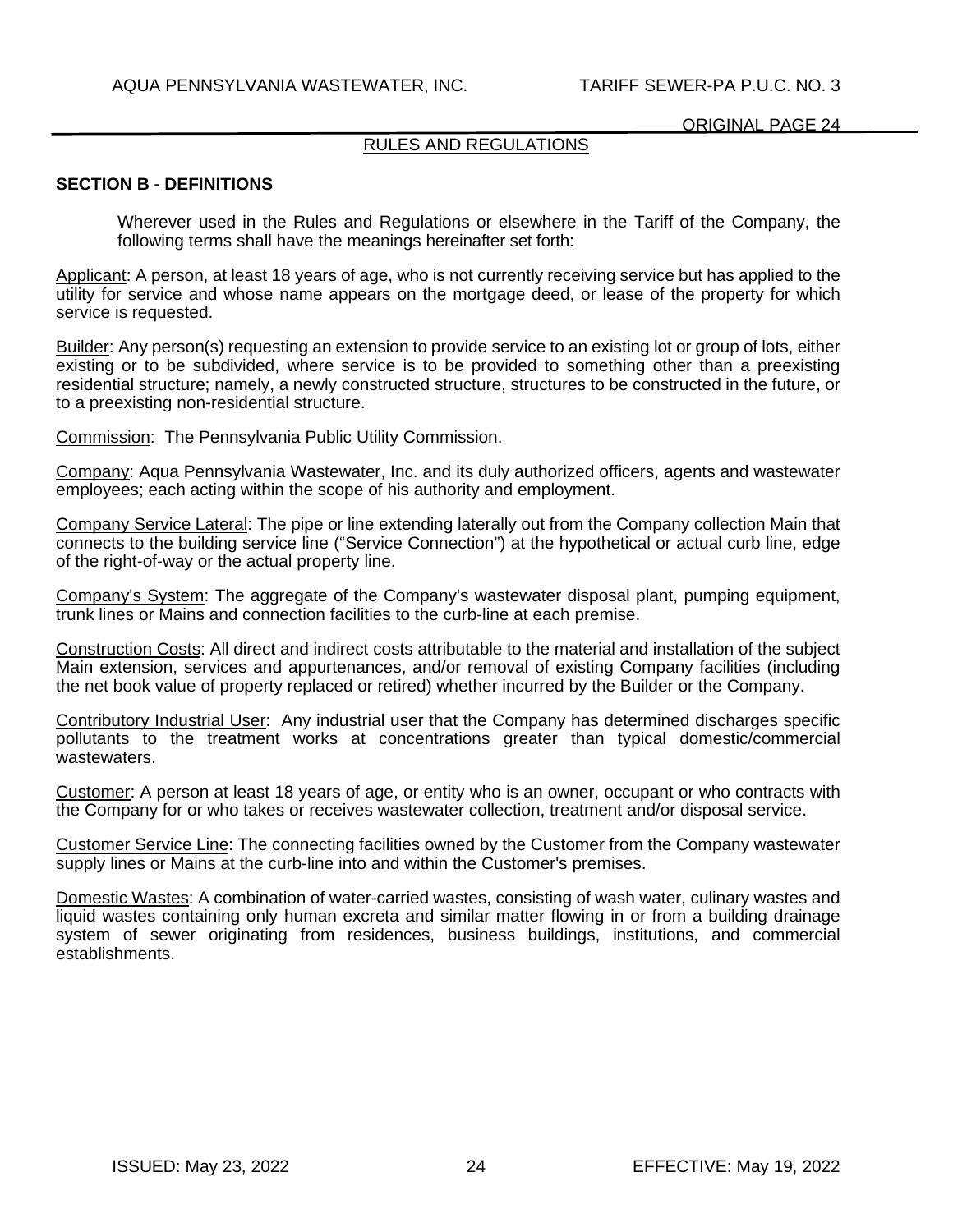# RULES AND REGULATIONS

#### **SECTION B - DEFINITIONS**

Wherever used in the Rules and Regulations or elsewhere in the Tariff of the Company, the following terms shall have the meanings hereinafter set forth:

Applicant: A person, at least 18 years of age, who is not currently receiving service but has applied to the utility for service and whose name appears on the mortgage deed, or lease of the property for which service is requested.

Builder: Any person(s) requesting an extension to provide service to an existing lot or group of lots, either existing or to be subdivided, where service is to be provided to something other than a preexisting residential structure; namely, a newly constructed structure, structures to be constructed in the future, or to a preexisting non-residential structure.

Commission: The Pennsylvania Public Utility Commission.

Company: Aqua Pennsylvania Wastewater, Inc. and its duly authorized officers, agents and wastewater employees; each acting within the scope of his authority and employment.

Company Service Lateral: The pipe or line extending laterally out from the Company collection Main that connects to the building service line ("Service Connection") at the hypothetical or actual curb line, edge of the right-of-way or the actual property line.

Company's System: The aggregate of the Company's wastewater disposal plant, pumping equipment, trunk lines or Mains and connection facilities to the curb-line at each premise.

Construction Costs: All direct and indirect costs attributable to the material and installation of the subject Main extension, services and appurtenances, and/or removal of existing Company facilities (including the net book value of property replaced or retired) whether incurred by the Builder or the Company.

Contributory Industrial User: Any industrial user that the Company has determined discharges specific pollutants to the treatment works at concentrations greater than typical domestic/commercial wastewaters.

Customer: A person at least 18 years of age, or entity who is an owner, occupant or who contracts with the Company for or who takes or receives wastewater collection, treatment and/or disposal service.

Customer Service Line: The connecting facilities owned by the Customer from the Company wastewater supply lines or Mains at the curb-line into and within the Customer's premises.

Domestic Wastes: A combination of water-carried wastes, consisting of wash water, culinary wastes and liquid wastes containing only human excreta and similar matter flowing in or from a building drainage system of sewer originating from residences, business buildings, institutions, and commercial establishments.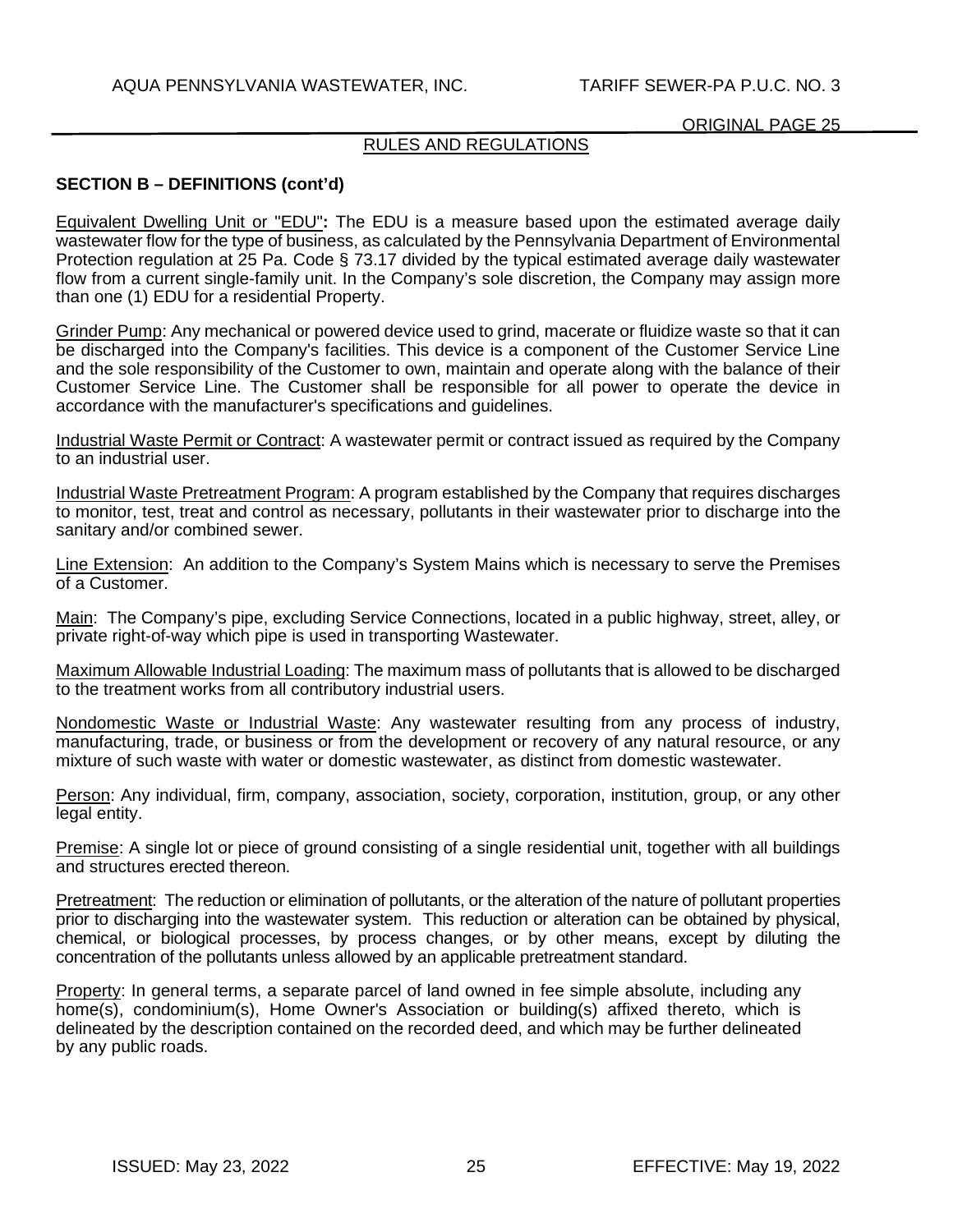# RULES AND REGULATIONS

# **SECTION B – DEFINITIONS (cont'd)**

Equivalent Dwelling Unit or "EDU"**:** The EDU is a measure based upon the estimated average daily wastewater flow for the type of business, as calculated by the Pennsylvania Department of Environmental Protection regulation at 25 Pa. Code § 73.17 divided by the typical estimated average daily wastewater flow from a current single-family unit. In the Company's sole discretion, the Company may assign more than one (1) EDU for a residential Property.

Grinder Pump: Any mechanical or powered device used to grind, macerate or fluidize waste so that it can be discharged into the Company's facilities. This device is a component of the Customer Service Line and the sole responsibility of the Customer to own, maintain and operate along with the balance of their Customer Service Line. The Customer shall be responsible for all power to operate the device in accordance with the manufacturer's specifications and guidelines.

Industrial Waste Permit or Contract: A wastewater permit or contract issued as required by the Company to an industrial user.

Industrial Waste Pretreatment Program: A program established by the Company that requires discharges to monitor, test, treat and control as necessary, pollutants in their wastewater prior to discharge into the sanitary and/or combined sewer.

Line Extension: An addition to the Company's System Mains which is necessary to serve the Premises of a Customer.

Main: The Company's pipe, excluding Service Connections, located in a public highway, street, alley, or private right-of-way which pipe is used in transporting Wastewater.

Maximum Allowable Industrial Loading: The maximum mass of pollutants that is allowed to be discharged to the treatment works from all contributory industrial users.

Nondomestic Waste or Industrial Waste: Any wastewater resulting from any process of industry, manufacturing, trade, or business or from the development or recovery of any natural resource, or any mixture of such waste with water or domestic wastewater, as distinct from domestic wastewater.

Person: Any individual, firm, company, association, society, corporation, institution, group, or any other legal entity.

Premise: A single lot or piece of ground consisting of a single residential unit, together with all buildings and structures erected thereon.

Pretreatment: The reduction or elimination of pollutants, or the alteration of the nature of pollutant properties prior to discharging into the wastewater system. This reduction or alteration can be obtained by physical, chemical, or biological processes, by process changes, or by other means, except by diluting the concentration of the pollutants unless allowed by an applicable pretreatment standard.

Property: In general terms, a separate parcel of land owned in fee simple absolute, including any home(s), condominium(s), Home Owner's Association or building(s) affixed thereto, which is delineated by the description contained on the recorded deed, and which may be further delineated by any public roads.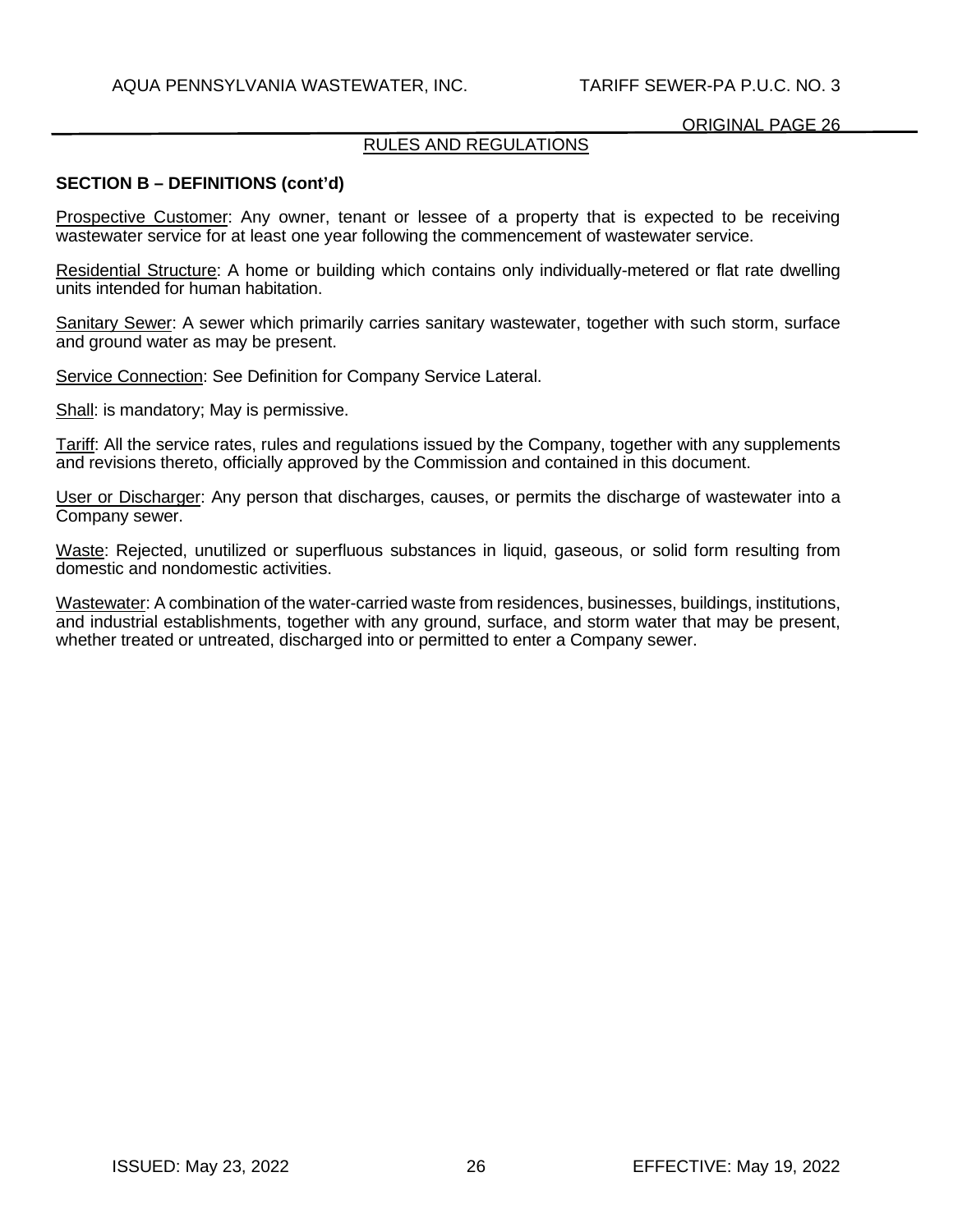# RULES AND REGULATIONS

## **SECTION B – DEFINITIONS (cont'd)**

Prospective Customer: Any owner, tenant or lessee of a property that is expected to be receiving wastewater service for at least one year following the commencement of wastewater service.

Residential Structure: A home or building which contains only individually-metered or flat rate dwelling units intended for human habitation.

Sanitary Sewer: A sewer which primarily carries sanitary wastewater, together with such storm, surface and ground water as may be present.

Service Connection: See Definition for Company Service Lateral.

Shall: is mandatory; May is permissive.

Tariff: All the service rates, rules and regulations issued by the Company, together with any supplements and revisions thereto, officially approved by the Commission and contained in this document.

User or Discharger: Any person that discharges, causes, or permits the discharge of wastewater into a Company sewer.

Waste: Rejected, unutilized or superfluous substances in liquid, gaseous, or solid form resulting from domestic and nondomestic activities.

Wastewater: A combination of the water-carried waste from residences, businesses, buildings, institutions, and industrial establishments, together with any ground, surface, and storm water that may be present, whether treated or untreated, discharged into or permitted to enter a Company sewer.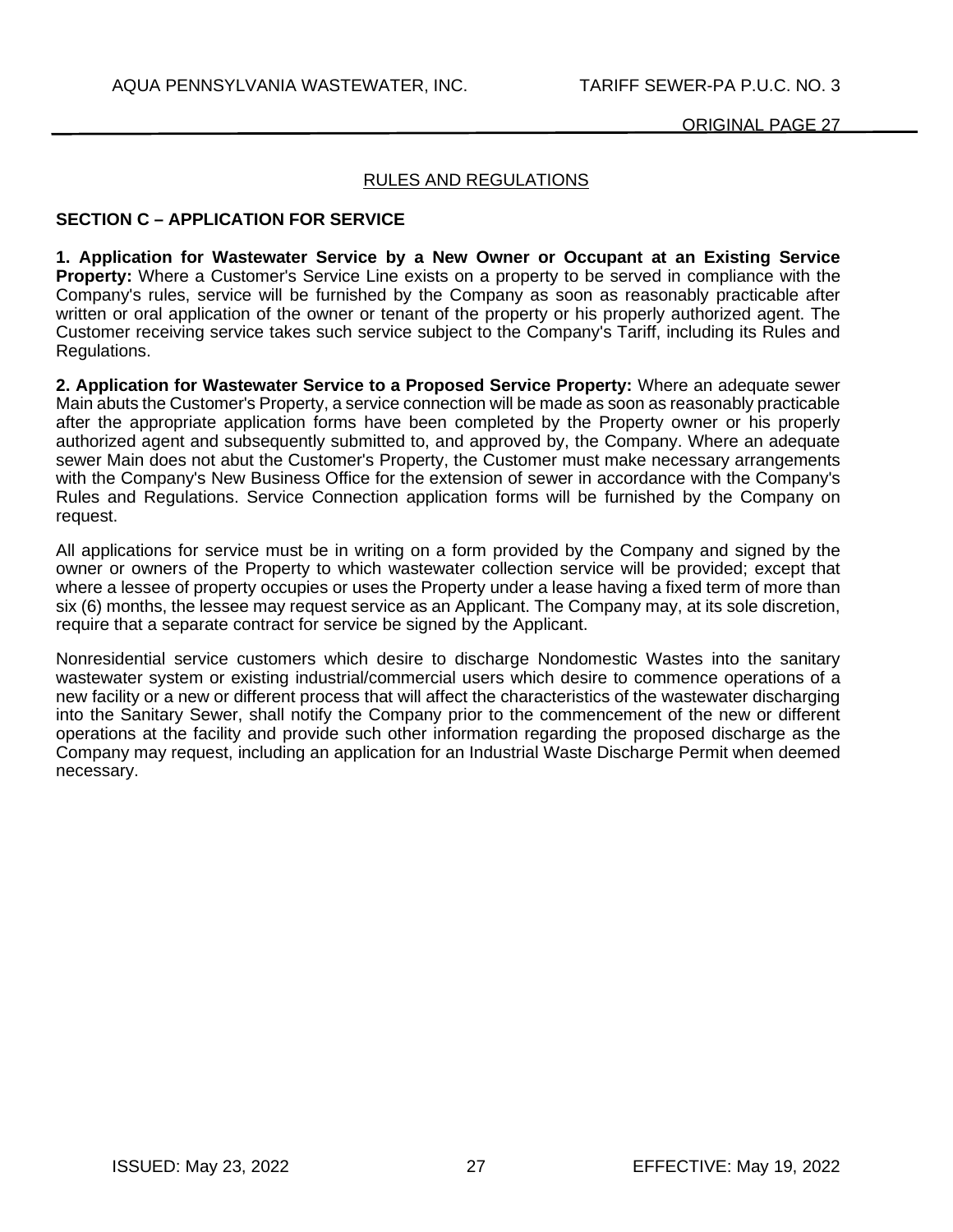# RULES AND REGULATIONS

## **SECTION C – APPLICATION FOR SERVICE**

**1. Application for Wastewater Service by a New Owner or Occupant at an Existing Service Property:** Where a Customer's Service Line exists on a property to be served in compliance with the Company's rules, service will be furnished by the Company as soon as reasonably practicable after written or oral application of the owner or tenant of the property or his properly authorized agent. The Customer receiving service takes such service subject to the Company's Tariff, including its Rules and Regulations.

**2. Application for Wastewater Service to a Proposed Service Property:** Where an adequate sewer Main abuts the Customer's Property, a service connection will be made as soon as reasonably practicable after the appropriate application forms have been completed by the Property owner or his properly authorized agent and subsequently submitted to, and approved by, the Company. Where an adequate sewer Main does not abut the Customer's Property, the Customer must make necessary arrangements with the Company's New Business Office for the extension of sewer in accordance with the Company's Rules and Regulations. Service Connection application forms will be furnished by the Company on request.

All applications for service must be in writing on a form provided by the Company and signed by the owner or owners of the Property to which wastewater collection service will be provided; except that where a lessee of property occupies or uses the Property under a lease having a fixed term of more than six (6) months, the lessee may request service as an Applicant. The Company may, at its sole discretion, require that a separate contract for service be signed by the Applicant.

Nonresidential service customers which desire to discharge Nondomestic Wastes into the sanitary wastewater system or existing industrial/commercial users which desire to commence operations of a new facility or a new or different process that will affect the characteristics of the wastewater discharging into the Sanitary Sewer, shall notify the Company prior to the commencement of the new or different operations at the facility and provide such other information regarding the proposed discharge as the Company may request, including an application for an Industrial Waste Discharge Permit when deemed necessary.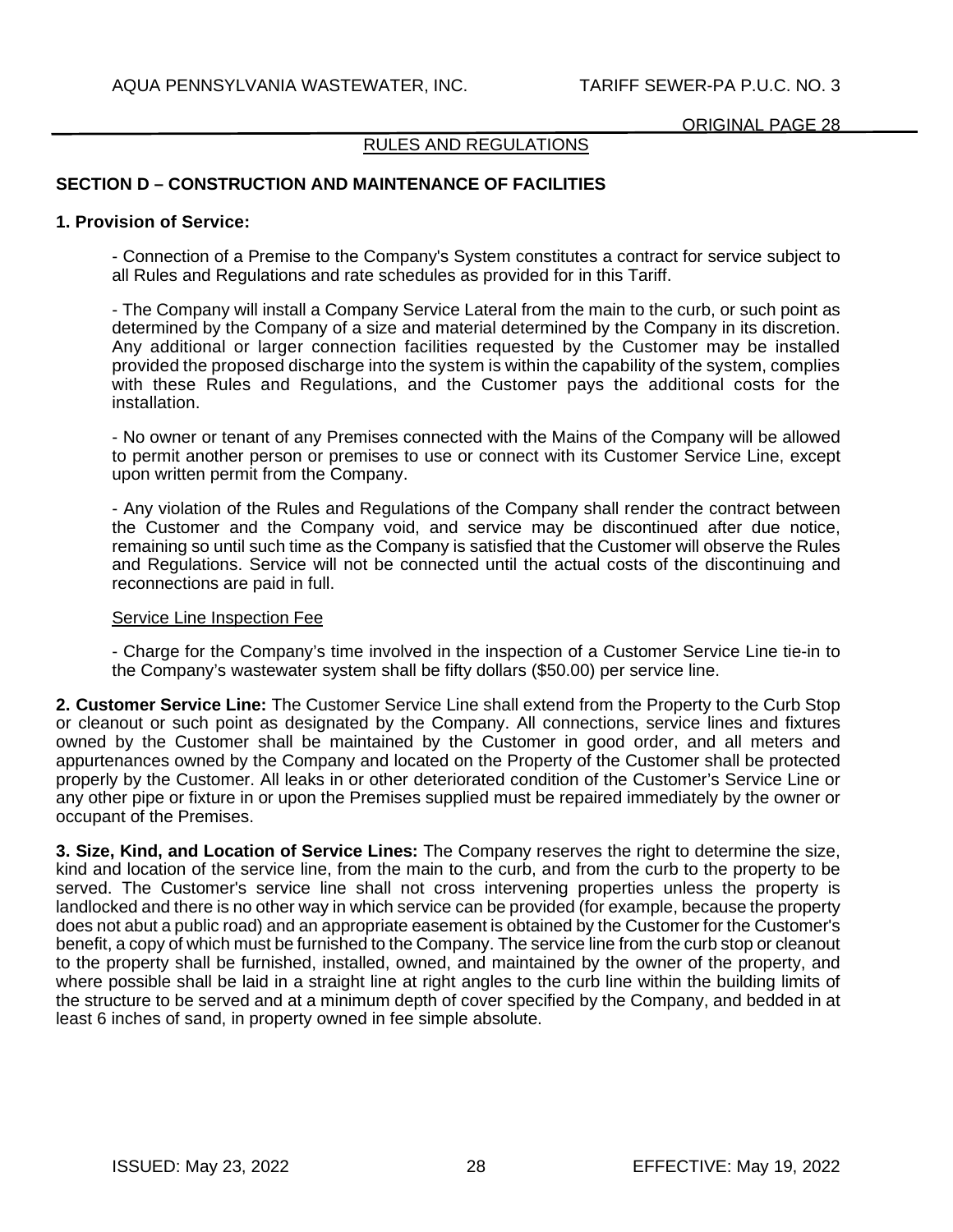## RULES AND REGULATIONS

# **SECTION D – CONSTRUCTION AND MAINTENANCE OF FACILITIES**

#### **1. Provision of Service:**

- Connection of a Premise to the Company's System constitutes a contract for service subject to all Rules and Regulations and rate schedules as provided for in this Tariff.

- The Company will install a Company Service Lateral from the main to the curb, or such point as determined by the Company of a size and material determined by the Company in its discretion. Any additional or larger connection facilities requested by the Customer may be installed provided the proposed discharge into the system is within the capability of the system, complies with these Rules and Regulations, and the Customer pays the additional costs for the installation.

- No owner or tenant of any Premises connected with the Mains of the Company will be allowed to permit another person or premises to use or connect with its Customer Service Line, except upon written permit from the Company.

- Any violation of the Rules and Regulations of the Company shall render the contract between the Customer and the Company void, and service may be discontinued after due notice, remaining so until such time as the Company is satisfied that the Customer will observe the Rules and Regulations. Service will not be connected until the actual costs of the discontinuing and reconnections are paid in full.

#### Service Line Inspection Fee

- Charge for the Company's time involved in the inspection of a Customer Service Line tie-in to the Company's wastewater system shall be fifty dollars (\$50.00) per service line.

**2. Customer Service Line:** The Customer Service Line shall extend from the Property to the Curb Stop or cleanout or such point as designated by the Company. All connections, service lines and fixtures owned by the Customer shall be maintained by the Customer in good order, and all meters and appurtenances owned by the Company and located on the Property of the Customer shall be protected properly by the Customer. All leaks in or other deteriorated condition of the Customer's Service Line or any other pipe or fixture in or upon the Premises supplied must be repaired immediately by the owner or occupant of the Premises.

**3. Size, Kind, and Location of Service Lines:** The Company reserves the right to determine the size, kind and location of the service line, from the main to the curb, and from the curb to the property to be served. The Customer's service line shall not cross intervening properties unless the property is landlocked and there is no other way in which service can be provided (for example, because the property does not abut a public road) and an appropriate easement is obtained by the Customer for the Customer's benefit, a copy of which must be furnished to the Company. The service line from the curb stop or cleanout to the property shall be furnished, installed, owned, and maintained by the owner of the property, and where possible shall be laid in a straight line at right angles to the curb line within the building limits of the structure to be served and at a minimum depth of cover specified by the Company, and bedded in at least 6 inches of sand, in property owned in fee simple absolute.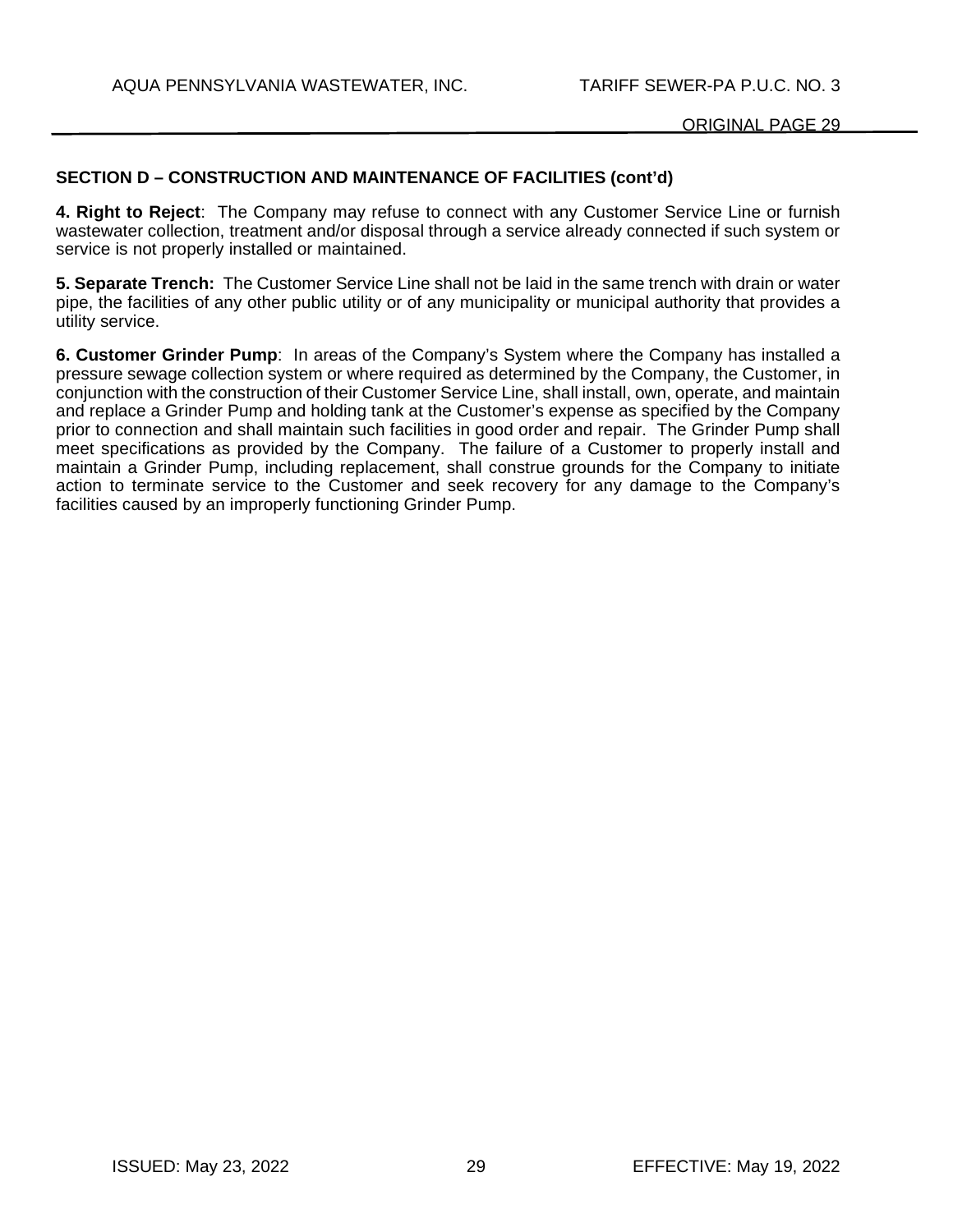## **SECTION D – CONSTRUCTION AND MAINTENANCE OF FACILITIES (cont'd)**

**4. Right to Reject**: The Company may refuse to connect with any Customer Service Line or furnish wastewater collection, treatment and/or disposal through a service already connected if such system or service is not properly installed or maintained.

**5. Separate Trench:** The Customer Service Line shall not be laid in the same trench with drain or water pipe, the facilities of any other public utility or of any municipality or municipal authority that provides a utility service.

**6. Customer Grinder Pump**: In areas of the Company's System where the Company has installed a pressure sewage collection system or where required as determined by the Company, the Customer, in conjunction with the construction of their Customer Service Line, shall install, own, operate, and maintain and replace a Grinder Pump and holding tank at the Customer's expense as specified by the Company prior to connection and shall maintain such facilities in good order and repair. The Grinder Pump shall meet specifications as provided by the Company. The failure of a Customer to properly install and maintain a Grinder Pump, including replacement, shall construe grounds for the Company to initiate action to terminate service to the Customer and seek recovery for any damage to the Company's facilities caused by an improperly functioning Grinder Pump.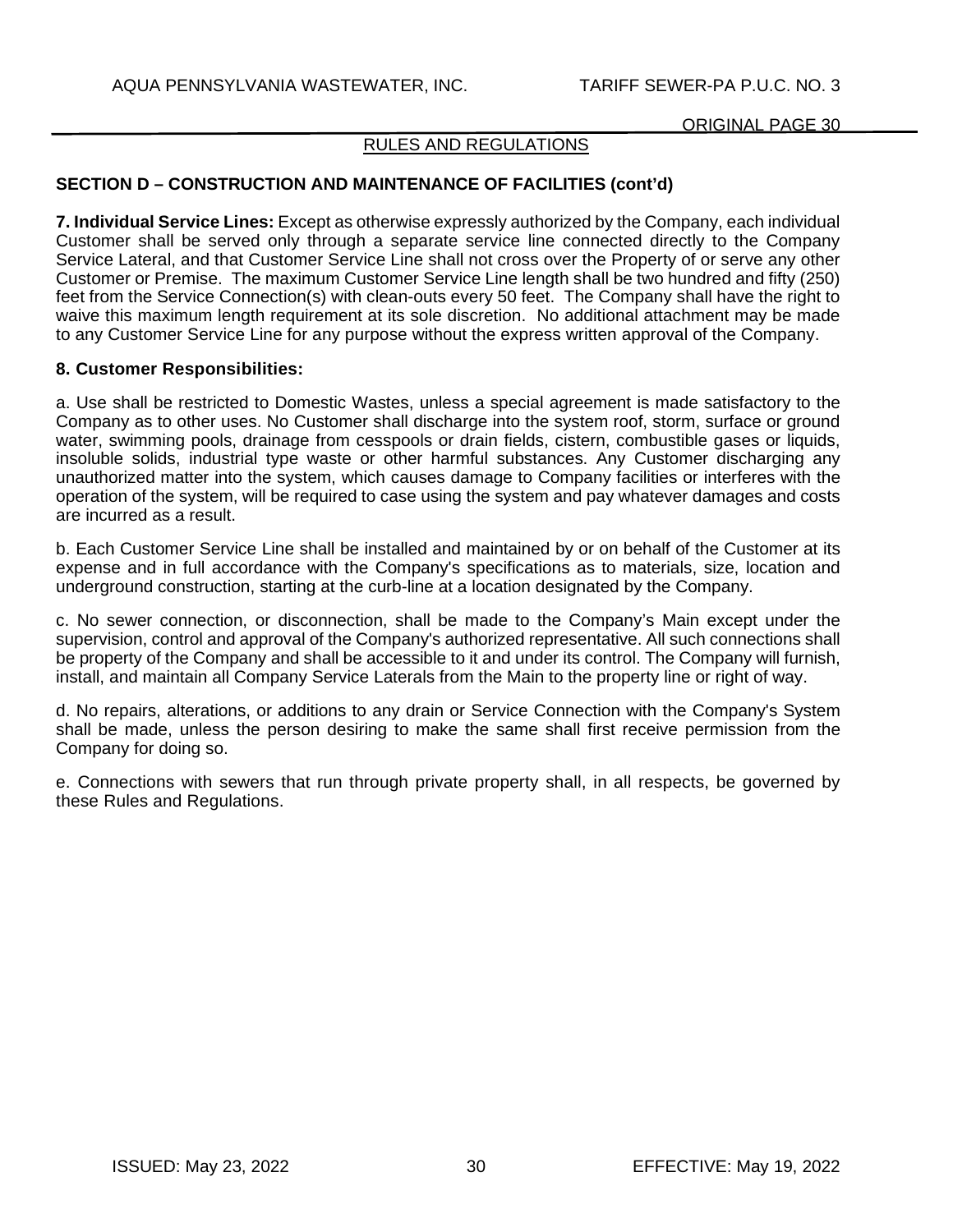## RULES AND REGULATIONS

# **SECTION D – CONSTRUCTION AND MAINTENANCE OF FACILITIES (cont'd)**

**7. Individual Service Lines:** Except as otherwise expressly authorized by the Company, each individual Customer shall be served only through a separate service line connected directly to the Company Service Lateral, and that Customer Service Line shall not cross over the Property of or serve any other Customer or Premise. The maximum Customer Service Line length shall be two hundred and fifty (250) feet from the Service Connection(s) with clean-outs every 50 feet. The Company shall have the right to waive this maximum length requirement at its sole discretion. No additional attachment may be made to any Customer Service Line for any purpose without the express written approval of the Company.

### **8. Customer Responsibilities:**

a. Use shall be restricted to Domestic Wastes, unless a special agreement is made satisfactory to the Company as to other uses. No Customer shall discharge into the system roof, storm, surface or ground water, swimming pools, drainage from cesspools or drain fields, cistern, combustible gases or liquids. insoluble solids, industrial type waste or other harmful substances. Any Customer discharging any unauthorized matter into the system, which causes damage to Company facilities or interferes with the operation of the system, will be required to case using the system and pay whatever damages and costs are incurred as a result.

b. Each Customer Service Line shall be installed and maintained by or on behalf of the Customer at its expense and in full accordance with the Company's specifications as to materials, size, location and underground construction, starting at the curb-line at a location designated by the Company.

c. No sewer connection, or disconnection, shall be made to the Company's Main except under the supervision, control and approval of the Company's authorized representative. All such connections shall be property of the Company and shall be accessible to it and under its control. The Company will furnish, install, and maintain all Company Service Laterals from the Main to the property line or right of way.

d. No repairs, alterations, or additions to any drain or Service Connection with the Company's System shall be made, unless the person desiring to make the same shall first receive permission from the Company for doing so.

e. Connections with sewers that run through private property shall, in all respects, be governed by these Rules and Regulations.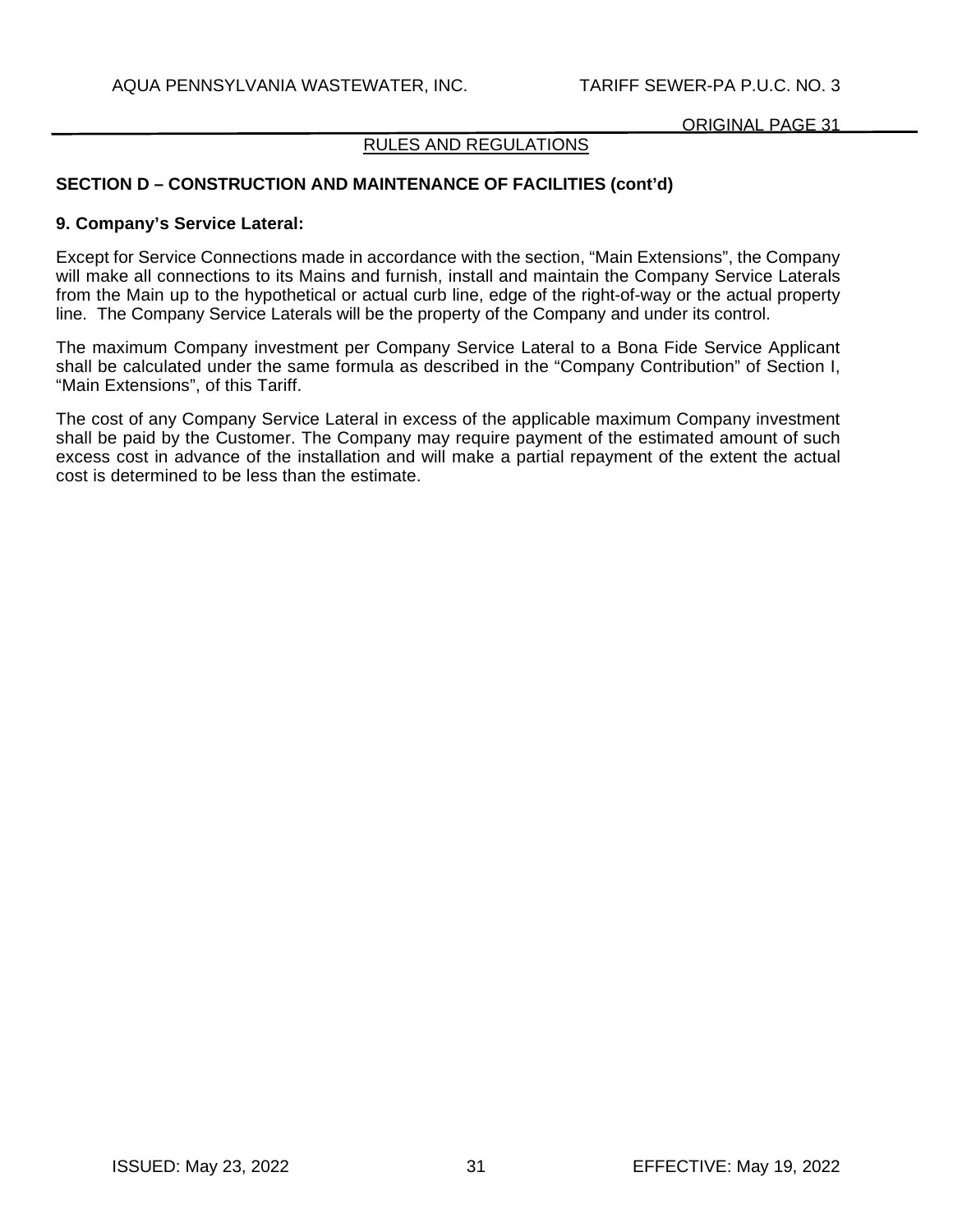## RULES AND REGULATIONS

# **SECTION D – CONSTRUCTION AND MAINTENANCE OF FACILITIES (cont'd)**

#### **9. Company's Service Lateral:**

Except for Service Connections made in accordance with the section, "Main Extensions", the Company will make all connections to its Mains and furnish, install and maintain the Company Service Laterals from the Main up to the hypothetical or actual curb line, edge of the right-of-way or the actual property line. The Company Service Laterals will be the property of the Company and under its control.

The maximum Company investment per Company Service Lateral to a Bona Fide Service Applicant shall be calculated under the same formula as described in the "Company Contribution" of Section I, "Main Extensions", of this Tariff.

The cost of any Company Service Lateral in excess of the applicable maximum Company investment shall be paid by the Customer. The Company may require payment of the estimated amount of such excess cost in advance of the installation and will make a partial repayment of the extent the actual cost is determined to be less than the estimate.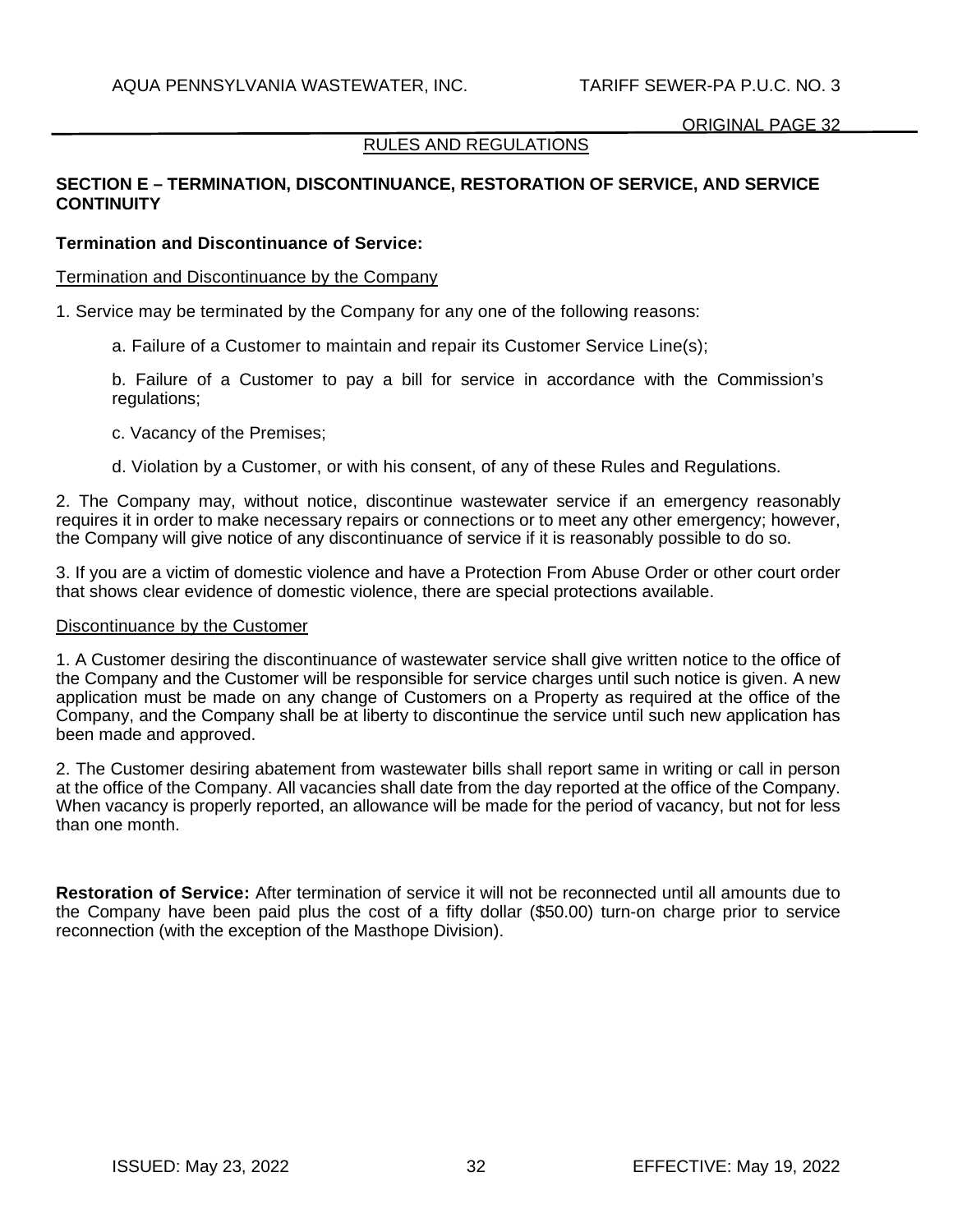## RULES AND REGULATIONS

# **SECTION E – TERMINATION, DISCONTINUANCE, RESTORATION OF SERVICE, AND SERVICE CONTINUITY**

## **Termination and Discontinuance of Service:**

Termination and Discontinuance by the Company

1. Service may be terminated by the Company for any one of the following reasons:

a. Failure of a Customer to maintain and repair its Customer Service Line(s);

b. Failure of a Customer to pay a bill for service in accordance with the Commission's regulations;

c. Vacancy of the Premises;

d. Violation by a Customer, or with his consent, of any of these Rules and Regulations.

2. The Company may, without notice, discontinue wastewater service if an emergency reasonably requires it in order to make necessary repairs or connections or to meet any other emergency; however, the Company will give notice of any discontinuance of service if it is reasonably possible to do so.

3. If you are a victim of domestic violence and have a Protection From Abuse Order or other court order that shows clear evidence of domestic violence, there are special protections available.

#### Discontinuance by the Customer

1. A Customer desiring the discontinuance of wastewater service shall give written notice to the office of the Company and the Customer will be responsible for service charges until such notice is given. A new application must be made on any change of Customers on a Property as required at the office of the Company, and the Company shall be at liberty to discontinue the service until such new application has been made and approved.

2. The Customer desiring abatement from wastewater bills shall report same in writing or call in person at the office of the Company. All vacancies shall date from the day reported at the office of the Company. When vacancy is properly reported, an allowance will be made for the period of vacancy, but not for less than one month.

**Restoration of Service:** After termination of service it will not be reconnected until all amounts due to the Company have been paid plus the cost of a fifty dollar (\$50.00) turn-on charge prior to service reconnection (with the exception of the Masthope Division).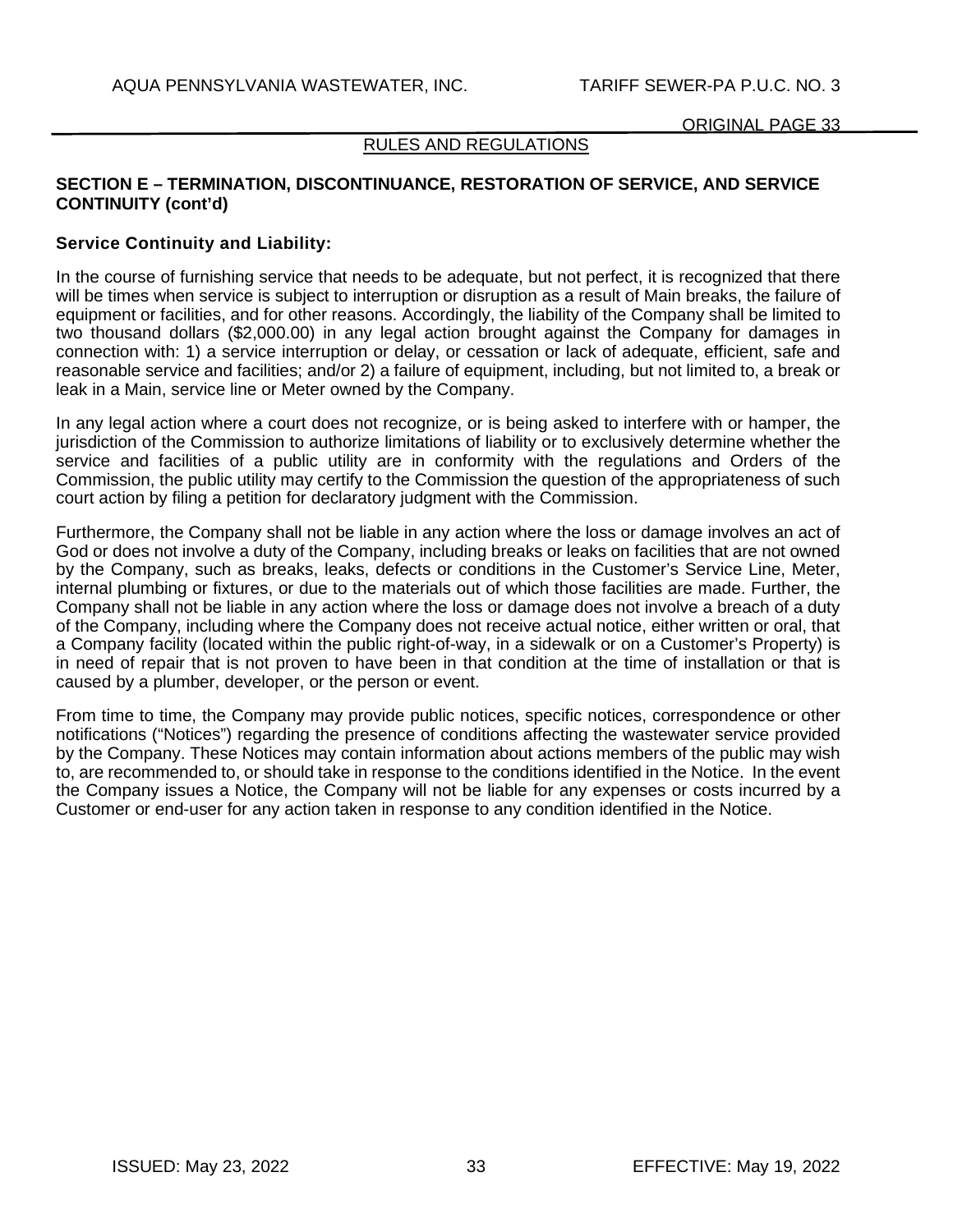### RULES AND REGULATIONS

# **SECTION E – TERMINATION, DISCONTINUANCE, RESTORATION OF SERVICE, AND SERVICE CONTINUITY (cont'd)**

## **Service Continuity and Liability:**

In the course of furnishing service that needs to be adequate, but not perfect, it is recognized that there will be times when service is subject to interruption or disruption as a result of Main breaks, the failure of equipment or facilities, and for other reasons. Accordingly, the liability of the Company shall be limited to two thousand dollars (\$2,000.00) in any legal action brought against the Company for damages in connection with: 1) a service interruption or delay, or cessation or lack of adequate, efficient, safe and reasonable service and facilities; and/or 2) a failure of equipment, including, but not limited to, a break or leak in a Main, service line or Meter owned by the Company.

In any legal action where a court does not recognize, or is being asked to interfere with or hamper, the jurisdiction of the Commission to authorize limitations of liability or to exclusively determine whether the service and facilities of a public utility are in conformity with the regulations and Orders of the Commission, the public utility may certify to the Commission the question of the appropriateness of such court action by filing a petition for declaratory judgment with the Commission.

Furthermore, the Company shall not be liable in any action where the loss or damage involves an act of God or does not involve a duty of the Company, including breaks or leaks on facilities that are not owned by the Company, such as breaks, leaks, defects or conditions in the Customer's Service Line, Meter, internal plumbing or fixtures, or due to the materials out of which those facilities are made. Further, the Company shall not be liable in any action where the loss or damage does not involve a breach of a duty of the Company, including where the Company does not receive actual notice, either written or oral, that a Company facility (located within the public right-of-way, in a sidewalk or on a Customer's Property) is in need of repair that is not proven to have been in that condition at the time of installation or that is caused by a plumber, developer, or the person or event.

From time to time, the Company may provide public notices, specific notices, correspondence or other notifications ("Notices") regarding the presence of conditions affecting the wastewater service provided by the Company. These Notices may contain information about actions members of the public may wish to, are recommended to, or should take in response to the conditions identified in the Notice. In the event the Company issues a Notice, the Company will not be liable for any expenses or costs incurred by a Customer or end-user for any action taken in response to any condition identified in the Notice.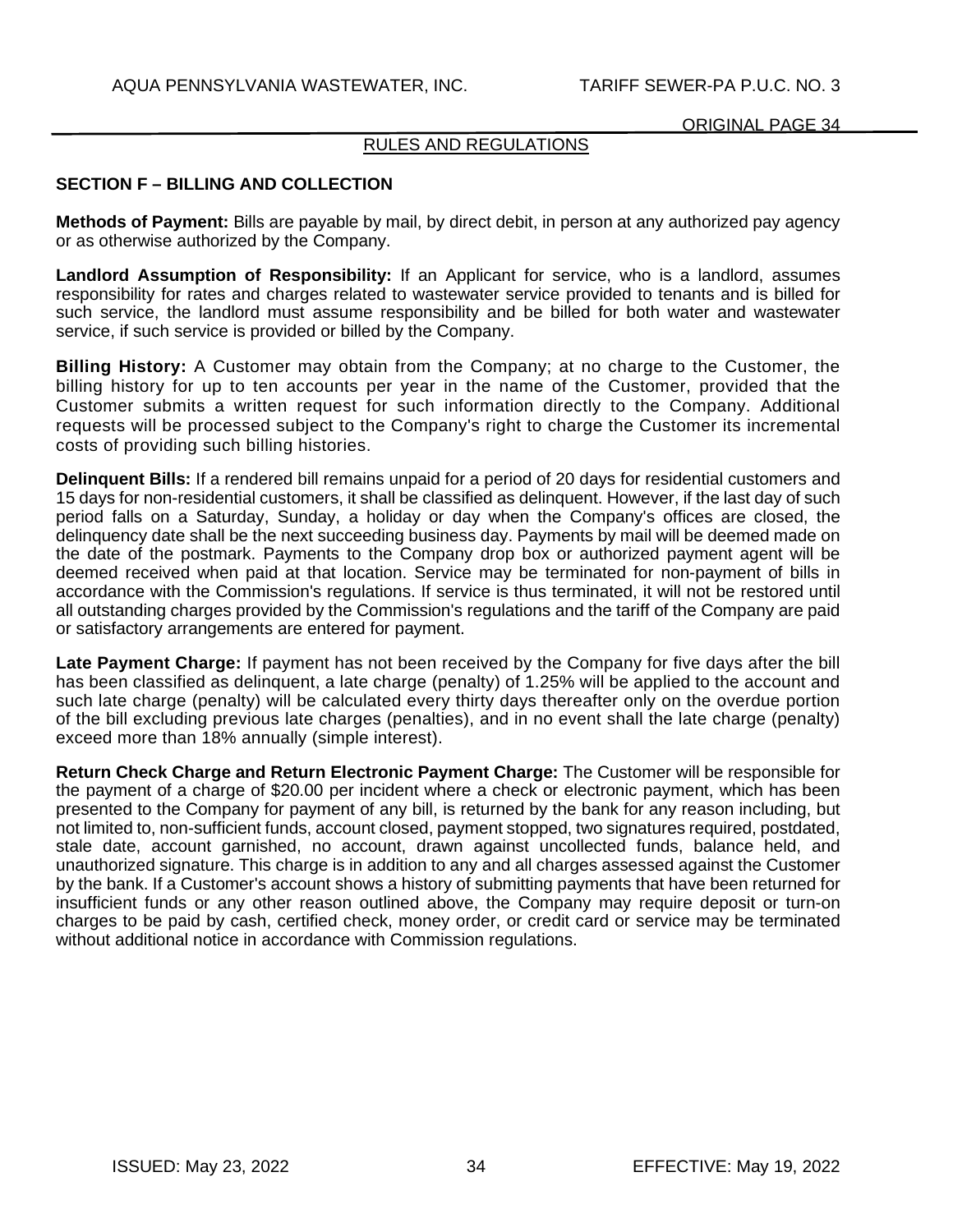# RULES AND REGULATIONS

# **SECTION F – BILLING AND COLLECTION**

**Methods of Payment:** Bills are payable by mail, by direct debit, in person at any authorized pay agency or as otherwise authorized by the Company.

**Landlord Assumption of Responsibility:** If an Applicant for service, who is a landlord, assumes responsibility for rates and charges related to wastewater service provided to tenants and is billed for such service, the landlord must assume responsibility and be billed for both water and wastewater service, if such service is provided or billed by the Company.

**Billing History:** A Customer may obtain from the Company; at no charge to the Customer, the billing history for up to ten accounts per year in the name of the Customer, provided that the Customer submits a written request for such information directly to the Company. Additional requests will be processed subject to the Company's right to charge the Customer its incremental costs of providing such billing histories.

**Delinquent Bills:** If a rendered bill remains unpaid for a period of 20 days for residential customers and 15 days for non-residential customers, it shall be classified as delinquent. However, if the last day of such period falls on a Saturday, Sunday, a holiday or day when the Company's offices are closed, the delinquency date shall be the next succeeding business day. Payments by mail will be deemed made on the date of the postmark. Payments to the Company drop box or authorized payment agent will be deemed received when paid at that location. Service may be terminated for non-payment of bills in accordance with the Commission's regulations. If service is thus terminated, it will not be restored until all outstanding charges provided by the Commission's regulations and the tariff of the Company are paid or satisfactory arrangements are entered for payment.

**Late Payment Charge:** If payment has not been received by the Company for five days after the bill has been classified as delinquent, a late charge (penalty) of 1.25% will be applied to the account and such late charge (penalty) will be calculated every thirty days thereafter only on the overdue portion of the bill excluding previous late charges (penalties), and in no event shall the late charge (penalty) exceed more than 18% annually (simple interest).

**Return Check Charge and Return Electronic Payment Charge:** The Customer will be responsible for the payment of a charge of \$20.00 per incident where a check or electronic payment, which has been presented to the Company for payment of any bill, is returned by the bank for any reason including, but not limited to, non-sufficient funds, account closed, payment stopped, two signatures required, postdated, stale date, account garnished, no account, drawn against uncollected funds, balance held, and unauthorized signature. This charge is in addition to any and all charges assessed against the Customer by the bank. If a Customer's account shows a history of submitting payments that have been returned for insufficient funds or any other reason outlined above, the Company may require deposit or turn-on charges to be paid by cash, certified check, money order, or credit card or service may be terminated without additional notice in accordance with Commission regulations.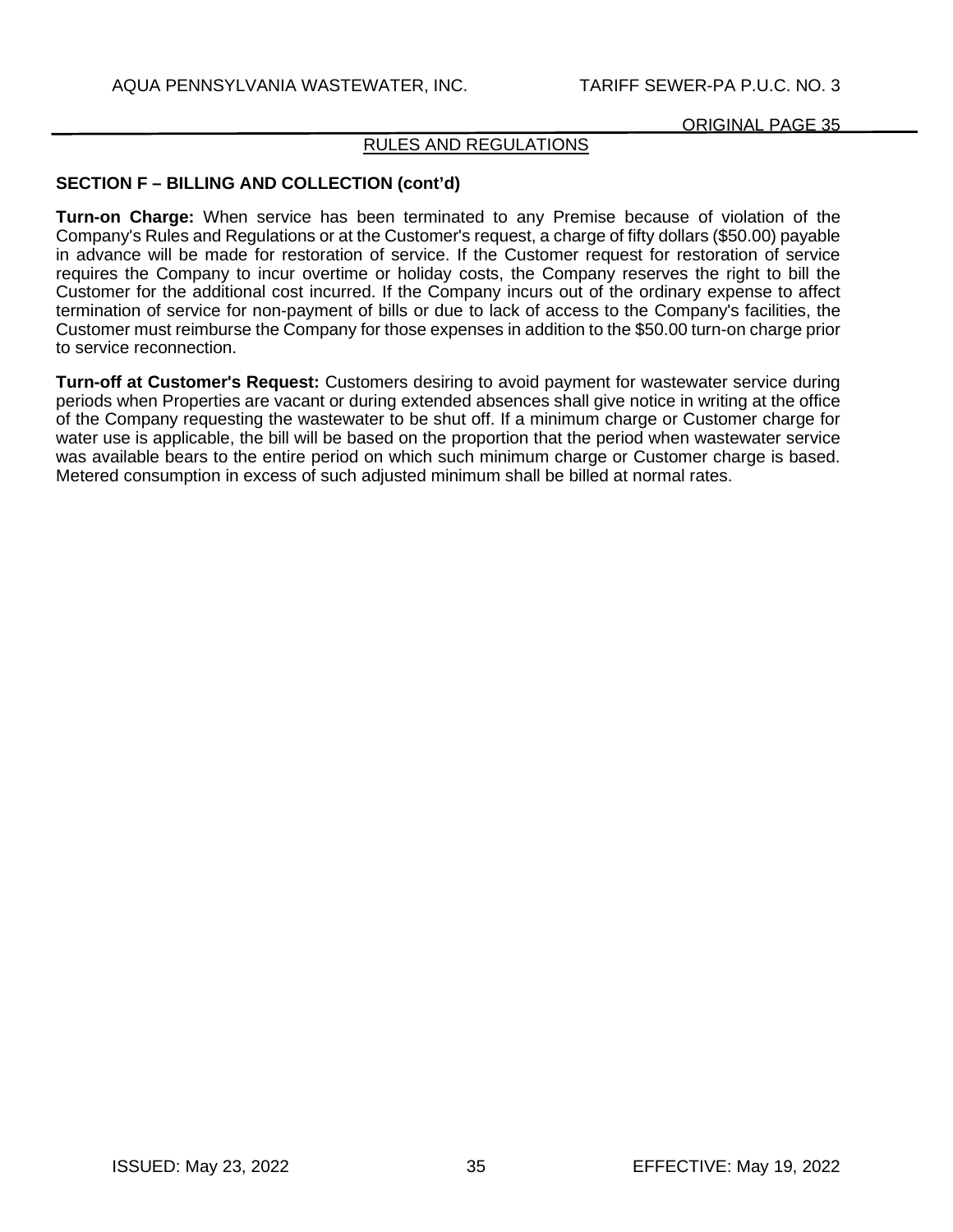# RULES AND REGULATIONS

# **SECTION F – BILLING AND COLLECTION (cont'd)**

**Turn-on Charge:** When service has been terminated to any Premise because of violation of the Company's Rules and Regulations or at the Customer's request, a charge of fifty dollars (\$50.00) payable in advance will be made for restoration of service. If the Customer request for restoration of service requires the Company to incur overtime or holiday costs, the Company reserves the right to bill the Customer for the additional cost incurred. If the Company incurs out of the ordinary expense to affect termination of service for non-payment of bills or due to lack of access to the Company's facilities, the Customer must reimburse the Company for those expenses in addition to the \$50.00 turn-on charge prior to service reconnection.

**Turn-off at Customer's Request:** Customers desiring to avoid payment for wastewater service during periods when Properties are vacant or during extended absences shall give notice in writing at the office of the Company requesting the wastewater to be shut off. If a minimum charge or Customer charge for water use is applicable, the bill will be based on the proportion that the period when wastewater service was available bears to the entire period on which such minimum charge or Customer charge is based. Metered consumption in excess of such adjusted minimum shall be billed at normal rates.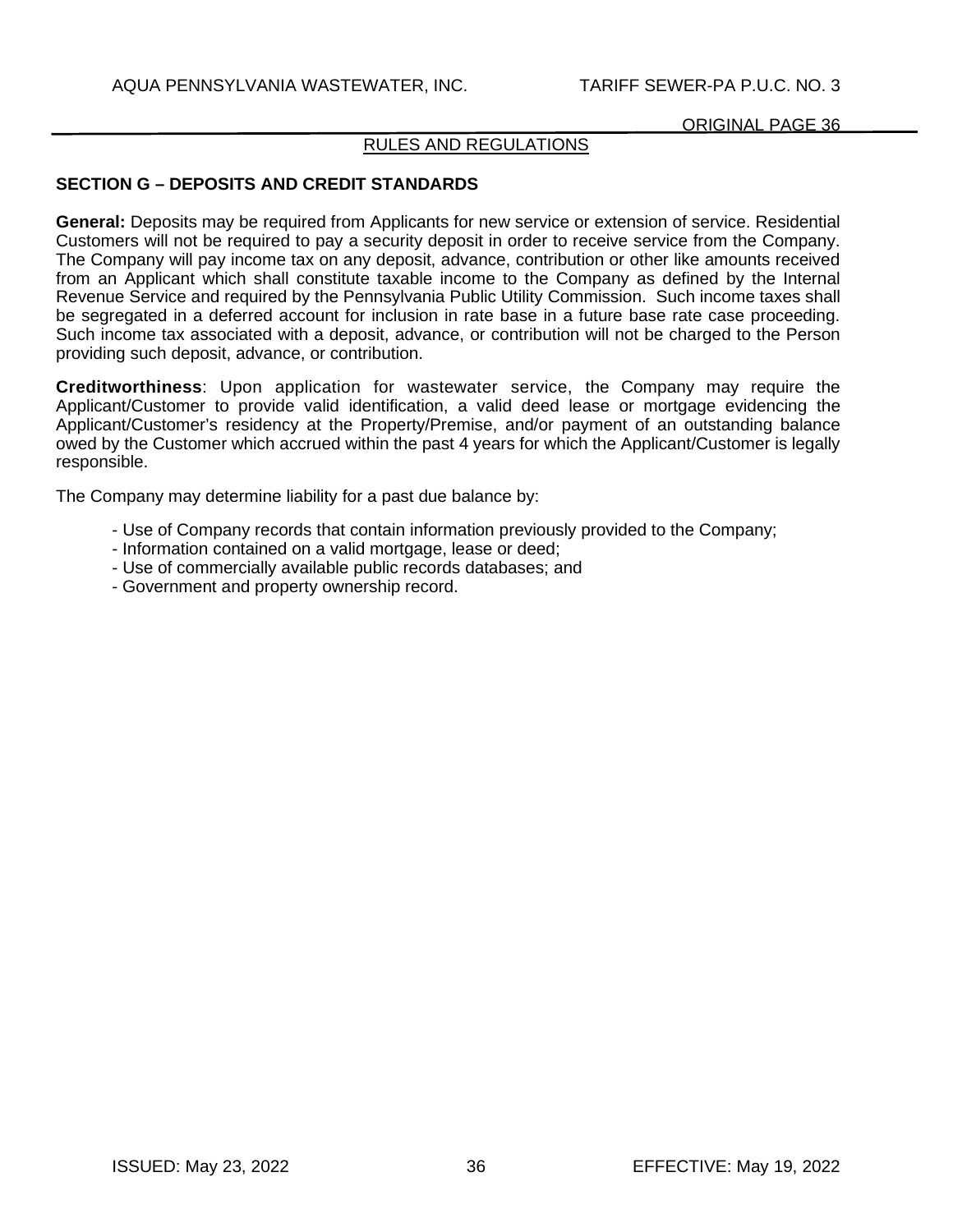## RULES AND REGULATIONS

## **SECTION G – DEPOSITS AND CREDIT STANDARDS**

**General:** Deposits may be required from Applicants for new service or extension of service. Residential Customers will not be required to pay a security deposit in order to receive service from the Company. The Company will pay income tax on any deposit, advance, contribution or other like amounts received from an Applicant which shall constitute taxable income to the Company as defined by the Internal Revenue Service and required by the Pennsylvania Public Utility Commission. Such income taxes shall be segregated in a deferred account for inclusion in rate base in a future base rate case proceeding. Such income tax associated with a deposit, advance, or contribution will not be charged to the Person providing such deposit, advance, or contribution.

**Creditworthiness**: Upon application for wastewater service, the Company may require the Applicant/Customer to provide valid identification, a valid deed lease or mortgage evidencing the Applicant/Customer's residency at the Property/Premise, and/or payment of an outstanding balance owed by the Customer which accrued within the past 4 years for which the Applicant/Customer is legally responsible.

The Company may determine liability for a past due balance by:

- Use of Company records that contain information previously provided to the Company;
- Information contained on a valid mortgage, lease or deed;
- Use of commercially available public records databases; and
- Government and property ownership record.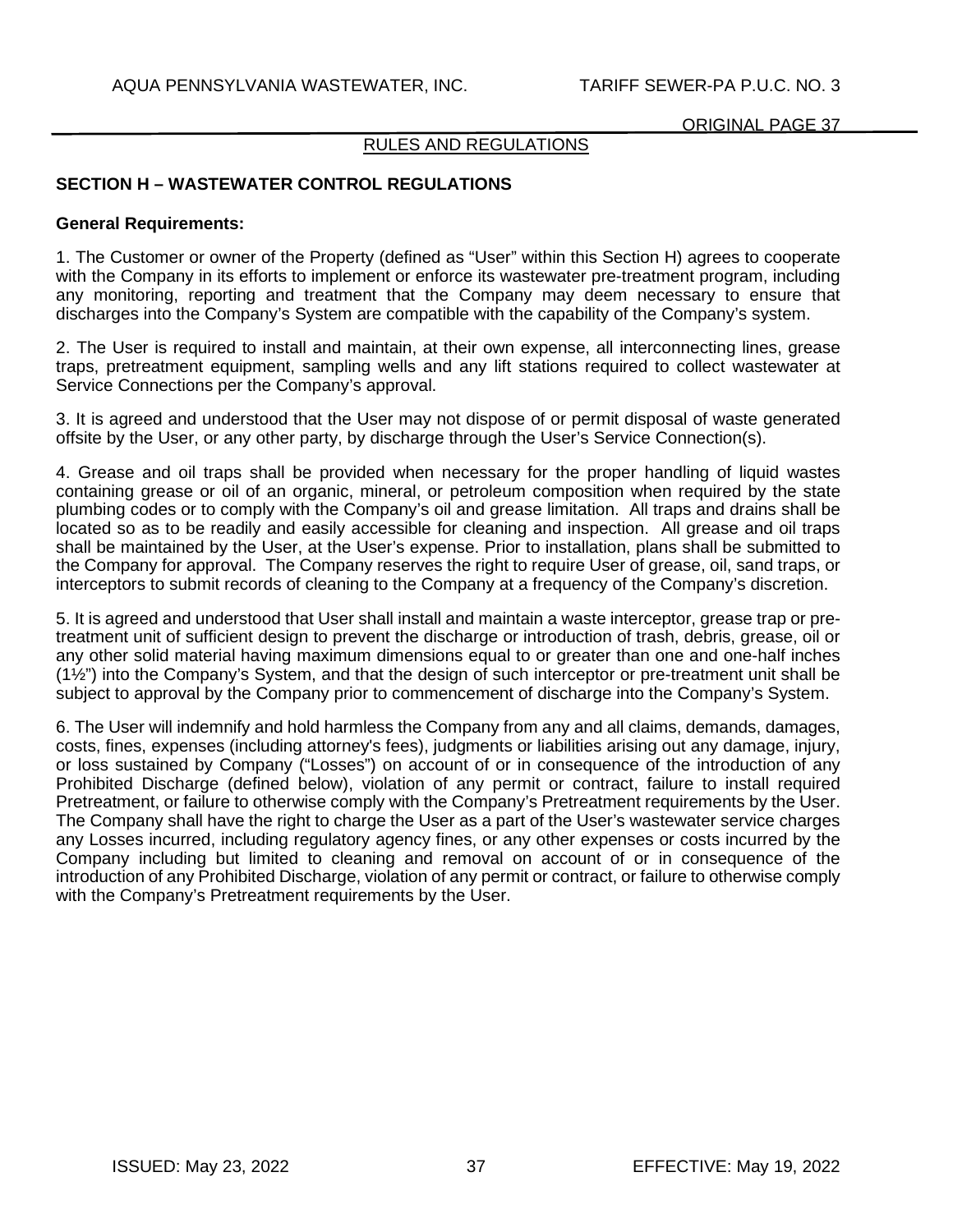# RULES AND REGULATIONS

## **SECTION H – WASTEWATER CONTROL REGULATIONS**

#### **General Requirements:**

1. The Customer or owner of the Property (defined as "User" within this Section H) agrees to cooperate with the Company in its efforts to implement or enforce its wastewater pre-treatment program, including any monitoring, reporting and treatment that the Company may deem necessary to ensure that discharges into the Company's System are compatible with the capability of the Company's system.

2. The User is required to install and maintain, at their own expense, all interconnecting lines, grease traps, pretreatment equipment, sampling wells and any lift stations required to collect wastewater at Service Connections per the Company's approval.

3. It is agreed and understood that the User may not dispose of or permit disposal of waste generated offsite by the User, or any other party, by discharge through the User's Service Connection(s).

4. Grease and oil traps shall be provided when necessary for the proper handling of liquid wastes containing grease or oil of an organic, mineral, or petroleum composition when required by the state plumbing codes or to comply with the Company's oil and grease limitation. All traps and drains shall be located so as to be readily and easily accessible for cleaning and inspection. All grease and oil traps shall be maintained by the User, at the User's expense. Prior to installation, plans shall be submitted to the Company for approval. The Company reserves the right to require User of grease, oil, sand traps, or interceptors to submit records of cleaning to the Company at a frequency of the Company's discretion.

5. It is agreed and understood that User shall install and maintain a waste interceptor, grease trap or pretreatment unit of sufficient design to prevent the discharge or introduction of trash, debris, grease, oil or any other solid material having maximum dimensions equal to or greater than one and one-half inches  $(12<sup>2</sup>)$  into the Company's System, and that the design of such interceptor or pre-treatment unit shall be subject to approval by the Company prior to commencement of discharge into the Company's System.

6. The User will indemnify and hold harmless the Company from any and all claims, demands, damages, costs, fines, expenses (including attorney's fees), judgments or liabilities arising out any damage, injury, or loss sustained by Company ("Losses") on account of or in consequence of the introduction of any Prohibited Discharge (defined below), violation of any permit or contract, failure to install required Pretreatment, or failure to otherwise comply with the Company's Pretreatment requirements by the User. The Company shall have the right to charge the User as a part of the User's wastewater service charges any Losses incurred, including regulatory agency fines, or any other expenses or costs incurred by the Company including but limited to cleaning and removal on account of or in consequence of the introduction of any Prohibited Discharge, violation of any permit or contract, or failure to otherwise comply with the Company's Pretreatment requirements by the User.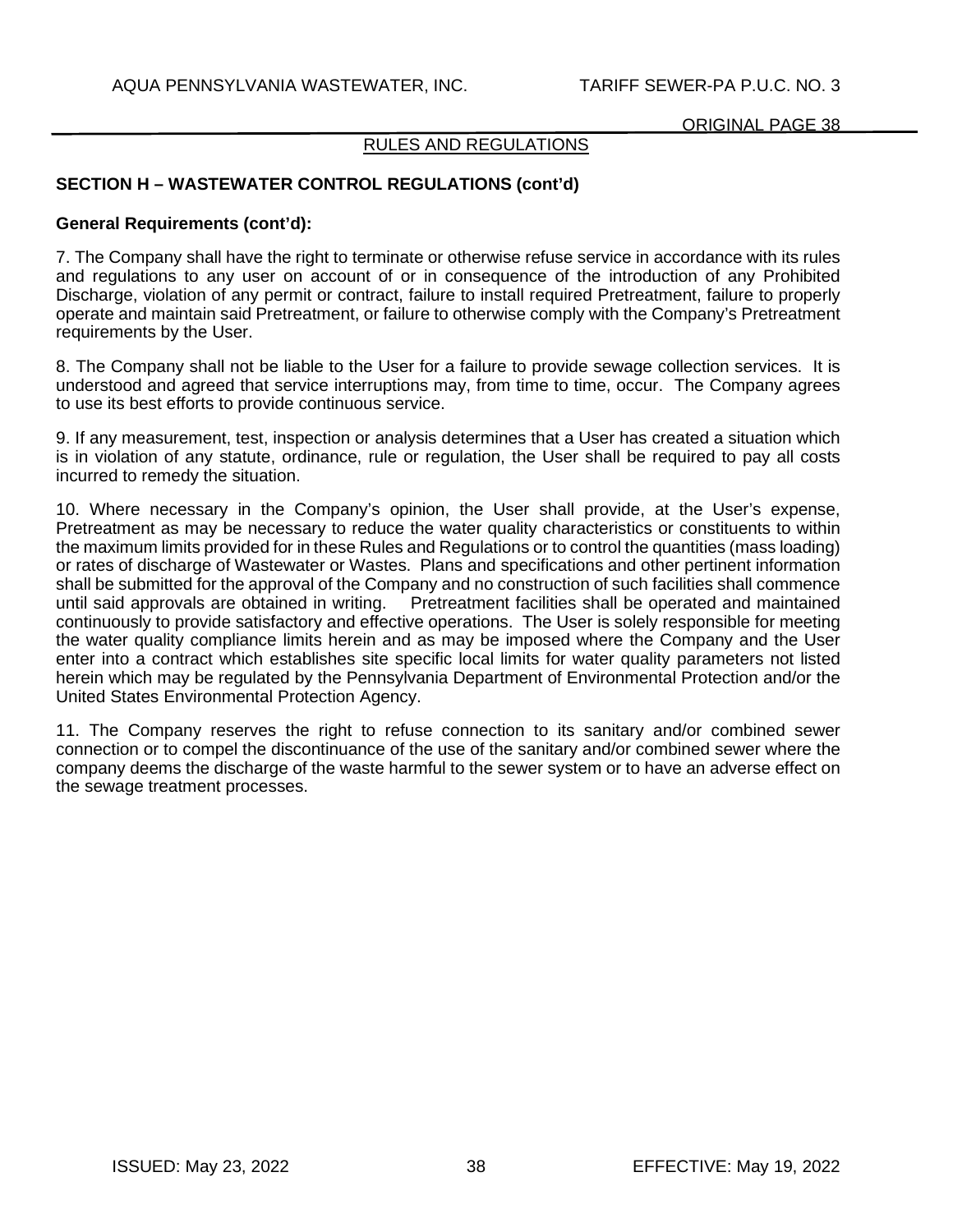## RULES AND REGULATIONS

# **SECTION H – WASTEWATER CONTROL REGULATIONS (cont'd)**

### **General Requirements (cont'd):**

7. The Company shall have the right to terminate or otherwise refuse service in accordance with its rules and regulations to any user on account of or in consequence of the introduction of any Prohibited Discharge, violation of any permit or contract, failure to install required Pretreatment, failure to properly operate and maintain said Pretreatment, or failure to otherwise comply with the Company's Pretreatment requirements by the User.

8. The Company shall not be liable to the User for a failure to provide sewage collection services. It is understood and agreed that service interruptions may, from time to time, occur. The Company agrees to use its best efforts to provide continuous service.

9. If any measurement, test, inspection or analysis determines that a User has created a situation which is in violation of any statute, ordinance, rule or regulation, the User shall be required to pay all costs incurred to remedy the situation.

10. Where necessary in the Company's opinion, the User shall provide, at the User's expense, Pretreatment as may be necessary to reduce the water quality characteristics or constituents to within the maximum limits provided for in these Rules and Regulations or to control the quantities (mass loading) or rates of discharge of Wastewater or Wastes. Plans and specifications and other pertinent information shall be submitted for the approval of the Company and no construction of such facilities shall commence until said approvals are obtained in writing. Pretreatment facilities shall be operated and maintained continuously to provide satisfactory and effective operations. The User is solely responsible for meeting the water quality compliance limits herein and as may be imposed where the Company and the User enter into a contract which establishes site specific local limits for water quality parameters not listed herein which may be regulated by the Pennsylvania Department of Environmental Protection and/or the United States Environmental Protection Agency.

11. The Company reserves the right to refuse connection to its sanitary and/or combined sewer connection or to compel the discontinuance of the use of the sanitary and/or combined sewer where the company deems the discharge of the waste harmful to the sewer system or to have an adverse effect on the sewage treatment processes.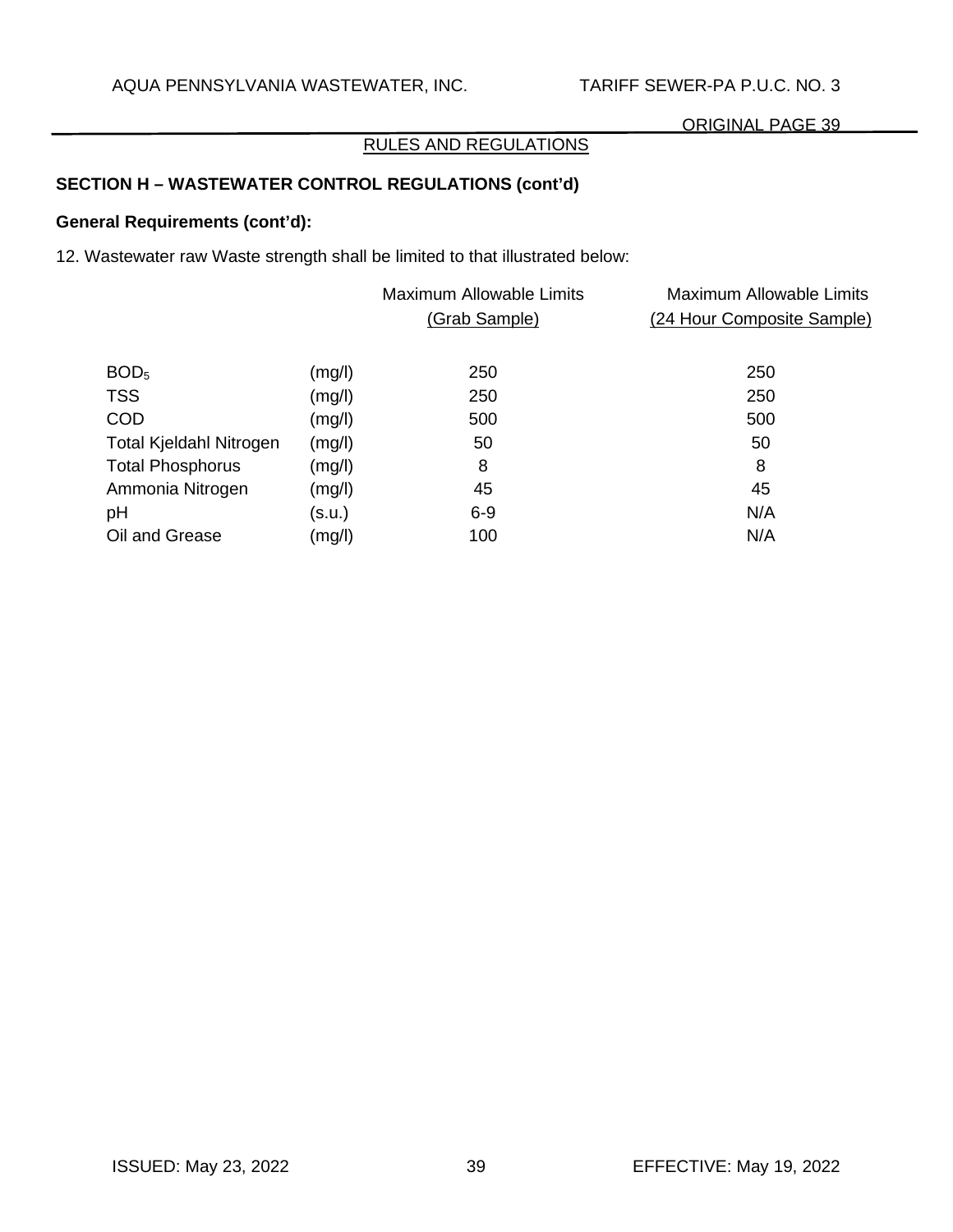# RULES AND REGULATIONS

# **SECTION H – WASTEWATER CONTROL REGULATIONS (cont'd)**

# **General Requirements (cont'd):**

12. Wastewater raw Waste strength shall be limited to that illustrated below:

|                         |        | <b>Maximum Allowable Limits</b><br>(Grab Sample) | Maximum Allowable Limits<br>(24 Hour Composite Sample) |
|-------------------------|--------|--------------------------------------------------|--------------------------------------------------------|
| BOD <sub>5</sub>        | (mg/l) | 250                                              | 250                                                    |
| <b>TSS</b>              | (mg/l) | 250                                              | 250                                                    |
| <b>COD</b>              | (mg/l) | 500                                              | 500                                                    |
| Total Kjeldahl Nitrogen | (mg/l) | 50                                               | 50                                                     |
| <b>Total Phosphorus</b> | (mg/l) | 8                                                | 8                                                      |
| Ammonia Nitrogen        | (mg/l) | 45                                               | 45                                                     |
| pH                      | (s.u.) | $6 - 9$                                          | N/A                                                    |
| Oil and Grease          | (mg/l) | 100                                              | N/A                                                    |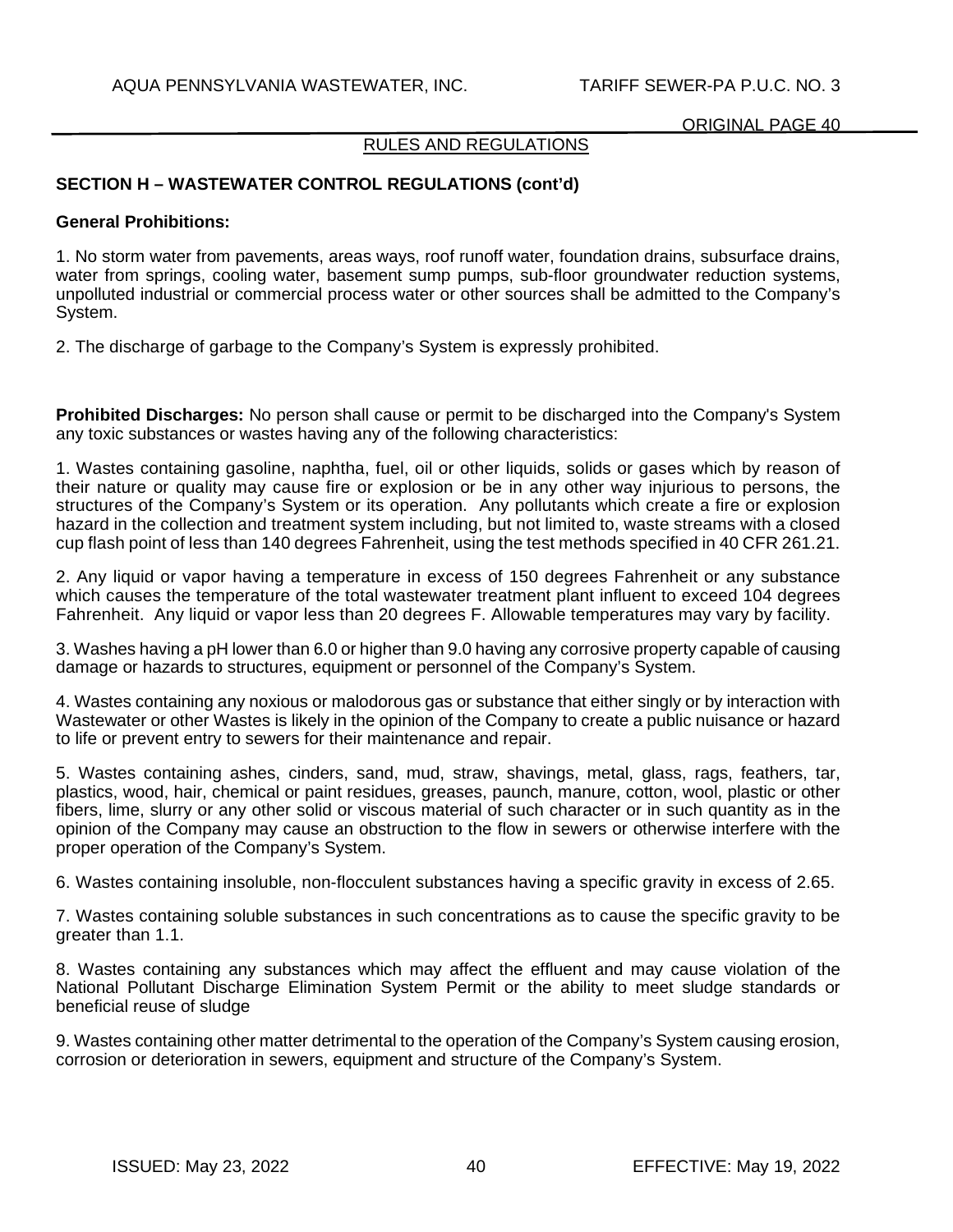### RULES AND REGULATIONS

# **SECTION H – WASTEWATER CONTROL REGULATIONS (cont'd)**

#### **General Prohibitions:**

1. No storm water from pavements, areas ways, roof runoff water, foundation drains, subsurface drains, water from springs, cooling water, basement sump pumps, sub-floor groundwater reduction systems, unpolluted industrial or commercial process water or other sources shall be admitted to the Company's System.

2. The discharge of garbage to the Company's System is expressly prohibited.

**Prohibited Discharges:** No person shall cause or permit to be discharged into the Company's System any toxic substances or wastes having any of the following characteristics:

1. Wastes containing gasoline, naphtha, fuel, oil or other liquids, solids or gases which by reason of their nature or quality may cause fire or explosion or be in any other way injurious to persons, the structures of the Company's System or its operation. Any pollutants which create a fire or explosion hazard in the collection and treatment system including, but not limited to, waste streams with a closed cup flash point of less than 140 degrees Fahrenheit, using the test methods specified in 40 CFR 261.21.

2. Any liquid or vapor having a temperature in excess of 150 degrees Fahrenheit or any substance which causes the temperature of the total wastewater treatment plant influent to exceed 104 degrees Fahrenheit. Any liquid or vapor less than 20 degrees F. Allowable temperatures may vary by facility.

3. Washes having a pH lower than 6.0 or higher than 9.0 having any corrosive property capable of causing damage or hazards to structures, equipment or personnel of the Company's System.

4. Wastes containing any noxious or malodorous gas or substance that either singly or by interaction with Wastewater or other Wastes is likely in the opinion of the Company to create a public nuisance or hazard to life or prevent entry to sewers for their maintenance and repair.

5. Wastes containing ashes, cinders, sand, mud, straw, shavings, metal, glass, rags, feathers, tar, plastics, wood, hair, chemical or paint residues, greases, paunch, manure, cotton, wool, plastic or other fibers, lime, slurry or any other solid or viscous material of such character or in such quantity as in the opinion of the Company may cause an obstruction to the flow in sewers or otherwise interfere with the proper operation of the Company's System.

6. Wastes containing insoluble, non-flocculent substances having a specific gravity in excess of 2.65.

7. Wastes containing soluble substances in such concentrations as to cause the specific gravity to be greater than 1.1.

8. Wastes containing any substances which may affect the effluent and may cause violation of the National Pollutant Discharge Elimination System Permit or the ability to meet sludge standards or beneficial reuse of sludge

9. Wastes containing other matter detrimental to the operation of the Company's System causing erosion, corrosion or deterioration in sewers, equipment and structure of the Company's System.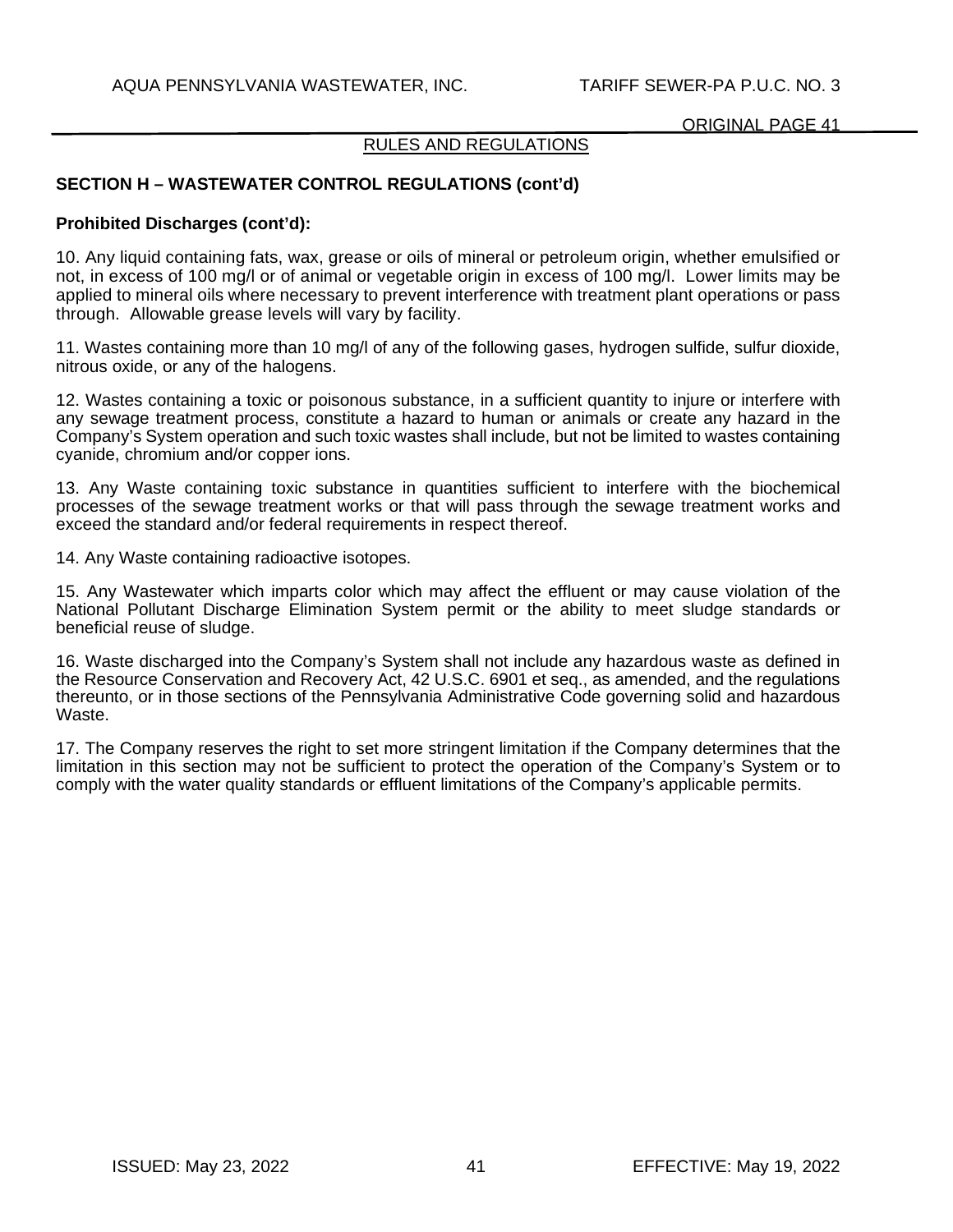### RULES AND REGULATIONS

# **SECTION H – WASTEWATER CONTROL REGULATIONS (cont'd)**

#### **Prohibited Discharges (cont'd):**

10. Any liquid containing fats, wax, grease or oils of mineral or petroleum origin, whether emulsified or not, in excess of 100 mg/l or of animal or vegetable origin in excess of 100 mg/l. Lower limits may be applied to mineral oils where necessary to prevent interference with treatment plant operations or pass through. Allowable grease levels will vary by facility.

11. Wastes containing more than 10 mg/l of any of the following gases, hydrogen sulfide, sulfur dioxide, nitrous oxide, or any of the halogens.

12. Wastes containing a toxic or poisonous substance, in a sufficient quantity to injure or interfere with any sewage treatment process, constitute a hazard to human or animals or create any hazard in the Company's System operation and such toxic wastes shall include, but not be limited to wastes containing cyanide, chromium and/or copper ions.

13. Any Waste containing toxic substance in quantities sufficient to interfere with the biochemical processes of the sewage treatment works or that will pass through the sewage treatment works and exceed the standard and/or federal requirements in respect thereof.

14. Any Waste containing radioactive isotopes.

15. Any Wastewater which imparts color which may affect the effluent or may cause violation of the National Pollutant Discharge Elimination System permit or the ability to meet sludge standards or beneficial reuse of sludge.

16. Waste discharged into the Company's System shall not include any hazardous waste as defined in the Resource Conservation and Recovery Act, 42 U.S.C. 6901 et seq., as amended, and the regulations thereunto, or in those sections of the Pennsylvania Administrative Code governing solid and hazardous Waste.

17. The Company reserves the right to set more stringent limitation if the Company determines that the limitation in this section may not be sufficient to protect the operation of the Company's System or to comply with the water quality standards or effluent limitations of the Company's applicable permits.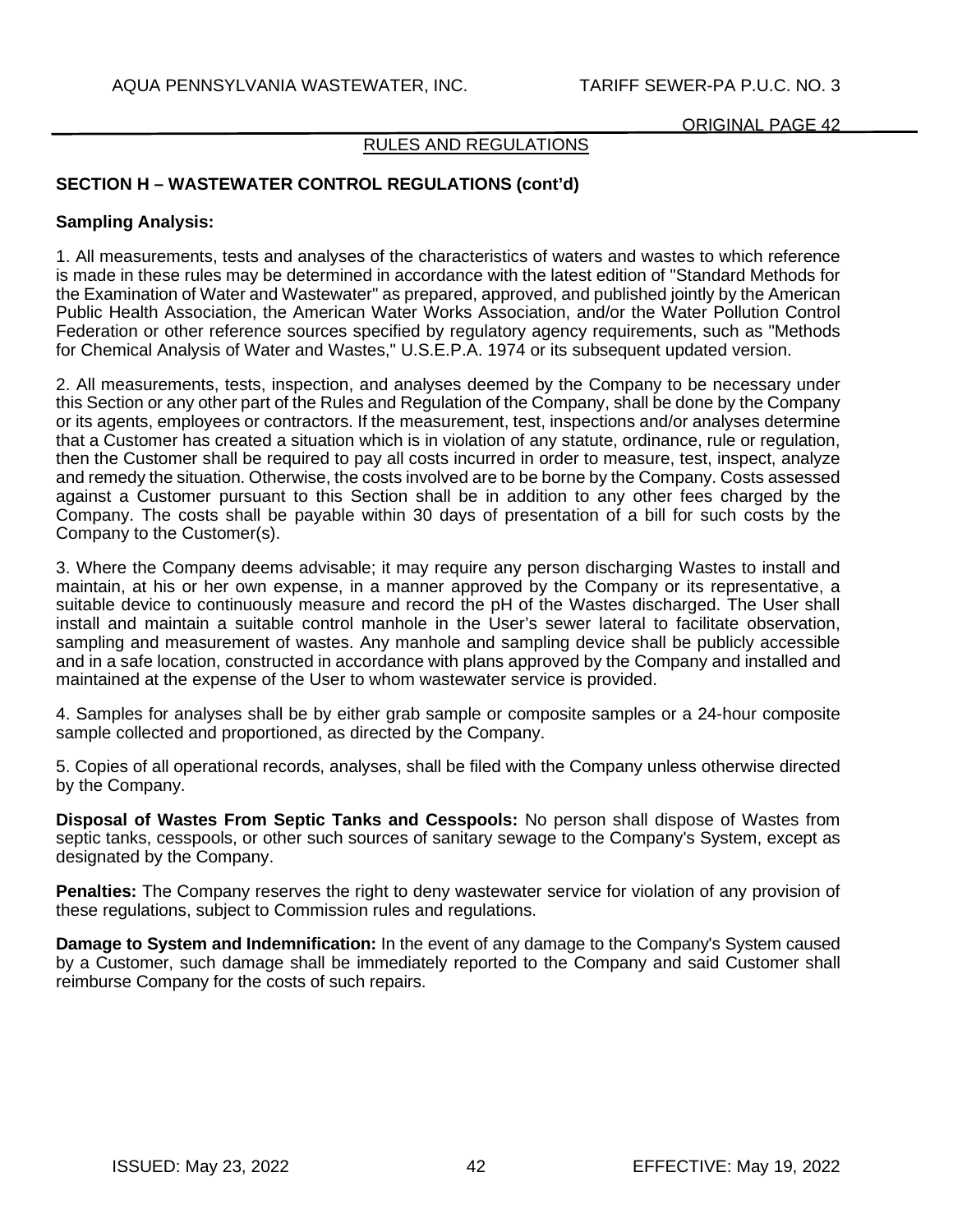## RULES AND REGULATIONS

# **SECTION H – WASTEWATER CONTROL REGULATIONS (cont'd)**

### **Sampling Analysis:**

1. All measurements, tests and analyses of the characteristics of waters and wastes to which reference is made in these rules may be determined in accordance with the latest edition of "Standard Methods for the Examination of Water and Wastewater" as prepared, approved, and published jointly by the American Public Health Association, the American Water Works Association, and/or the Water Pollution Control Federation or other reference sources specified by regulatory agency requirements, such as "Methods for Chemical Analysis of Water and Wastes," U.S.E.P.A. 1974 or its subsequent updated version.

2. All measurements, tests, inspection, and analyses deemed by the Company to be necessary under this Section or any other part of the Rules and Regulation of the Company, shall be done by the Company or its agents, employees or contractors. If the measurement, test, inspections and/or analyses determine that a Customer has created a situation which is in violation of any statute, ordinance, rule or regulation, then the Customer shall be required to pay all costs incurred in order to measure, test, inspect, analyze and remedy the situation. Otherwise, the costs involved are to be borne by the Company. Costs assessed against a Customer pursuant to this Section shall be in addition to any other fees charged by the Company. The costs shall be payable within 30 days of presentation of a bill for such costs by the Company to the Customer(s).

3. Where the Company deems advisable; it may require any person discharging Wastes to install and maintain, at his or her own expense, in a manner approved by the Company or its representative, a suitable device to continuously measure and record the pH of the Wastes discharged. The User shall install and maintain a suitable control manhole in the User's sewer lateral to facilitate observation, sampling and measurement of wastes. Any manhole and sampling device shall be publicly accessible and in a safe location, constructed in accordance with plans approved by the Company and installed and maintained at the expense of the User to whom wastewater service is provided.

4. Samples for analyses shall be by either grab sample or composite samples or a 24-hour composite sample collected and proportioned, as directed by the Company.

5. Copies of all operational records, analyses, shall be filed with the Company unless otherwise directed by the Company.

**Disposal of Wastes From Septic Tanks and Cesspools:** No person shall dispose of Wastes from septic tanks, cesspools, or other such sources of sanitary sewage to the Company's System, except as designated by the Company.

**Penalties:** The Company reserves the right to deny wastewater service for violation of any provision of these regulations, subject to Commission rules and regulations.

**Damage to System and Indemnification:** In the event of any damage to the Company's System caused by a Customer, such damage shall be immediately reported to the Company and said Customer shall reimburse Company for the costs of such repairs.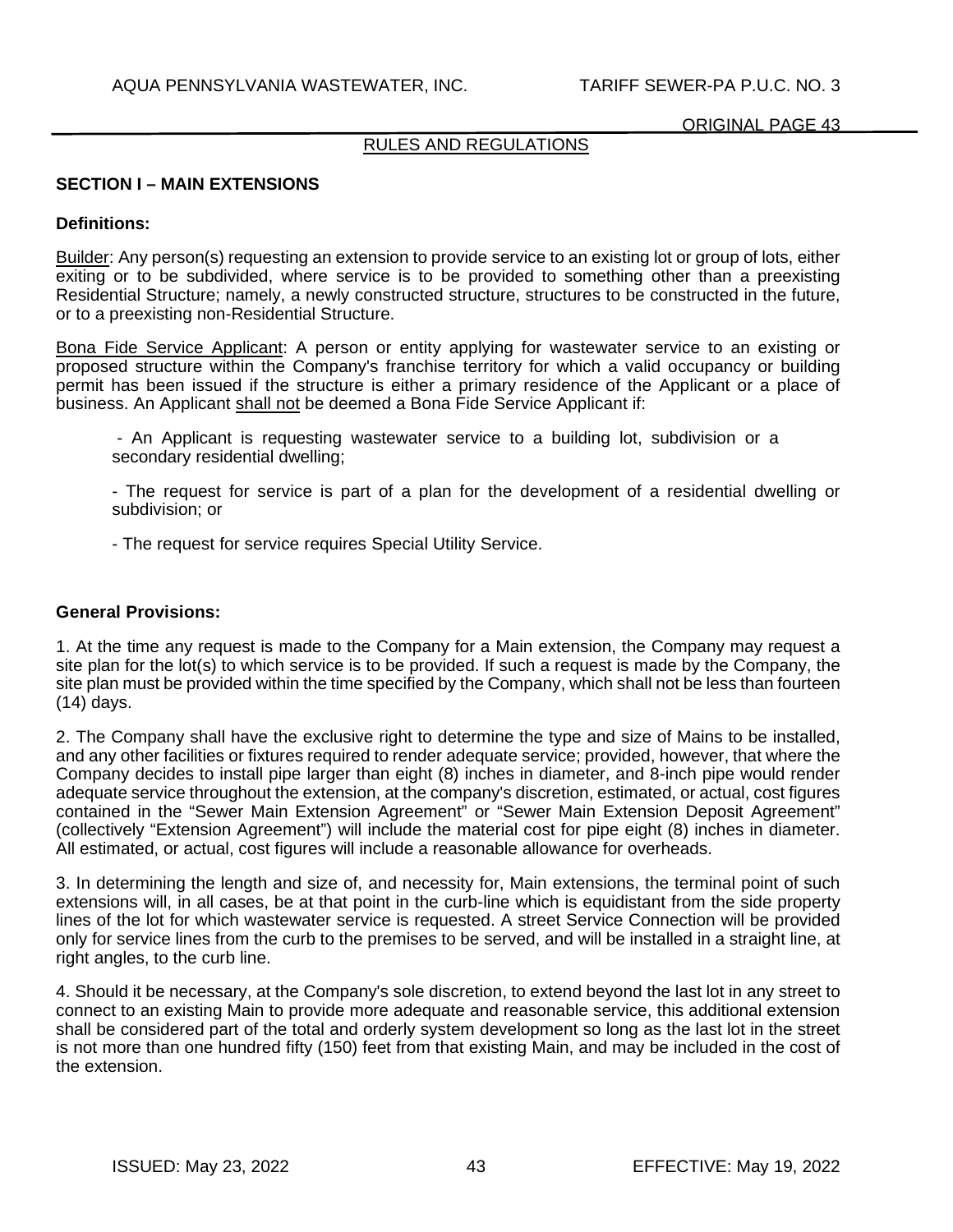## RULES AND REGULATIONS

#### **SECTION I – MAIN EXTENSIONS**

#### **Definitions:**

Builder: Any person(s) requesting an extension to provide service to an existing lot or group of lots, either exiting or to be subdivided, where service is to be provided to something other than a preexisting Residential Structure; namely, a newly constructed structure, structures to be constructed in the future, or to a preexisting non-Residential Structure.

Bona Fide Service Applicant: A person or entity applying for wastewater service to an existing or proposed structure within the Company's franchise territory for which a valid occupancy or building permit has been issued if the structure is either a primary residence of the Applicant or a place of business. An Applicant shall not be deemed a Bona Fide Service Applicant if:

 - An Applicant is requesting wastewater service to a building lot, subdivision or a secondary residential dwelling;

- The request for service is part of a plan for the development of a residential dwelling or subdivision; or

- The request for service requires Special Utility Service.

#### **General Provisions:**

1. At the time any request is made to the Company for a Main extension, the Company may request a site plan for the lot(s) to which service is to be provided. If such a request is made by the Company, the site plan must be provided within the time specified by the Company, which shall not be less than fourteen (14) days.

2. The Company shall have the exclusive right to determine the type and size of Mains to be installed, and any other facilities or fixtures required to render adequate service; provided, however, that where the Company decides to install pipe larger than eight (8) inches in diameter, and 8-inch pipe would render adequate service throughout the extension, at the company's discretion, estimated, or actual, cost figures contained in the "Sewer Main Extension Agreement" or "Sewer Main Extension Deposit Agreement" (collectively "Extension Agreement") will include the material cost for pipe eight (8) inches in diameter. All estimated, or actual, cost figures will include a reasonable allowance for overheads.

3. In determining the length and size of, and necessity for, Main extensions, the terminal point of such extensions will, in all cases, be at that point in the curb-line which is equidistant from the side property lines of the lot for which wastewater service is requested. A street Service Connection will be provided only for service lines from the curb to the premises to be served, and will be installed in a straight line, at right angles, to the curb line.

4. Should it be necessary, at the Company's sole discretion, to extend beyond the last lot in any street to connect to an existing Main to provide more adequate and reasonable service, this additional extension shall be considered part of the total and orderly system development so long as the last lot in the street is not more than one hundred fifty (150) feet from that existing Main, and may be included in the cost of the extension.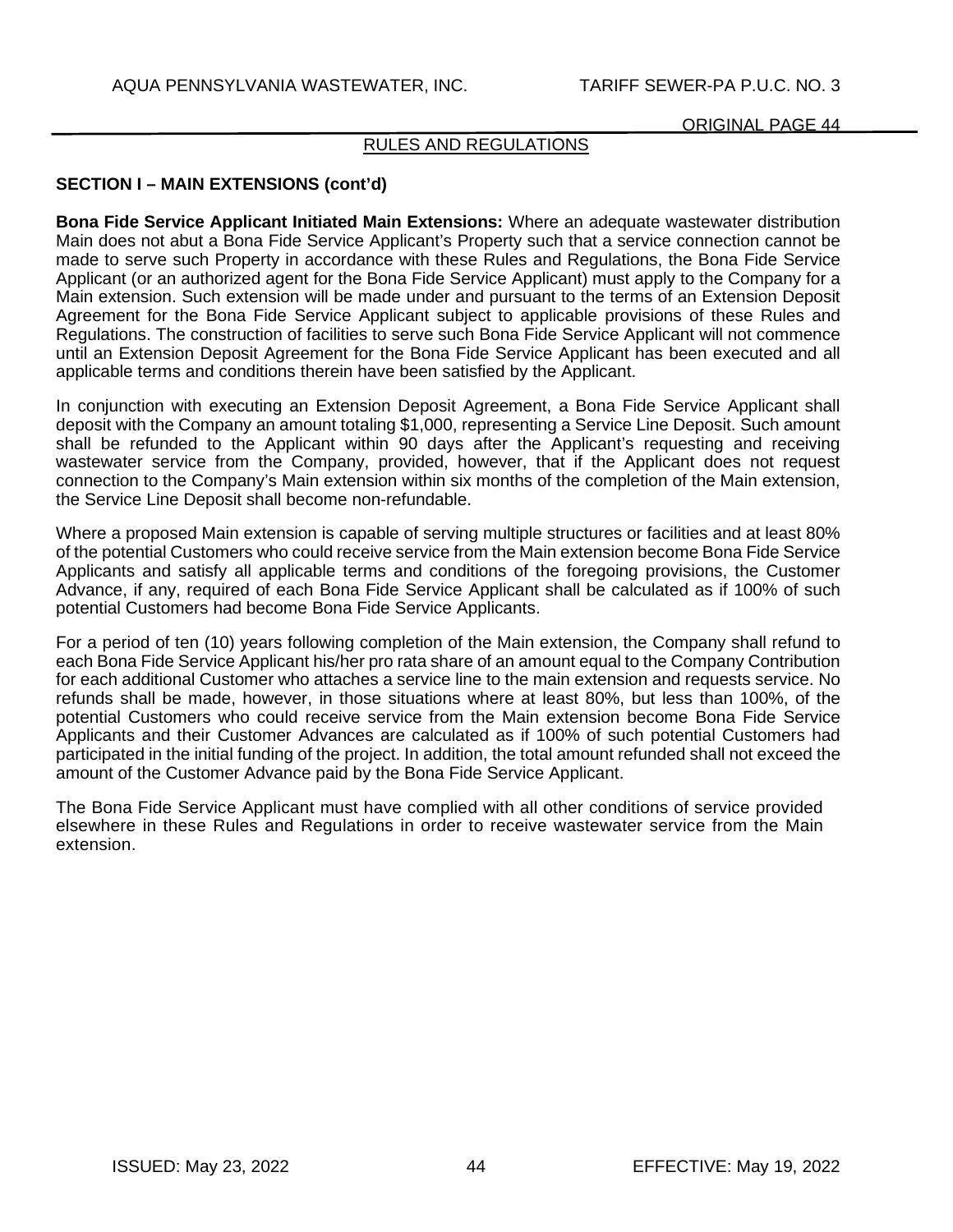## RULES AND REGULATIONS

# **SECTION I – MAIN EXTENSIONS (cont'd)**

**Bona Fide Service Applicant Initiated Main Extensions:** Where an adequate wastewater distribution Main does not abut a Bona Fide Service Applicant's Property such that a service connection cannot be made to serve such Property in accordance with these Rules and Regulations, the Bona Fide Service Applicant (or an authorized agent for the Bona Fide Service Applicant) must apply to the Company for a Main extension. Such extension will be made under and pursuant to the terms of an Extension Deposit Agreement for the Bona Fide Service Applicant subject to applicable provisions of these Rules and Regulations. The construction of facilities to serve such Bona Fide Service Applicant will not commence until an Extension Deposit Agreement for the Bona Fide Service Applicant has been executed and all applicable terms and conditions therein have been satisfied by the Applicant.

In conjunction with executing an Extension Deposit Agreement, a Bona Fide Service Applicant shall deposit with the Company an amount totaling \$1,000, representing a Service Line Deposit. Such amount shall be refunded to the Applicant within 90 days after the Applicant's requesting and receiving wastewater service from the Company, provided, however, that if the Applicant does not request connection to the Company's Main extension within six months of the completion of the Main extension, the Service Line Deposit shall become non-refundable.

Where a proposed Main extension is capable of serving multiple structures or facilities and at least 80% of the potential Customers who could receive service from the Main extension become Bona Fide Service Applicants and satisfy all applicable terms and conditions of the foregoing provisions, the Customer Advance, if any, required of each Bona Fide Service Applicant shall be calculated as if 100% of such potential Customers had become Bona Fide Service Applicants.

For a period of ten (10) years following completion of the Main extension, the Company shall refund to each Bona Fide Service Applicant his/her pro rata share of an amount equal to the Company Contribution for each additional Customer who attaches a service line to the main extension and requests service. No refunds shall be made, however, in those situations where at least 80%, but less than 100%, of the potential Customers who could receive service from the Main extension become Bona Fide Service Applicants and their Customer Advances are calculated as if 100% of such potential Customers had participated in the initial funding of the project. In addition, the total amount refunded shall not exceed the amount of the Customer Advance paid by the Bona Fide Service Applicant.

The Bona Fide Service Applicant must have complied with all other conditions of service provided elsewhere in these Rules and Regulations in order to receive wastewater service from the Main extension.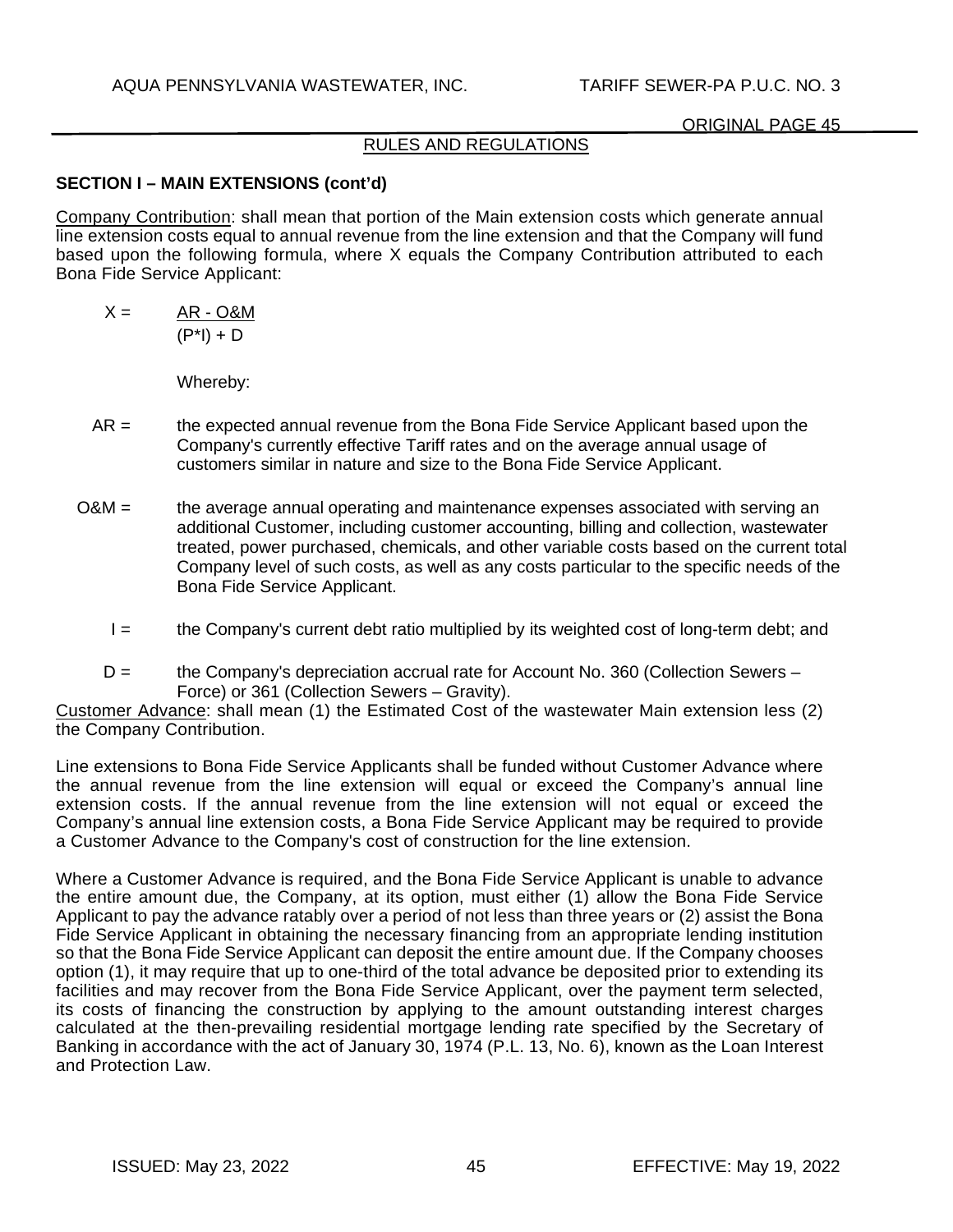# RULES AND REGULATIONS

# **SECTION I – MAIN EXTENSIONS (cont'd)**

Company Contribution: shall mean that portion of the Main extension costs which generate annual line extension costs equal to annual revenue from the line extension and that the Company will fund based upon the following formula, where X equals the Company Contribution attributed to each Bona Fide Service Applicant:

 $X = AR - O&M$  $(P^*$ I $) + D$ 

Whereby:

- AR = the expected annual revenue from the Bona Fide Service Applicant based upon the Company's currently effective Tariff rates and on the average annual usage of customers similar in nature and size to the Bona Fide Service Applicant.
- O&M = the average annual operating and maintenance expenses associated with serving an additional Customer, including customer accounting, billing and collection, wastewater treated, power purchased, chemicals, and other variable costs based on the current total Company level of such costs, as well as any costs particular to the specific needs of the Bona Fide Service Applicant.
	- I = the Company's current debt ratio multiplied by its weighted cost of long-term debt; and
	- $D =$  the Company's depreciation accrual rate for Account No. 360 (Collection Sewers Force) or 361 (Collection Sewers – Gravity).

Customer Advance: shall mean (1) the Estimated Cost of the wastewater Main extension less (2) the Company Contribution.

Line extensions to Bona Fide Service Applicants shall be funded without Customer Advance where the annual revenue from the line extension will equal or exceed the Company's annual line extension costs. If the annual revenue from the line extension will not equal or exceed the Company's annual line extension costs, a Bona Fide Service Applicant may be required to provide a Customer Advance to the Company's cost of construction for the line extension.

Where a Customer Advance is required, and the Bona Fide Service Applicant is unable to advance the entire amount due, the Company, at its option, must either (1) allow the Bona Fide Service Applicant to pay the advance ratably over a period of not less than three years or (2) assist the Bona Fide Service Applicant in obtaining the necessary financing from an appropriate lending institution so that the Bona Fide Service Applicant can deposit the entire amount due. If the Company chooses option (1), it may require that up to one-third of the total advance be deposited prior to extending its facilities and may recover from the Bona Fide Service Applicant, over the payment term selected, its costs of financing the construction by applying to the amount outstanding interest charges calculated at the then-prevailing residential mortgage lending rate specified by the Secretary of Banking in accordance with the act of January 30, 1974 (P.L. 13, No. 6), known as the Loan Interest and Protection Law.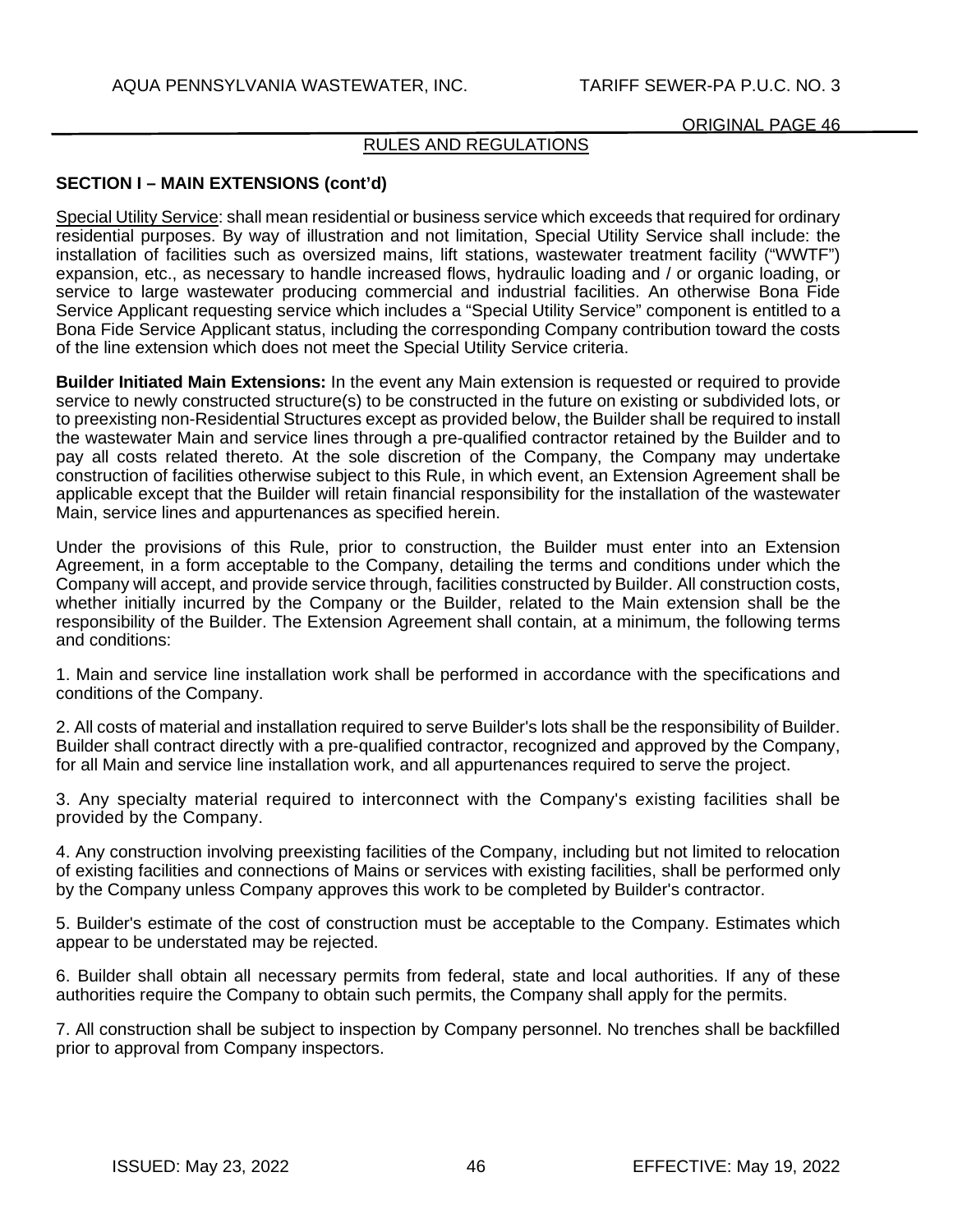## RULES AND REGULATIONS

# **SECTION I – MAIN EXTENSIONS (cont'd)**

Special Utility Service: shall mean residential or business service which exceeds that required for ordinary residential purposes. By way of illustration and not limitation, Special Utility Service shall include: the installation of facilities such as oversized mains, lift stations, wastewater treatment facility ("WWTF") expansion, etc., as necessary to handle increased flows, hydraulic loading and / or organic loading, or service to large wastewater producing commercial and industrial facilities. An otherwise Bona Fide Service Applicant requesting service which includes a "Special Utility Service" component is entitled to a Bona Fide Service Applicant status, including the corresponding Company contribution toward the costs of the line extension which does not meet the Special Utility Service criteria.

**Builder Initiated Main Extensions:** In the event any Main extension is requested or required to provide service to newly constructed structure(s) to be constructed in the future on existing or subdivided lots, or to preexisting non-Residential Structures except as provided below, the Builder shall be required to install the wastewater Main and service lines through a pre-qualified contractor retained by the Builder and to pay all costs related thereto. At the sole discretion of the Company, the Company may undertake construction of facilities otherwise subject to this Rule, in which event, an Extension Agreement shall be applicable except that the Builder will retain financial responsibility for the installation of the wastewater Main, service lines and appurtenances as specified herein.

Under the provisions of this Rule, prior to construction, the Builder must enter into an Extension Agreement, in a form acceptable to the Company, detailing the terms and conditions under which the Company will accept, and provide service through, facilities constructed by Builder. All construction costs, whether initially incurred by the Company or the Builder, related to the Main extension shall be the responsibility of the Builder. The Extension Agreement shall contain, at a minimum, the following terms and conditions:

1. Main and service line installation work shall be performed in accordance with the specifications and conditions of the Company.

2. All costs of material and installation required to serve Builder's lots shall be the responsibility of Builder. Builder shall contract directly with a pre-qualified contractor, recognized and approved by the Company, for all Main and service line installation work, and all appurtenances required to serve the project.

3. Any specialty material required to interconnect with the Company's existing facilities shall be provided by the Company.

4. Any construction involving preexisting facilities of the Company, including but not limited to relocation of existing facilities and connections of Mains or services with existing facilities, shall be performed only by the Company unless Company approves this work to be completed by Builder's contractor.

5. Builder's estimate of the cost of construction must be acceptable to the Company. Estimates which appear to be understated may be rejected.

6. Builder shall obtain all necessary permits from federal, state and local authorities. If any of these authorities require the Company to obtain such permits, the Company shall apply for the permits.

7. All construction shall be subject to inspection by Company personnel. No trenches shall be backfilled prior to approval from Company inspectors.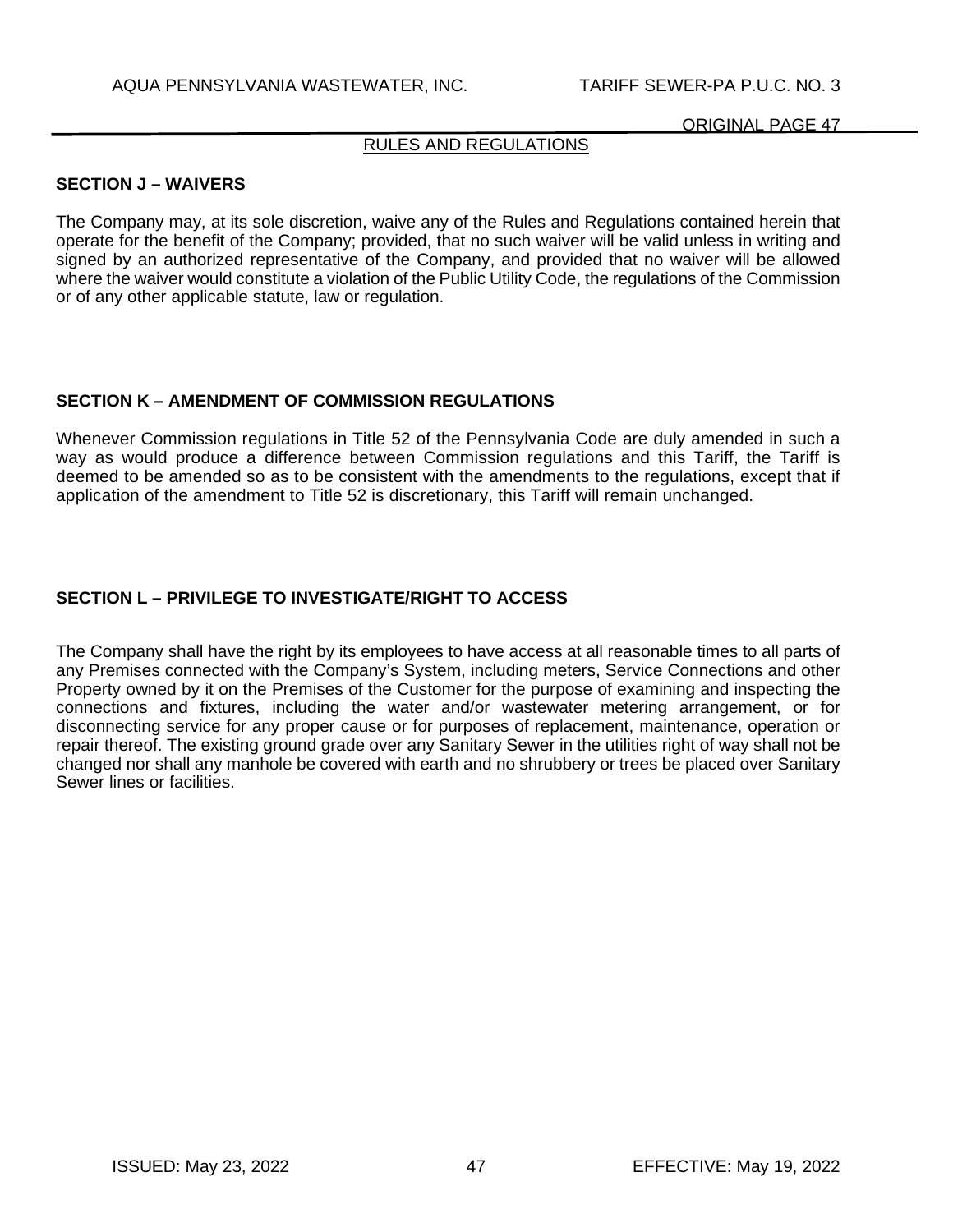# RULES AND REGULATIONS

## **SECTION J – WAIVERS**

The Company may, at its sole discretion, waive any of the Rules and Regulations contained herein that operate for the benefit of the Company; provided, that no such waiver will be valid unless in writing and signed by an authorized representative of the Company, and provided that no waiver will be allowed where the waiver would constitute a violation of the Public Utility Code, the regulations of the Commission or of any other applicable statute, law or regulation.

### **SECTION K – AMENDMENT OF COMMISSION REGULATIONS**

Whenever Commission regulations in Title 52 of the Pennsylvania Code are duly amended in such a way as would produce a difference between Commission regulations and this Tariff, the Tariff is deemed to be amended so as to be consistent with the amendments to the regulations, except that if application of the amendment to Title 52 is discretionary, this Tariff will remain unchanged.

# **SECTION L – PRIVILEGE TO INVESTIGATE/RIGHT TO ACCESS**

The Company shall have the right by its employees to have access at all reasonable times to all parts of any Premises connected with the Company's System, including meters, Service Connections and other Property owned by it on the Premises of the Customer for the purpose of examining and inspecting the connections and fixtures, including the water and/or wastewater metering arrangement, or for disconnecting service for any proper cause or for purposes of replacement, maintenance, operation or repair thereof. The existing ground grade over any Sanitary Sewer in the utilities right of way shall not be changed nor shall any manhole be covered with earth and no shrubbery or trees be placed over Sanitary Sewer lines or facilities.